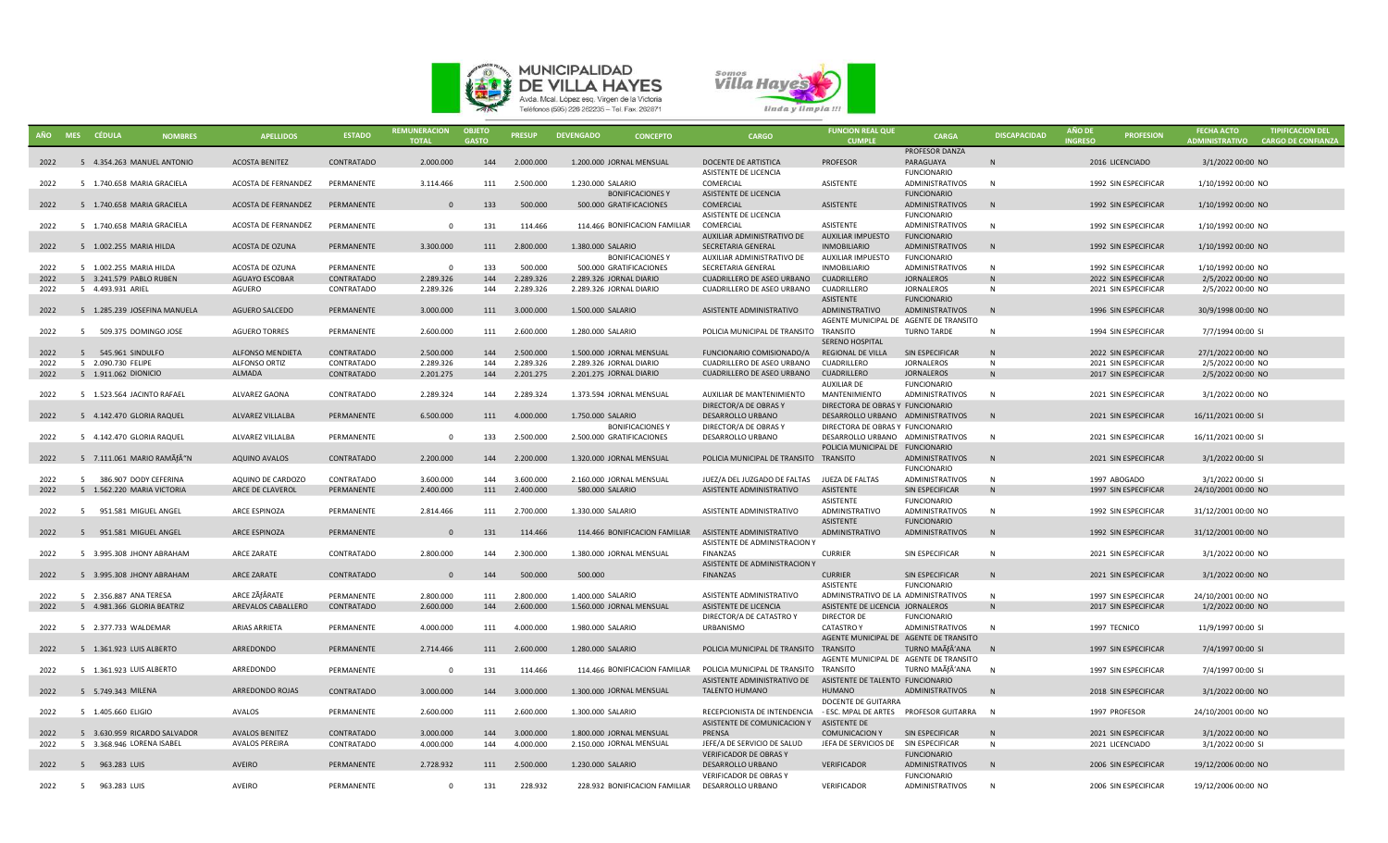



|              | AÑO MES CÉDULA                                     | <b>NOMBRES</b> | <b>APELLIDOS</b>                         | <b>ESTADO</b>                   | <b>REMUNERACION</b><br><b>TOTAL</b> | <b>OBJETO</b><br><b>GASTO</b> | <b>PRESUP</b>        | <b>DEVENGADO</b><br><b>CONCEPTO</b>                    | <b>CARGO</b>                                       | <b>FUNCION REAL QUE</b><br><b>CUMPLE</b>                    | <b>CARGA</b>                                | <b>DISCAPACIDAD</b> | <b>ANO DI</b><br><b>INGRESO</b> | <b>PROFESION</b>                             | <b>FECHA ACTO</b><br><b>ADMINISTRATIVO</b> | <b>TIPIFICACION DEL</b><br><b>CARGO DE CONFIANZA</b> |
|--------------|----------------------------------------------------|----------------|------------------------------------------|---------------------------------|-------------------------------------|-------------------------------|----------------------|--------------------------------------------------------|----------------------------------------------------|-------------------------------------------------------------|---------------------------------------------|---------------------|---------------------------------|----------------------------------------------|--------------------------------------------|------------------------------------------------------|
| 2022         | 5 4.354.263 MANUEL ANTONIO                         |                | <b>ACOSTA BENITEZ</b>                    | CONTRATADO                      | 2.000.000                           | 144                           | 2.000.000            | 1.200.000 JORNAL MENSUAL                               | DOCENTE DE ARTISTICA                               | <b>PROFESOR</b>                                             | PROFESOR DANZA<br>PARAGUAYA                 |                     |                                 | 2016 LICENCIADO                              | 3/1/2022 00:00 NO                          |                                                      |
| 2022         | 5 1.740.658 MARIA GRACIELA                         |                | ACOSTA DE FERNANDEZ                      | PERMANENTE                      | 3.114.466                           | 111                           | 2.500.000            | 1.230.000 SALARIO                                      | ASISTENTE DE LICENCIA<br>COMERCIAL                 | ASISTENTE                                                   | <b>FUNCIONARIO</b><br>ADMINISTRATIVOS       | N                   |                                 | 1992 SIN ESPECIFICAR                         | 1/10/1992 00:00 NO                         |                                                      |
|              |                                                    |                |                                          |                                 |                                     |                               |                      | <b>BONIFICACIONES Y</b>                                | ASISTENTE DE LICENCIA                              |                                                             | <b>FUNCIONARIO</b>                          |                     |                                 |                                              |                                            |                                                      |
| 2022         | 5 1.740.658 MARIA GRACIELA                         |                | ACOSTA DE FERNANDEZ                      | PERMANENTE                      | $\Omega$                            | 133                           | 500.000              | 500.000 GRATIFICACIONES                                | COMERCIAL                                          | ASISTENTE                                                   | ADMINISTRATIVOS                             | N                   |                                 | 1992 SIN ESPECIFICAR                         | 1/10/1992 00:00 NO                         |                                                      |
|              |                                                    |                |                                          |                                 |                                     |                               |                      |                                                        | ASISTENTE DE LICENCIA                              |                                                             | <b>FUNCIONARIO</b>                          |                     |                                 |                                              |                                            |                                                      |
| 2022         | 5 1.740.658 MARIA GRACIELA                         |                | ACOSTA DE FERNANDEZ                      | PERMANENTE                      | $\Omega$                            | 131                           | 114.466              | 114.466 BONIFICACION FAMILIAR                          | COMERCIAL                                          | <b>ASISTENTE</b>                                            | ADMINISTRATIVOS                             | N                   |                                 | 1992 SIN ESPECIFICAR                         | 1/10/1992 00:00 NO                         |                                                      |
|              |                                                    |                |                                          |                                 |                                     |                               |                      |                                                        | AUXILIAR ADMINISTRATIVO DE                         | <b>AUXILIAR IMPUESTO</b>                                    | <b>FUNCIONARIO</b>                          |                     |                                 |                                              |                                            |                                                      |
| 2022         | 5 1.002.255 MARIA HILDA                            |                | ACOSTA DE OZUNA                          | PERMANENTE                      | 3.300.000                           | 111                           | 2.800.000            | 1.380.000 SALARIO                                      | SECRETARIA GENERAL                                 | <b>INMOBILIARIO</b>                                         | <b>ADMINISTRATIVOS</b>                      | N                   |                                 | 1992 SIN ESPECIFICAR                         | 1/10/1992 00:00 NO                         |                                                      |
|              |                                                    |                |                                          |                                 |                                     |                               |                      | <b>BONIFICACIONES Y</b>                                | AUXILIAR ADMINISTRATIVO DE                         | AUXILIAR IMPUESTO                                           | <b>FUNCIONARIO</b>                          |                     |                                 |                                              |                                            |                                                      |
| 2022<br>2022 | 5 1.002.255 MARIA HILDA<br>5 3.241.579 PABLO RUBEN |                | ACOSTA DE OZUNA<br><b>AGUAYO ESCOBAR</b> | PERMANENTE<br><b>CONTRATADO</b> | $\Omega$<br>2.289.326               | 133<br>144                    | 500.000<br>2.289.326 | 500,000 GRATIFICACIONES<br>2.289.326 JORNAL DIARIO     | SECRETARIA GENERAL<br>CUADRILLERO DE ASEO URBANO   | <b>INMOBILIARIO</b><br><b>CUADRILLERO</b>                   | <b>ADMINISTRATIVOS</b><br><b>JORNALEROS</b> | N<br>N              |                                 | 1992 SIN ESPECIFICAR<br>2022 SIN ESPECIFICAR | 1/10/1992 00:00 NO                         |                                                      |
| 2022         | 5 4.493.931 ARIEL                                  |                | AGUERO                                   | CONTRATADO                      | 2.289.326                           | 144                           | 2.289.326            | 2.289.326 JORNAL DIARIO                                | CUADRILLERO DE ASEO URBANO                         | CUADRILLERO                                                 | JORNALEROS                                  | N                   |                                 | 2021 SIN ESPECIFICAR                         | 2/5/2022 00:00 NO<br>2/5/2022 00:00 NO     |                                                      |
|              |                                                    |                |                                          |                                 |                                     |                               |                      |                                                        |                                                    | ASISTENTE                                                   | <b>FUNCIONARIO</b>                          |                     |                                 |                                              |                                            |                                                      |
| 2022         | 5 1.285.239 JOSEFINA MANUELA                       |                | AGUERO SALCEDO                           | PERMANENTE                      | 3.000.000                           | 111                           | 3.000.000            | 1.500.000 SALARIO                                      | ASISTENTE ADMINISTRATIVO                           | ADMINISTRATIVO                                              | ADMINISTRATIVOS                             | N                   |                                 | 1996 SIN ESPECIFICAR                         | 30/9/1998 00:00 NO                         |                                                      |
|              |                                                    |                |                                          |                                 |                                     |                               |                      |                                                        |                                                    | AGENTE MUNICIPAL DE AGENTE DE TRANSITO                      |                                             |                     |                                 |                                              |                                            |                                                      |
| 2022         | 509.375 DOMINGO JOSE<br>5                          |                | <b>AGUERO TORRES</b>                     | PERMANENTE                      | 2.600.000                           | 111                           | 2.600.000            | 1.280.000 SALARIO                                      | POLICIA MUNICIPAL DE TRANSITO TRANSITO             |                                                             | <b>TURNO TARDE</b>                          | N                   |                                 | 1994 SIN ESPECIFICAR                         | 7/7/1994 00:00 SI                          |                                                      |
|              |                                                    |                |                                          |                                 |                                     |                               |                      |                                                        |                                                    | SERENO HOSPITAL                                             |                                             |                     |                                 |                                              |                                            |                                                      |
| 2022         | 5 545.961 SINDULFO                                 |                | <b>ALFONSO MENDIETA</b>                  | CONTRATADO                      | 2.500.000                           | 144                           | 2.500.000            | 1.500.000 JORNAL MENSUAL                               | FUNCIONARIO COMISIONADO/A                          | REGIONAL DE VILLA                                           | SIN ESPECIFICAR                             | N                   |                                 | 2022 SIN ESPECIFICAR                         | 27/1/2022 00:00 NO                         |                                                      |
| 2022         | 5 2.090.730 FELIPE                                 |                | ALFONSO ORTIZ                            | CONTRATADO                      | 2.289.326                           | 144                           | 2.289.326            | 2.289.326 JORNAL DIARIO                                | CUADRILLERO DE ASEO URBANO                         | CUADRILLERO                                                 | <b>JORNALEROS</b>                           | N                   |                                 | 2021 SIN ESPECIFICAR                         | 2/5/2022 00:00 NO                          |                                                      |
| 2022         | 5 1.911.062 DIONICIO                               |                | ALMADA                                   | CONTRATADO                      | 2.201.275                           | 144                           | 2.201.275            | 2.201.275 JORNAL DIARIO                                | CUADRILLERO DE ASEO URBANO                         | CUADRILLERO                                                 | JORNALEROS                                  | N                   |                                 | 2017 SIN ESPECIFICAR                         | 2/5/2022 00:00 NO                          |                                                      |
|              |                                                    |                | ALVAREZ GAONA                            |                                 |                                     |                               |                      | 1.373.594 JORNAL MENSUAL                               |                                                    | <b>AUXILIAR DE</b>                                          | <b>FUNCIONARIO</b>                          |                     |                                 |                                              |                                            |                                                      |
| 2022         | 5 1.523.564 JACINTO RAFAEL                         |                |                                          | CONTRATADO                      | 2.289.324                           | 144                           | 2.289.324            |                                                        | AUXILIAR DE MANTENIMIENTO<br>DIRECTOR/A DE OBRAS Y | MANTENIMIENTO<br>DIRECTORA DE OBRAS Y FUNCIONARIO           | ADMINISTRATIVOS                             | N                   |                                 | 2021 SIN ESPECIFICAR                         | 3/1/2022 00:00 NO                          |                                                      |
| 2022         | 5 4.142.470 GLORIA RAQUEL                          |                | <b>ALVAREZ VILLALBA</b>                  | PERMANENTE                      | 6.500.000                           | 111                           | 4.000.000            | 1.750.000 SALARIO                                      | DESARROLLO URBANO                                  | DESARROLLO URBANO ADMINISTRATIVOS                           |                                             | N                   |                                 | 2021 SIN ESPECIFICAR                         | 16/11/2021 00:00 SI                        |                                                      |
|              |                                                    |                |                                          |                                 |                                     |                               |                      | <b>BONIFICACIONES Y</b>                                | DIRECTOR/A DE OBRAS Y                              | DIRECTORA DE OBRAS Y FUNCIONARIO                            |                                             |                     |                                 |                                              |                                            |                                                      |
| 2022         | 5 4.142.470 GLORIA RAQUEL                          |                | <b>ALVAREZ VILLALBA</b>                  | PERMANENTE                      | $\Omega$                            | 133                           | 2.500.000            | 2.500.000 GRATIFICACIONES                              | DESARROLLO URBANO                                  | DESARROLLO URBANO ADMINISTRATIVOS                           |                                             | N                   |                                 | 2021 SIN ESPECIFICAR                         | 16/11/2021 00:00 SI                        |                                                      |
|              |                                                    |                |                                          |                                 |                                     |                               |                      |                                                        |                                                    | POLICIA MUNICIPAL DE FUNCIONARIO                            |                                             |                     |                                 |                                              |                                            |                                                      |
| 2022         | 5 7.111.061 MARIO RAMÃfÂ"N                         |                | AQUINO AVALOS                            | CONTRATADO                      | 2.200.000                           | 144                           | 2.200.000            | 1.320.000 JORNAL MENSUAL                               | POLICIA MUNICIPAL DE TRANSITO TRANSITO             |                                                             | ADMINISTRATIVOS                             | N                   |                                 | 2021 SIN ESPECIFICAR                         | 3/1/2022 00:00 SI                          |                                                      |
|              |                                                    |                |                                          |                                 |                                     |                               |                      |                                                        |                                                    |                                                             | <b>FUNCIONARIO</b>                          |                     |                                 |                                              |                                            |                                                      |
| 2022         | 5 386.907 DODY CEFERINA                            |                | AQUINO DE CARDOZO                        | CONTRATADO                      | 3.600.000                           | 144                           | 3.600.000            | 2.160.000 JORNAL MENSUAL                               | JUEZ/A DEL JUZGADO DE FALTAS JUEZA DE FALTAS       |                                                             | ADMINISTRATIVOS                             | N                   |                                 | 1997 ABOGADO                                 | 3/1/2022 00:00 SI                          |                                                      |
| 2022         | 5 1.562.220 MARIA VICTORIA                         |                | ARCE DE CLAVEROL                         | PERMANENTE                      | 2.400.000                           | 111                           | 2.400.000            | 580.000 SALARIO                                        | ASISTENTE ADMINISTRATIVO                           | ASISTENTE                                                   | SIN ESPECIFICAR                             | N                   |                                 | 1997 SIN ESPECIFICAR                         | 24/10/2001 00:00 NO                        |                                                      |
|              |                                                    |                |                                          |                                 |                                     |                               |                      |                                                        |                                                    | ASISTENTE                                                   | <b>FUNCIONARIO</b>                          |                     |                                 |                                              |                                            |                                                      |
| 2022         | 5 951.581 MIGUEL ANGEL                             |                | ARCE ESPINOZA                            | PERMANENTE                      | 2.814.466                           | 111                           | 2.700.000            | 1.330.000 SALARIO                                      | ASISTENTE ADMINISTRATIVO                           | ADMINISTRATIVO<br><b>ASISTENTE</b>                          | ADMINISTRATIVOS<br><b>FUNCIONARIO</b>       | N                   |                                 | 1992 SIN ESPECIFICAR                         | 31/12/2001 00:00 NO                        |                                                      |
| 2022         | 5 951.581 MIGUEL ANGEL                             |                | <b>ARCE ESPINOZA</b>                     | PERMANENTE                      | $\Omega$                            | 131                           | 114,466              | 114.466 BONIFICACION FAMILIAR ASISTENTE ADMINISTRATIVO |                                                    | ADMINISTRATIVO                                              | <b>ADMINISTRATIVOS</b>                      | N                   |                                 | 1992 SIN ESPECIFICAR                         | 31/12/2001 00:00 NO                        |                                                      |
|              |                                                    |                |                                          |                                 |                                     |                               |                      |                                                        | ASISTENTE DE ADMINISTRACION Y                      |                                                             |                                             |                     |                                 |                                              |                                            |                                                      |
| 2022         | 5 3.995.308 JHONY ABRAHAM                          |                | <b>ARCE ZARATE</b>                       | CONTRATADO                      | 2.800.000                           | 144                           | 2.300.000            | 1.380.000 JORNAL MENSUAL                               | FINANZAS                                           | <b>CURRIER</b>                                              | SIN ESPECIFICAR                             | $\mathsf{N}$        |                                 | 2021 SIN ESPECIFICAR                         | 3/1/2022 00:00 NO                          |                                                      |
|              |                                                    |                |                                          |                                 |                                     |                               |                      |                                                        | ASISTENTE DE ADMINISTRACION Y                      |                                                             |                                             |                     |                                 |                                              |                                            |                                                      |
| 2022         | 5 3.995.308 JHONY ABRAHAM                          |                | ARCE ZARATE                              | CONTRATADO                      | $\Omega$                            | 144                           | 500.000              | 500.000                                                | <b>FINANZAS</b>                                    | <b>CURRIER</b>                                              | SIN ESPECIFICAR                             | N                   |                                 | 2021 SIN ESPECIFICAR                         | 3/1/2022 00:00 NO                          |                                                      |
|              |                                                    |                |                                          |                                 |                                     |                               |                      |                                                        |                                                    | <b>ASISTENTE</b>                                            | <b>FUNCIONARIO</b>                          |                     |                                 |                                              |                                            |                                                      |
| 2022         | 5 2.356.887 ANA TERESA                             |                | ARCE ZÃfÂRATE                            | PERMANENTE                      | 2.800.000                           | 111                           | 2.800.000            | 1.400.000 SALARIO                                      | ASISTENTE ADMINISTRATIVO                           | ADMINISTRATIVO DE LA ADMINISTRATIVOS                        |                                             | N                   |                                 | 1997 SIN ESPECIFICAR                         | 24/10/2001 00:00 NO                        |                                                      |
| 2022         | 5 4.981.366 GLORIA BEATRIZ                         |                | AREVALOS CABALLERO                       | CONTRATADO                      | 2.600.000                           | 144                           | 2.600.000            | 1.560.000 JORNAL MENSUAL                               | ASISTENTE DE LICENCIA                              | ASISTENTE DE LICENCIA JORNALEROS                            |                                             | N                   |                                 | 2017 SIN ESPECIFICAR                         | 1/2/2022 00:00 NO                          |                                                      |
|              |                                                    |                |                                          |                                 |                                     |                               |                      |                                                        | DIRECTOR/A DE CATASTRO Y                           | DIRECTOR DE                                                 | <b>FUNCIONARIO</b>                          | N                   |                                 |                                              |                                            |                                                      |
| 2022         | 5 2.377.733 WALDEMAR                               |                | <b>ARIAS ARRIETA</b>                     | PERMANENTE                      | 4.000.000                           | 111                           | 4.000.000            | 1.980.000 SALARIO                                      | <b>URBANISMO</b>                                   | <b>CATASTRO Y</b><br>AGENTE MUNICIPAL DE AGENTE DE TRANSITO | ADMINISTRATIVOS                             |                     |                                 | 1997 TECNICO                                 | 11/9/1997 00:00 SI                         |                                                      |
| 2022         | 5 1.361.923 LUIS ALBERTO                           |                | ARREDONDO                                | PERMANENTE                      | 2.714.466                           | 111                           | 2.600.000            | 1.280.000 SALARIO                                      | POLICIA MUNICIPAL DE TRANSITO TRANSITO             |                                                             | TURNO MAÃfÂ'ANA                             | N                   |                                 | 1997 SIN ESPECIFICAR                         | 7/4/1997 00:00 SI                          |                                                      |
|              |                                                    |                |                                          |                                 |                                     |                               |                      |                                                        |                                                    | AGENTE MUNICIPAL DE AGENTE DE TRANSITO                      |                                             |                     |                                 |                                              |                                            |                                                      |
| 2022         | 5 1.361.923 LUIS ALBERTO                           |                | ARREDONDO                                | PERMANENTE                      | $\Omega$                            | 131                           | 114.466              | 114.466 BONIFICACION FAMILIAR                          | POLICIA MUNICIPAL DE TRANSITO TRANSITO             |                                                             | TURNO MAÃfÂ'ANA                             | $\mathsf{N}$        |                                 | 1997 SIN ESPECIFICAR                         | 7/4/1997 00:00 SI                          |                                                      |
|              |                                                    |                |                                          |                                 |                                     |                               |                      |                                                        | ASISTENTE ADMINISTRATIVO DE                        | ASISTENTE DE TALENTO FUNCIONARIO                            |                                             |                     |                                 |                                              |                                            |                                                      |
| 2022         | 5 5.749.343 MILENA                                 |                | ARREDONDO ROJAS                          | CONTRATADO                      | 3.000.000                           | 144                           | 3.000.000            | 1.300.000 JORNAL MENSUAL                               | TALENTO HUMANO                                     | <b>HUMANO</b>                                               | ADMINISTRATIVOS                             | N                   |                                 | 2018 SIN ESPECIFICAR                         | 3/1/2022 00:00 NO                          |                                                      |
|              |                                                    |                |                                          |                                 |                                     |                               |                      |                                                        |                                                    | <b>DOCENTE DE GUITARRA</b>                                  |                                             |                     |                                 |                                              |                                            |                                                      |
| 2022         | 5 1.405.660 ELIGIO                                 |                | <b>AVALOS</b>                            | PERMANENTE                      | 2.600.000                           | 111                           | 2.600.000            | 1.300.000 SALARIO                                      | RECEPCIONISTA DE INTENDENCIA                       | - ESC. MPAL DE ARTES  PROFESOR GUITARRA  N                  |                                             |                     |                                 | 1997 PROFESOR                                | 24/10/2001 00:00 NO                        |                                                      |
|              |                                                    |                |                                          |                                 |                                     |                               |                      |                                                        | ASISTENTE DE COMUNICACION Y ASISTENTE DE           |                                                             |                                             |                     |                                 |                                              |                                            |                                                      |
| 2022         | 5 3.630.959 RICARDO SALVADOR                       |                | <b>AVALOS BENITEZ</b>                    | CONTRATADO                      | 3.000.000                           | 144                           | 3.000.000            | 1.800.000 JORNAL MENSUAL                               | PRENSA                                             | <b>COMUNICACION Y</b>                                       | SIN ESPECIFICAR                             | N                   |                                 | 2021 SIN ESPECIFICAR                         | 3/1/2022 00:00 NO                          |                                                      |
| 2022         | 5 3.368.946 LORENA ISABEL                          |                | <b>AVALOS PEREIRA</b>                    | CONTRATADO                      | 4.000.000                           | 144                           | 4.000.000            | 2.150.000 JORNAL MENSUAL                               | JEFE/A DE SERVICIO DE SALUD                        | JEFA DE SERVICIOS DE SIN ESPECIFICAR                        |                                             | N                   |                                 | 2021 LICENCIADO                              | 3/1/2022 00:00 SI                          |                                                      |
| 2022         | 5 963.283 LUIS                                     |                | <b>AVEIRO</b>                            | PERMANENTE                      | 2.728.932                           | 111                           | 2.500.000            | 1.230.000 SALARIO                                      | <b>VERIFICADOR DE OBRAS Y</b><br>DESARROLLO URBANO | <b>VERIFICADOR</b>                                          | <b>FUNCIONARIO</b><br>ADMINISTRATIVOS       | N                   |                                 | 2006 SIN ESPECIFICAR                         | 19/12/2006 00:00 NO                        |                                                      |
|              |                                                    |                |                                          |                                 |                                     |                               |                      |                                                        | VERIFICADOR DE OBRAS Y                             |                                                             | <b>FUNCIONARIO</b>                          |                     |                                 |                                              |                                            |                                                      |
| 2022         | 5 963.283 LUIS                                     |                | <b>AVEIRO</b>                            | PERMANENTE                      | $\Omega$                            | 131                           | 228.932              | 228.932 BONIFICACION FAMILIAR DESARROLLO URBANO        |                                                    | <b>VERIFICADOR</b>                                          | ADMINISTRATIVOS                             | N                   |                                 | 2006 SIN ESPECIFICAR                         | 19/12/2006 00:00 NO                        |                                                      |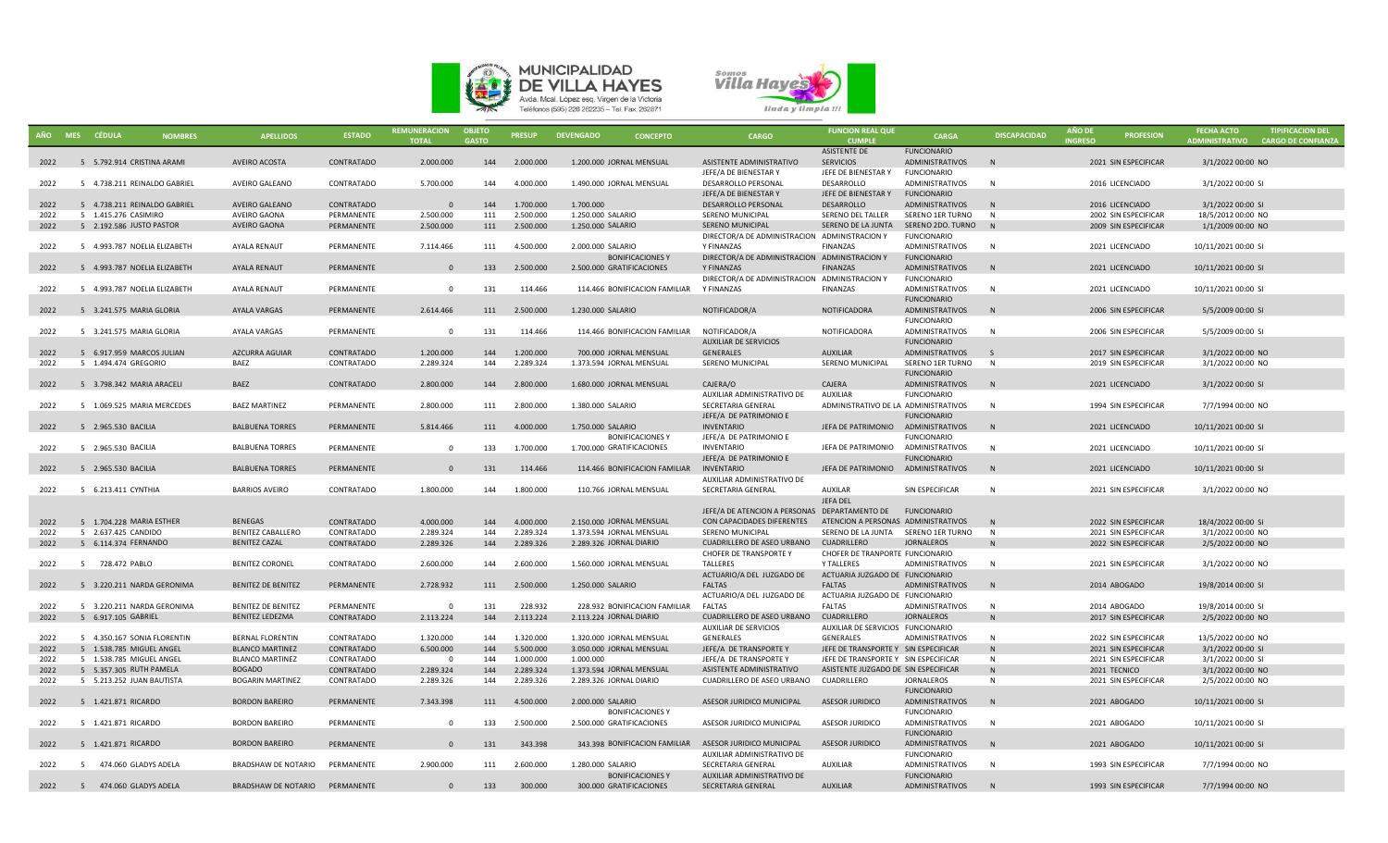



|              | AÑO MES CÉDULA                                  | <b>NOMBRES</b> | <b>APELLIDOS</b>                           | <b>ESTADO</b>            | <b>REMUNERACION</b><br><b>TOTAL</b> | <b>OBJETO</b><br><b>GASTO</b> | <b>PRESUP</b> | <b>DEVENGADO</b><br><b>CONCEPTO</b>                     | <b>CARGO</b>                                   | <b>FUNCION REAL QUE</b><br><b>CUMPLI</b>                  | CARGA                                        | <b>DISCAPACIDAD</b> | <b>AÑO DE</b><br><b>INGRESO</b> | <b>PROFESION</b>                             | <b>FECHA ACTO</b><br>ADMINISTRATIVO CARGO DE CONFIANZA | <b>TIPIFICACION DEL</b> |
|--------------|-------------------------------------------------|----------------|--------------------------------------------|--------------------------|-------------------------------------|-------------------------------|---------------|---------------------------------------------------------|------------------------------------------------|-----------------------------------------------------------|----------------------------------------------|---------------------|---------------------------------|----------------------------------------------|--------------------------------------------------------|-------------------------|
|              |                                                 |                |                                            |                          |                                     |                               |               |                                                         |                                                | <b>ASISTENTE DE</b>                                       | <b>FUNCIONARIO</b>                           |                     |                                 |                                              |                                                        |                         |
| 2022         | 5 5.792.914 CRISTINA ARAMI                      |                | <b>AVEIRO ACOSTA</b>                       | CONTRATADO               | 2.000.000                           | 144                           | 2.000.000     | 1.200.000 JORNAL MENSUAL                                | ASISTENTE ADMINISTRATIVO                       | <b>SERVICIOS</b>                                          | ADMINISTRATIVOS                              | N                   |                                 | 2021 SIN ESPECIFICAR                         | 3/1/2022 00:00 NO                                      |                         |
|              |                                                 |                |                                            |                          |                                     |                               |               |                                                         | JEFE/A DE BIENESTAR Y                          | JEFE DE BIENESTAR Y                                       | FUNCIONARIO                                  |                     |                                 |                                              |                                                        |                         |
| 2022         | 5 4.738.211 REINALDO GABRIEL                    |                | AVEIRO GALEANO                             | CONTRATADO               | 5.700.000                           | 144                           | 4.000.000     | 1.490.000 JORNAL MENSUAL                                | <b>DESARROLLO PERSONAL</b>                     | DESARROLLO                                                | ADMINISTRATIVOS                              | N                   |                                 | 2016 LICENCIADO                              | 3/1/2022 00:00 SI                                      |                         |
|              |                                                 |                |                                            |                          |                                     |                               |               |                                                         | JEFE/A DE BIENESTAR Y                          | JEFE DE BIENESTAR Y                                       | <b>FUNCIONARIO</b>                           |                     |                                 |                                              |                                                        |                         |
| 2022         | 5 4.738.211 REINALDO GABRIEL                    |                | AVEIRO GALEANO                             | CONTRATADO               | - 0                                 | 144                           | 1.700.000     | 1.700.000                                               | DESARROLLO PERSONAL                            | DESARROLLO                                                | <b>ADMINISTRATIVOS</b>                       | N                   |                                 | 2016 LICENCIADO                              | 3/1/2022 00:00 SI                                      |                         |
| 2022         | 5 1.415.276 CASIMIRO                            |                | AVEIRO GAONA                               | PERMANENTE               | 2.500.000                           | 111                           | 2.500.000     | 1.250.000 SALARIO                                       | SERENO MUNICIPAL                               | SERENO DEL TALLER                                         | SERENO 1ER TURNO                             | N                   |                                 | 2002 SIN ESPECIFICAR                         | 18/5/2012 00:00 NO                                     |                         |
| 2022         | 5 2.192.586 JUSTO PASTOR                        |                | AVEIRO GAONA                               | PERMANENTE               | 2.500.000                           | 111                           | 2.500.000     | 1.250.000 SALARIO                                       | SERENO MUNICIPAL                               | SERENO DE LA JUNTA                                        | SERENO 2DO. TURNO N                          |                     |                                 | 2009 SIN ESPECIFICAR                         | 1/1/2009 00:00 NO                                      |                         |
|              |                                                 |                |                                            |                          |                                     |                               |               |                                                         | DIRECTOR/A DE ADMINISTRACION ADMINISTRACION Y  |                                                           | <b>FUNCIONARIO</b>                           |                     |                                 |                                              |                                                        |                         |
| 2022         | 5 4.993.787 NOELIA ELIZABETH                    |                | AYALA RENAUT                               | PERMANENTE               | 7.114.466                           | 111                           | 4.500.000     | 2.000.000 SALARIO                                       | Y FINANZAS                                     | <b>FINANZAS</b>                                           | ADMINISTRATIVOS                              | N                   |                                 | 2021 LICENCIADO                              | 10/11/2021 00:00 SI                                    |                         |
|              |                                                 |                |                                            |                          |                                     |                               |               | <b>BONIFICACIONES Y</b>                                 | DIRECTOR/A DE ADMINISTRACION ADMINISTRACION Y  |                                                           | <b>FUNCIONARIO</b>                           |                     |                                 |                                              |                                                        |                         |
| 2022         | 5 4.993.787 NOELIA ELIZABETH                    |                | AYALA RENAUT                               | PERMANENTE               | $\Omega$                            | 133                           | 2.500.000     | 2.500.000 GRATIFICACIONES                               | Y FINANZAS                                     | <b>FINANZAS</b>                                           | ADMINISTRATIVOS                              | N                   |                                 | 2021 LICENCIADO                              | 10/11/2021 00:00 SI                                    |                         |
|              |                                                 |                |                                            |                          |                                     |                               |               |                                                         | DIRECTOR/A DE ADMINISTRACION ADMINISTRACION Y  |                                                           | <b>FUNCIONARIO</b>                           |                     |                                 |                                              |                                                        |                         |
| 2022         | 5 4.993.787 NOELIA ELIZABETH                    |                | AYALA RENAUT                               | PERMANENTE               | $\Omega$                            | 131                           | 114.466       | 114.466 BONIFICACION FAMILIAR Y FINANZAS                |                                                | <b>FINANZAS</b>                                           | <b>ADMINISTRATIVOS</b>                       | N                   |                                 | 2021 LICENCIADO                              | 10/11/2021 00:00 SI                                    |                         |
|              |                                                 |                |                                            |                          |                                     |                               |               |                                                         |                                                |                                                           | <b>FUNCIONARIO</b>                           |                     |                                 |                                              |                                                        |                         |
| 2022         | 5 3.241.575 MARIA GLORIA                        |                | AYALA VARGAS                               | PERMANENTE               | 2.614.466                           | 111                           | 2.500.000     | 1.230.000 SALARIO                                       | NOTIFICADOR/A                                  | NOTIFICADORA                                              | ADMINISTRATIVOS                              | N                   |                                 | 2006 SIN ESPECIFICAR                         | 5/5/2009 00:00 SI                                      |                         |
|              |                                                 |                | AYALA VARGAS                               |                          | $\Omega$                            | 131                           | 114.466       | 114.466 BONIFICACION FAMILIAR NOTIFICADOR/A             |                                                | NOTIFICADORA                                              | <b>FUNCIONARIO</b><br>ADMINISTRATIVOS        | N                   |                                 |                                              |                                                        |                         |
| 2022         | 5 3.241.575 MARIA GLORIA                        |                |                                            | PERMANENTE               |                                     |                               |               |                                                         | <b>AUXILIAR DE SERVICIOS</b>                   |                                                           | <b>FUNCIONARIO</b>                           |                     |                                 | 2006 SIN ESPECIFICAR                         | 5/5/2009 00:00 SI                                      |                         |
| 2022         | 5 6.917.959 MARCOS JULIAN                       |                | <b>AZCURRA AGUIAR</b>                      | CONTRATADO               | 1.200.000                           | 144                           | 1.200.000     | 700.000 JORNAL MENSUAL                                  | GENERALES                                      | <b>AUXILIAR</b>                                           | <b>ADMINISTRATIVOS</b>                       | -S                  |                                 | 2017 SIN ESPECIFICAR                         | 3/1/2022 00:00 NO                                      |                         |
| 2022         | 5 1.494.474 GREGORIO                            |                | BAEZ                                       | CONTRATADO               | 2.289.324                           | 144                           | 2.289.324     | 1.373.594 JORNAL MENSUAL                                | SERENO MUNICIPAL                               | SERENO MUNICIPAL                                          | SERENO 1ER TURNO                             | - N                 |                                 | 2019 SIN ESPECIFICAR                         | 3/1/2022 00:00 NO                                      |                         |
|              |                                                 |                |                                            |                          |                                     |                               |               |                                                         |                                                |                                                           | <b>FUNCIONARIO</b>                           |                     |                                 |                                              |                                                        |                         |
| 2022         | 5 3.798.342 MARIA ARACELI                       |                | BAEZ                                       | CONTRATADO               | 2.800.000                           | 144                           | 2.800.000     | 1.680.000 JORNAL MENSUAL                                | CAJERA/O                                       | CAJERA                                                    | ADMINISTRATIVOS                              | N                   |                                 | 2021 LICENCIADO                              | 3/1/2022 00:00 SI                                      |                         |
|              |                                                 |                |                                            |                          |                                     |                               |               |                                                         | AUXILIAR ADMINISTRATIVO DE                     | <b>AUXILIAR</b>                                           | <b>FUNCIONARIO</b>                           |                     |                                 |                                              |                                                        |                         |
| 2022         | 5 1.069.525 MARIA MERCEDES                      |                | <b>BAEZ MARTINEZ</b>                       | PERMANENTE               | 2.800.000                           | 111                           | 2.800.000     | 1.380.000 SALARIO                                       | SECRETARIA GENERAL                             | ADMINISTRATIVO DE LA ADMINISTRATIVOS                      |                                              | N                   |                                 | 1994 SIN ESPECIFICAR                         | 7/7/1994 00:00 NO                                      |                         |
|              |                                                 |                |                                            |                          |                                     |                               |               |                                                         | JEFE/A DE PATRIMONIO E                         |                                                           | <b>FUNCIONARIO</b>                           |                     |                                 |                                              |                                                        |                         |
| 2022         | 5 2.965.530 BACILIA                             |                | <b>BALBUENA TORRES</b>                     | PERMANENTE               | 5.814.466                           | 111                           | 4.000.000     | 1.750.000 SALARIO                                       | <b>INVENTARIO</b>                              | JEFA DE PATRIMONIO                                        | <b>ADMINISTRATIVOS</b>                       | N                   |                                 | 2021 LICENCIADO                              | 10/11/2021 00:00 SI                                    |                         |
|              |                                                 |                |                                            |                          |                                     |                               |               | <b>BONIFICACIONES Y</b>                                 | JEFE/A DE PATRIMONIO E                         |                                                           | <b>FUNCIONARIO</b>                           |                     |                                 |                                              |                                                        |                         |
| 2022         | 5 2.965.530 BACILIA                             |                | <b>BALBUENA TORRES</b>                     | PERMANENTE               | $\Omega$                            | 133                           | 1.700.000     | 1.700.000 GRATIFICACIONES                               | <b>INVENTARIO</b>                              | JEFA DE PATRIMONIO                                        | <b>ADMINISTRATIVOS</b>                       | N                   |                                 | 2021 LICENCIADO                              | 10/11/2021 00:00 SI                                    |                         |
|              |                                                 |                |                                            |                          |                                     |                               |               |                                                         | JEFE/A DE PATRIMONIO E                         |                                                           | <b>FUNCIONARIO</b>                           |                     |                                 |                                              |                                                        |                         |
| 2022         | 5 2.965.530 BACILIA                             |                | <b>BALBUENA TORRES</b>                     | PERMANENTE               | $\overline{0}$                      | 131                           | 114.466       | 114.466 BONIFICACION FAMILIAR                           | <b>INVENTARIO</b>                              | JEFA DE PATRIMONIO                                        | ADMINISTRATIVOS                              | N                   |                                 | 2021 LICENCIADO                              | 10/11/2021 00:00 SI                                    |                         |
|              |                                                 |                |                                            |                          |                                     |                               |               |                                                         | AUXILIAR ADMINISTRATIVO DE                     |                                                           |                                              |                     |                                 |                                              |                                                        |                         |
| 2022         | 5 6.213.411 CYNTHIA                             |                | <b>BARRIOS AVEIRO</b>                      | CONTRATADO               | 1.800.000                           | 144                           | 1.800.000     | 110.766 JORNAL MENSUAL                                  | SECRETARIA GENERAL                             | <b>AUXILAR</b>                                            | SIN ESPECIFICAR                              | N                   |                                 | 2021 SIN ESPECIFICAR                         | 3/1/2022 00:00 NO                                      |                         |
|              |                                                 |                |                                            |                          |                                     |                               |               |                                                         |                                                | <b>JEFA DEL</b>                                           |                                              |                     |                                 |                                              |                                                        |                         |
|              |                                                 |                |                                            |                          | 4.000.000                           |                               | 4.000.000     |                                                         | JEFE/A DE ATENCION A PERSONAS DEPARTAMENTO DE  |                                                           | <b>FUNCIONARIO</b>                           |                     |                                 |                                              |                                                        |                         |
| 2022<br>2022 | 5 1.704.228 MARIA ESTHER<br>5 2.637.425 CANDIDO |                | <b>BENEGAS</b><br><b>BENITEZ CABALLERO</b> | CONTRATADO<br>CONTRATADO | 2.289.324                           | 144<br>144                    | 2.289.324     | 2.150.000 JORNAL MENSUAL<br>1.373.594 JORNAL MENSUAL    | CON CAPACIDADES DIFERENTES<br>SERENO MUNICIPAL | ATENCION A PERSONAS ADMINISTRATIVOS<br>SERENO DE LA JUNTA | SERENO 1ER TURNO                             | N<br>N              |                                 | 2022 SIN ESPECIFICAR<br>2021 SIN ESPECIFICAR | 18/4/2022 00:00 SI<br>3/1/2022 00:00 NO                |                         |
| 2022         | 5 6.114.374 FERNANDO                            |                | <b>BENITEZ CAZAL</b>                       | CONTRATADO               | 2.289.326                           | 144                           | 2.289.326     | 2.289.326 JORNAL DIARIO                                 | <b>CUADRILLERO DE ASEO URBANO</b>              | CUADRILLERO                                               | <b>JORNALEROS</b>                            |                     |                                 | 2022 SIN ESPECIFICAR                         | 2/5/2022 00:00 NO                                      |                         |
|              |                                                 |                |                                            |                          |                                     |                               |               |                                                         | CHOFER DE TRANSPORTE Y                         | CHOFER DE TRANPORTE FUNCIONARIO                           |                                              |                     |                                 |                                              |                                                        |                         |
| 2022         | 5 728.472 PABLO                                 |                | <b>BENITEZ CORONEL</b>                     | CONTRATADO               | 2.600.000                           | 144                           | 2.600.000     | 1.560.000 JORNAL MENSUAL                                | TALLERES                                       | <b>Y TALLERES</b>                                         | <b>ADMINISTRATIVOS</b>                       | N                   |                                 | 2021 SIN ESPECIFICAR                         | 3/1/2022 00:00 NO                                      |                         |
|              |                                                 |                |                                            |                          |                                     |                               |               |                                                         | ACTUARIO/A DEL JUZGADO DE                      | ACTUARIA JUZGADO DE FUNCIONARIO                           |                                              |                     |                                 |                                              |                                                        |                         |
| 2022         | 5 3.220.211 NARDA GERONIMA                      |                | <b>BENITEZ DE BENITEZ</b>                  | PERMANENTE               | 2.728.932                           | 111                           | 2.500.000     | 1.250.000 SALARIO                                       | <b>FALTAS</b>                                  | <b>FALTAS</b>                                             | <b>ADMINISTRATIVOS</b>                       | N                   |                                 | 2014 ABOGADO                                 | 19/8/2014 00:00 SI                                     |                         |
|              |                                                 |                |                                            |                          |                                     |                               |               |                                                         | ACTUARIO/A DEL JUZGADO DE                      | ACTUARIA JUZGADO DE FUNCIONARIO                           |                                              |                     |                                 |                                              |                                                        |                         |
| 2022         | 5 3.220.211 NARDA GERONIMA                      |                | <b>BENITEZ DE BENITEZ</b>                  | PERMANENTE               | - 0                                 | 131                           | 228.932       | 228.932 BONIFICACION FAMILIAR                           | FALTAS                                         | <b>FALTAS</b>                                             | <b>ADMINISTRATIVOS</b>                       | N                   |                                 | 2014 ABOGADO                                 | 19/8/2014 00:00 SI                                     |                         |
| 2022         | 5 6.917.105 GABRIEL                             |                | <b>BENITEZ LEDEZMA</b>                     | CONTRATADO               | 2.113.224                           | 144                           | 2.113.224     | 2.113.224 JORNAL DIARIO                                 | CUADRILLERO DE ASEO URBANO                     | CUADRILLERO                                               | <b>JORNALEROS</b>                            | N                   |                                 | 2017 SIN ESPECIFICAR                         | 2/5/2022 00:00 NO                                      |                         |
|              |                                                 |                |                                            |                          |                                     |                               |               |                                                         | AUXILIAR DE SERVICIOS                          | AUXILIAR DE SERVICIOS FUNCIONARIO                         |                                              |                     |                                 |                                              |                                                        |                         |
| 2022         | 5 4.350.167 SONIA FLORENTIN                     |                | <b>BERNAL FLORENTIN</b>                    | CONTRATADO               | 1.320.000                           | 144                           | 1.320.000     | 1.320.000 JORNAL MENSUAL                                | GENERALES                                      | GENERALES                                                 | <b>ADMINISTRATIVOS</b>                       | N                   |                                 | 2022 SIN ESPECIFICAR                         | 13/5/2022 00:00 NO                                     |                         |
| 2022         | 5 1.538.785 MIGUEL ANGEL                        |                | <b>BLANCO MARTINEZ</b>                     | CONTRATADO               | 6.500.000                           | 144                           | 5.500.000     | 3.050.000 JORNAL MENSUAL                                | JEFE/A DE TRANSPORTE Y                         | JEFE DE TRANSPORTE Y SIN ESPECIFICAR                      |                                              | N                   |                                 | 2021 SIN ESPECIFICAR                         | 3/1/2022 00:00 SI                                      |                         |
| 2022         | 5 1.538.785 MIGUEL ANGEL                        |                | <b>BLANCO MARTINEZ</b>                     | CONTRATADO               | $\Omega$                            | 144                           | 1.000.000     | 1.000.000                                               | JEFE/A DE TRANSPORTE Y                         | JEFE DE TRANSPORTE Y SIN ESPECIFICAR                      |                                              | <b>N</b>            |                                 | 2021 SIN ESPECIFICAR                         | 3/1/2022 00:00 SI                                      |                         |
| 2022         | 5 5.357.305 RUTH PAMELA                         |                | <b>BOGADO</b>                              | CONTRATADO               | 2.289.324                           | 144                           | 2.289.324     | 1.373.594 JORNAL MENSUAL                                | ASISTENTE ADMINISTRATIVO                       | ASISTENTE JUZGADO DE SIN ESPECIFICAR                      |                                              | N                   |                                 | 2021 TECNICO                                 | 3/1/2022 00:00 NO                                      |                         |
| 2022         | 5 5.213.252 JUAN BAUTISTA                       |                | <b>BOGARIN MARTINEZ</b>                    | CONTRATADO               | 2.289.326                           | 144                           | 2.289.326     | 2.289.326 JORNAL DIARIO                                 | CUADRILLERO DE ASEO URBANO                     | CUADRILLERO                                               | <b>JORNALEROS</b>                            | N                   |                                 | 2021 SIN ESPECIFICAR                         | 2/5/2022 00:00 NO                                      |                         |
|              |                                                 |                |                                            |                          |                                     |                               |               |                                                         |                                                |                                                           | <b>FUNCIONARIO</b>                           |                     |                                 |                                              |                                                        |                         |
| 2022         | 5 1.421.871 RICARDO                             |                | <b>BORDON BAREIRO</b>                      | PERMANENTE               | 7.343.398                           | 111                           | 4.500.000     | 2.000.000 SALARIO                                       | ASESOR JURIDICO MUNICIPAL                      | <b>ASESOR JURIDICO</b>                                    | ADMINISTRATIVOS                              | N                   |                                 | 2021 ABOGADO                                 | 10/11/2021 00:00 SI                                    |                         |
| 2022         | 5 1.421.871 RICARDO                             |                | <b>BORDON BAREIRO</b>                      | PERMANENTE               | $\Omega$                            | 133                           | 2.500.000     | <b>BONIFICACIONES Y</b><br>2.500.000 GRATIFICACIONES    | ASESOR JURIDICO MUNICIPAL                      | <b>ASESOR JURIDICO</b>                                    | <b>FUNCIONARIO</b><br><b>ADMINISTRATIVOS</b> | N                   |                                 | 2021 ABOGADO                                 | 10/11/2021 00:00 SI                                    |                         |
|              |                                                 |                |                                            |                          |                                     |                               |               |                                                         |                                                |                                                           | <b>FUNCIONARIO</b>                           |                     |                                 |                                              |                                                        |                         |
| 2022         | 5 1.421.871 RICARDO                             |                | <b>BORDON BAREIRO</b>                      | PERMANENTE               | $\Omega$                            | 131                           | 343.398       | 343.398 BONIFICACION FAMILIAR ASESOR JURIDICO MUNICIPAL |                                                | <b>ASESOR JURIDICO</b>                                    | ADMINISTRATIVOS                              | N                   |                                 | 2021 ABOGADO                                 | 10/11/2021 00:00 SI                                    |                         |
|              |                                                 |                |                                            |                          |                                     |                               |               |                                                         | AUXILIAR ADMINISTRATIVO DE                     |                                                           | <b>FUNCIONARIO</b>                           |                     |                                 |                                              |                                                        |                         |
| 2022         | 5 474.060 GLADYS ADELA                          |                | BRADSHAW DE NOTARIO                        | PERMANENTE               | 2.900.000                           | 111                           | 2.600.000     | 1.280.000 SALARIO                                       | SECRETARIA GENERAL                             | <b>AUXILIAR</b>                                           | ADMINISTRATIVOS                              | - N                 |                                 | 1993 SIN ESPECIFICAR                         | 7/7/1994 00:00 NO                                      |                         |
|              |                                                 |                |                                            |                          |                                     |                               |               | <b>BONIFICACIONES Y</b>                                 | AUXILIAR ADMINISTRATIVO DE                     |                                                           | <b>FUNCIONARIO</b>                           |                     |                                 |                                              |                                                        |                         |
| 2022         | 5 474.060 GLADYS ADELA                          |                | BRADSHAW DE NOTARIO                        | PERMANENTE               | $\mathbf{0}$                        | 133                           | 300.000       | 300.000 GRATIFICACIONES                                 | SECRETARIA GENERAL                             | <b>AUXILIAR</b>                                           | ADMINISTRATIVOS                              | N                   |                                 | 1993 SIN ESPECIFICAR                         | 7/7/1994 00:00 NO                                      |                         |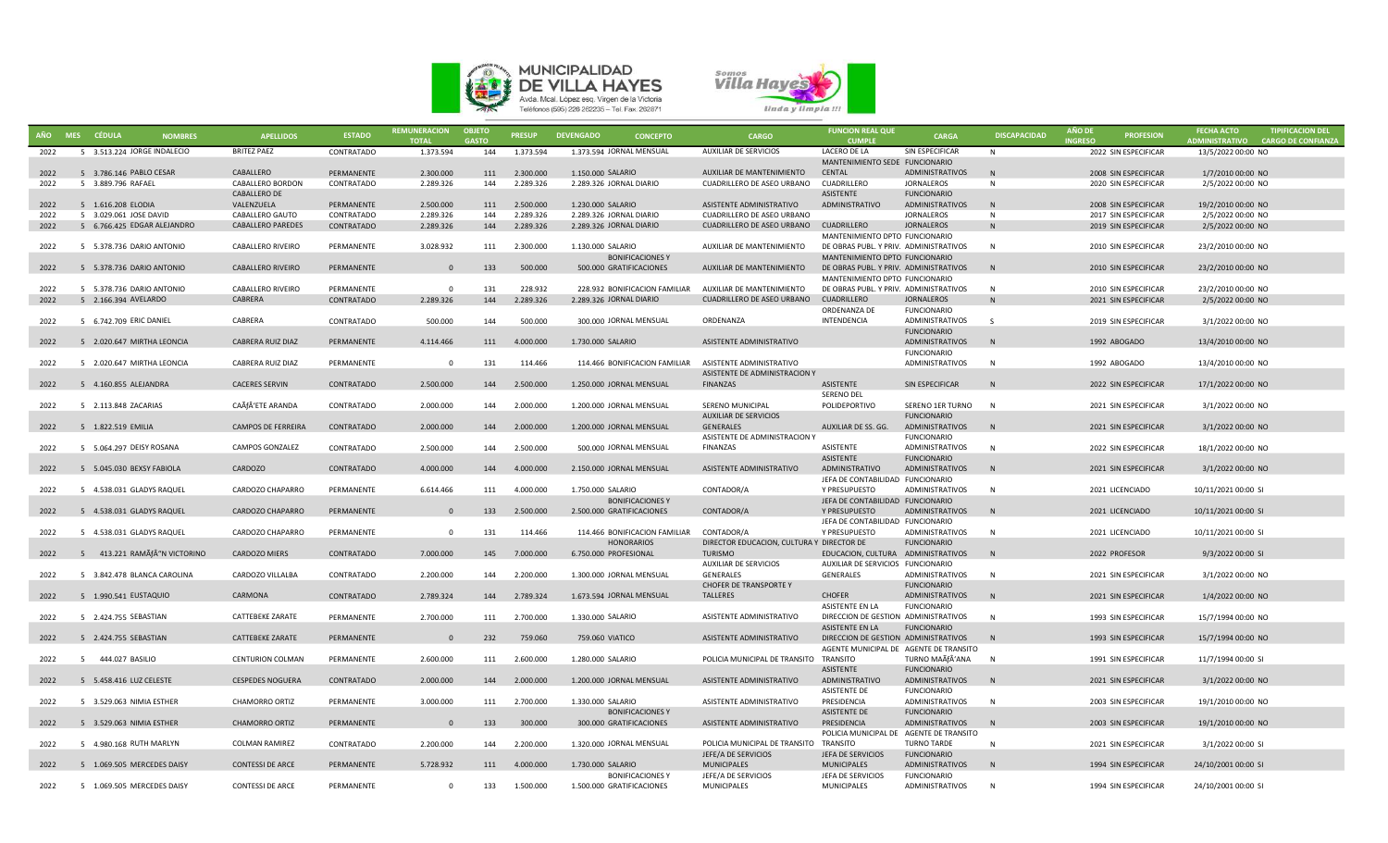



|      | AÑO MES CÉDULA | <b>NOMBRES</b>               | <b>APELLIDOS</b>          | <b>ESTADO</b> | <b>REMUNERACION</b><br><b>TOTAL</b> | <b>OBJETO</b><br><b>GASTO</b> | <b>PRESUP</b> | <b>DEVENGADO</b><br><b>CONCEPTO</b>                    | <b>CARGO</b>                              | <b>FUNCION REAL QUE</b><br><b>CUMPLE</b> | <b>CARGA</b>                          | <b>DISCAPACIDAD</b> | <b>AÑO DE</b><br><b>INGRESO</b> | <b>PROFESION</b>     | <b>FECHA ACTO</b><br><b>ADMINISTRATIVO</b> | <b>TIPIFICACION DEL</b><br><b>CARGO DE CONFIANZA</b> |
|------|----------------|------------------------------|---------------------------|---------------|-------------------------------------|-------------------------------|---------------|--------------------------------------------------------|-------------------------------------------|------------------------------------------|---------------------------------------|---------------------|---------------------------------|----------------------|--------------------------------------------|------------------------------------------------------|
| 2022 |                | 5 3.513.224 JORGE INDALECIO  | <b>BRITEZ PAEZ</b>        | CONTRATADO    | 1.373.594                           | 144                           | 1.373.594     | 1.373.594 JORNAL MENSUAL                               | AUXILIAR DE SERVICIOS                     | LACERO DE LA                             | SIN ESPECIFICAR                       | <b>N</b>            |                                 | 2022 SIN ESPECIFICAR | 13/5/2022 00:00 NO                         |                                                      |
|      |                |                              |                           |               |                                     |                               |               |                                                        |                                           | MANTENIMIENTO SEDE FUNCIONARIO           |                                       |                     |                                 |                      |                                            |                                                      |
| 2022 |                | 5 3.786.146 PABLO CESAR      | CABALLERO                 | PERMANENTE    | 2.300.000                           | 111                           | 2.300.000     | 1.150.000 SALARIO                                      | AUXILIAR DE MANTENIMIENTO                 | CENTAL                                   | <b>ADMINISTRATIVOS</b>                | N                   |                                 | 2008 SIN ESPECIFICAR | 1/7/2010 00:00 NO                          |                                                      |
| 2022 |                | 5 3.889.796 RAFAEL           | CABALLERO BORDON          | CONTRATADO    | 2.289.326                           | 144                           | 2.289.326     | 2.289.326 JORNAL DIARIO                                | CUADRILLERO DE ASEO URBANO                | CUADRILLERO                              | JORNALEROS                            | N                   |                                 | 2020 SIN ESPECIFICAR | 2/5/2022 00:00 NO                          |                                                      |
|      |                |                              | <b>CABALLERO DE</b>       |               |                                     |                               |               |                                                        |                                           | <b>ASISTENTE</b>                         | <b>FUNCIONARIO</b>                    |                     |                                 |                      |                                            |                                                      |
| 2022 |                | 5 1.616.208 ELODIA           | VALENZUELA                | PERMANENTE    | 2.500.000                           | 111                           | 2.500.000     | 1.230.000 SALARIO                                      | ASISTENTE ADMINISTRATIVO                  | ADMINISTRATIVO                           | ADMINISTRATIVOS                       | N                   |                                 | 2008 SIN ESPECIFICAR | 19/2/2010 00:00 NO                         |                                                      |
| 2022 |                | 5 3.029.061 JOSE DAVID       | CABALLERO GAUTO           | CONTRATADO    | 2.289.326                           | 144                           | 2.289.326     | 2.289.326 JORNAL DIARIO                                | CUADRILLERO DE ASEO URBANO                |                                          | <b>JORNALEROS</b>                     | N                   |                                 | 2017 SIN ESPECIFICAR | 2/5/2022 00:00 NO                          |                                                      |
| 2022 |                | 5 6.766.425 EDGAR ALEJANDRO  | <b>CABALLERO PAREDES</b>  | CONTRATADO    | 2.289.326                           | 144                           | 2.289.326     | 2.289.326 JORNAL DIARIO                                | CUADRILLERO DE ASEO URBANO CUADRILLERO    | MANTENIMIENTO DPTO FUNCIONARIO           | <b>JORNALEROS</b>                     | N                   |                                 | 2019 SIN ESPECIFICAR | 2/5/2022 00:00 NO                          |                                                      |
| 2022 |                | 5 5.378.736 DARIO ANTONIO    | CABALLERO RIVEIRO         | PERMANENTE    | 3.028.932                           | 111                           | 2.300.000     | 1.130.000 SALARIO                                      | AUXILIAR DE MANTENIMIENTO                 | DE OBRAS PUBL. Y PRIV. ADMINISTRATIVOS   |                                       | $\mathsf{N}$        |                                 | 2010 SIN ESPECIFICAR | 23/2/2010 00:00 NO                         |                                                      |
|      |                |                              |                           |               |                                     |                               |               | <b>BONIFICACIONES Y</b>                                |                                           | MANTENIMIENTO DPTO FUNCIONARIO           |                                       |                     |                                 |                      |                                            |                                                      |
| 2022 |                | 5 5.378.736 DARIO ANTONIO    | <b>CABALLERO RIVEIRO</b>  | PERMANENTE    | $\Omega$                            | 133                           | 500.000       | 500.000 GRATIFICACIONES                                | AUXILIAR DE MANTENIMIENTO                 | DE OBRAS PUBL. Y PRIV. ADMINISTRATIVOS   |                                       | N                   |                                 | 2010 SIN ESPECIFICAR | 23/2/2010 00:00 NO                         |                                                      |
|      |                |                              |                           |               |                                     |                               |               |                                                        |                                           | MANTENIMIENTO DPTO FUNCIONARIO           |                                       |                     |                                 |                      |                                            |                                                      |
| 2022 |                | 5 5.378.736 DARIO ANTONIO    | CABALLERO RIVEIRO         | PERMANENTE    | $\Omega$                            | 131                           | 228.932       | 228.932 BONIFICACION FAMILIAR                          | AUXILIAR DE MANTENIMIENTO                 | DE OBRAS PUBL. Y PRIV. ADMINISTRATIVOS   |                                       | N                   |                                 | 2010 SIN ESPECIFICAR | 23/2/2010 00:00 NO                         |                                                      |
| 2022 |                | 5 2.166.394 AVELARDO         | CABRERA                   | CONTRATADO    | 2.289.326                           | 144                           | 2.289.326     | 2.289.326 JORNAL DIARIO                                | CUADRILLERO DE ASEO URBANO                | <b>CUADRILLERO</b>                       | JORNALEROS                            | N                   |                                 | 2021 SIN ESPECIFICAR | 2/5/2022 00:00 NO                          |                                                      |
|      |                |                              |                           |               |                                     |                               |               |                                                        |                                           | ORDENANZA DE                             | <b>FUNCIONARIO</b>                    |                     |                                 |                      |                                            |                                                      |
| 2022 |                | 5 6.742.709 ERIC DANIEL      | CABRERA                   | CONTRATADO    | 500,000                             | 144                           | 500.000       | 300.000 JORNAL MENSUAL                                 | ORDENANZA                                 | INTENDENCIA                              | ADMINISTRATIVOS                       | S.                  |                                 | 2019 SIN ESPECIFICAR | 3/1/2022 00:00 NO                          |                                                      |
|      |                |                              |                           |               |                                     |                               |               |                                                        |                                           |                                          | <b>FUNCIONARIO</b>                    |                     |                                 |                      |                                            |                                                      |
| 2022 |                | 5 2.020.647 MIRTHA LEONCIA   | CABRERA RUIZ DIAZ         | PERMANENTE    | 4.114.466                           | 111                           | 4.000.000     | 1.730.000 SALARIO                                      | ASISTENTE ADMINISTRATIVO                  |                                          | ADMINISTRATIVOS                       | N                   |                                 | 1992 ABOGADO         | 13/4/2010 00:00 NO                         |                                                      |
|      |                |                              |                           |               |                                     |                               |               |                                                        |                                           |                                          | <b>FUNCIONARIO</b>                    |                     |                                 |                      |                                            |                                                      |
| 2022 |                | 5 2.020.647 MIRTHA LEONCIA   | CABRERA RUIZ DIAZ         | PERMANENTE    | $\Omega$                            | 131                           | 114.466       | 114.466 BONIFICACION FAMILIAR ASISTENTE ADMINISTRATIVO |                                           |                                          | <b>ADMINISTRATIVOS</b>                | $\mathsf{N}$        |                                 | 1992 ABOGADO         | 13/4/2010 00:00 NO                         |                                                      |
|      |                |                              |                           |               |                                     |                               |               |                                                        | ASISTENTE DE ADMINISTRACION Y             |                                          |                                       |                     |                                 |                      |                                            |                                                      |
| 2022 |                | 5 4.160.855 ALEJANDRA        | <b>CACERES SERVIN</b>     | CONTRATADO    | 2.500.000                           | 144                           | 2.500.000     | 1.250.000 JORNAL MENSUAL                               | <b>FINANZAS</b>                           | ASISTENTE                                | SIN ESPECIFICAR                       | <b>N</b>            |                                 | 2022 SIN ESPECIFICAR | 17/1/2022 00:00 NO                         |                                                      |
|      |                |                              |                           |               |                                     |                               |               |                                                        |                                           | <b>SERENO DEL</b>                        |                                       |                     |                                 |                      |                                            |                                                      |
| 2022 |                | 5 2.113.848 ZACARIAS         | CAÃfÂ'ETE ARANDA          | CONTRATADO    | 2.000.000                           | 144                           | 2.000.000     | 1.200.000 JORNAL MENSUAL                               | SERENO MUNICIPAL                          | POLIDEPORTIVO                            | SERENO 1ER TURNO                      | N                   |                                 | 2021 SIN ESPECIFICAR | 3/1/2022 00:00 NO                          |                                                      |
|      |                |                              |                           |               |                                     |                               |               |                                                        | <b>AUXILIAR DE SERVICIOS</b>              |                                          | <b>FUNCIONARIO</b>                    |                     |                                 |                      |                                            |                                                      |
| 2022 |                | 5 1.822.519 EMILIA           | <b>CAMPOS DE FERREIRA</b> | CONTRATADO    | 2.000.000                           | 144                           | 2.000.000     | 1.200.000 JORNAL MENSUAL                               | GENERALES                                 | AUXILIAR DE SS. GG.                      | ADMINISTRATIVOS                       | N                   |                                 | 2021 SIN ESPECIFICAR | 3/1/2022 00:00 NO                          |                                                      |
|      |                |                              |                           |               |                                     |                               |               |                                                        | ASISTENTE DE ADMINISTRACION Y             |                                          | <b>FUNCIONARIO</b>                    |                     |                                 |                      |                                            |                                                      |
| 2022 |                | 5 5.064.297 DEISY ROSANA     | CAMPOS GONZALEZ           | CONTRATADO    | 2.500.000                           | 144                           | 2.500.000     | 500.000 JORNAL MENSUAL                                 | <b>FINANZAS</b>                           | ASISTENTE                                | <b>ADMINISTRATIVOS</b>                | $\mathsf{N}$        |                                 | 2022 SIN ESPECIFICAR | 18/1/2022 00:00 NO                         |                                                      |
|      |                | 5 5.045.030 BEXSY FABIOLA    | CARDOZO                   | CONTRATADO    | 4.000.000                           | 144                           | 4.000.000     | 2.150.000 JORNAL MENSUAL                               |                                           | ASISTENTE<br>ADMINISTRATIVO              | <b>FUNCIONARIO</b><br>ADMINISTRATIVOS | N                   |                                 | 2021 SIN ESPECIFICAR |                                            |                                                      |
| 2022 |                |                              |                           |               |                                     |                               |               |                                                        | ASISTENTE ADMINISTRATIVO                  | JEFA DE CONTABILIDAD FUNCIONARIO         |                                       |                     |                                 |                      | 3/1/2022 00:00 NO                          |                                                      |
| 2022 |                | 5 4.538.031 GLADYS RAQUEL    | CARDOZO CHAPARRO          | PERMANENTE    | 6.614.466                           | 111                           | 4.000.000     | 1.750.000 SALARIO                                      | CONTADOR/A                                | Y PRESUPUESTO                            | <b>ADMINISTRATIVOS</b>                | N                   |                                 | 2021 LICENCIADO      | 10/11/2021 00:00 SI                        |                                                      |
|      |                |                              |                           |               |                                     |                               |               | <b>BONIFICACIONES Y</b>                                |                                           | JEFA DE CONTABILIDAD FUNCIONARIO         |                                       |                     |                                 |                      |                                            |                                                      |
| 2022 |                | 5 4.538.031 GLADYS RAQUEL    | CARDOZO CHAPARRO          | PERMANENTE    | $\Omega$                            | 133                           | 2.500.000     | 2.500.000 GRATIFICACIONES                              | CONTADOR/A                                | Y PRESUPUESTO                            | ADMINISTRATIVOS                       | N                   |                                 | 2021 LICENCIADO      | 10/11/2021 00:00 SI                        |                                                      |
|      |                |                              |                           |               |                                     |                               |               |                                                        |                                           | JEFA DE CONTABILIDAD FUNCIONARIO         |                                       |                     |                                 |                      |                                            |                                                      |
| 2022 |                | 5 4.538.031 GLADYS RAQUEL    | CARDOZO CHAPARRO          | PERMANENTE    |                                     | 131                           | 114.466       | 114.466 BONIFICACION FAMILIAR                          | CONTADOR/A                                | Y PRESUPUESTO                            | ADMINISTRATIVOS                       | N                   |                                 | 2021 LICENCIADO      | 10/11/2021 00:00 SI                        |                                                      |
|      |                |                              |                           |               |                                     |                               |               | <b>HONORARIOS</b>                                      | DIRECTOR EDUCACION, CULTURA Y DIRECTOR DE |                                          | <b>FUNCIONARIO</b>                    |                     |                                 |                      |                                            |                                                      |
| 2022 |                | 5 413.221 RAMÃf "N VICTORINO | <b>CARDOZO MIERS</b>      | CONTRATADO    | 7.000.000                           | 145                           | 7.000.000     | 6.750.000 PROFESIONAL                                  | <b>TURISMO</b>                            | EDUCACION, CULTURA ADMINISTRATIVOS       |                                       | N                   |                                 | 2022 PROFESOR        | 9/3/2022 00:00 SI                          |                                                      |
|      |                |                              |                           |               |                                     |                               |               |                                                        | AUXILIAR DE SERVICIOS                     | AUXILIAR DE SERVICIOS FUNCIONARIO        |                                       |                     |                                 |                      |                                            |                                                      |
| 2022 |                | 5 3.842.478 BLANCA CAROLINA  | CARDOZO VILLALBA          | CONTRATADO    | 2.200.000                           | 144                           | 2.200.000     | 1.300.000 JORNAL MENSUAL                               | GENERALES                                 | GENERALES                                | ADMINISTRATIVOS                       | N                   |                                 | 2021 SIN ESPECIFICAR | 3/1/2022 00:00 NO                          |                                                      |
|      |                |                              |                           |               |                                     |                               |               |                                                        | CHOFER DE TRANSPORTE Y                    |                                          | <b>FUNCIONARIO</b>                    |                     |                                 |                      |                                            |                                                      |
| 2022 |                | 5 1.990.541 EUSTAQUIO        | CARMONA                   | CONTRATADO    | 2.789.324                           | 144                           | 2.789.324     | 1.673.594 JORNAL MENSUAL                               | <b>TALLERES</b>                           | <b>CHOFER</b>                            | <b>ADMINISTRATIVOS</b>                | N                   |                                 | 2021 SIN ESPECIFICAR | 1/4/2022 00:00 NO                          |                                                      |
|      |                |                              |                           |               |                                     |                               |               |                                                        |                                           | ASISTENTE EN LA                          | <b>FUNCIONARIO</b>                    |                     |                                 |                      |                                            |                                                      |
| 2022 |                | 5 2.424.755 SEBASTIAN        | <b>CATTEBEKE ZARATE</b>   | PERMANENTE    | 2.700.000                           | 111                           | 2.700.000     | 1.330.000 SALARIO                                      | ASISTENTE ADMINISTRATIVO                  | DIRECCION DE GESTION ADMINISTRATIVOS     |                                       | N                   |                                 | 1993 SIN ESPECIFICAR | 15/7/1994 00:00 NO                         |                                                      |
|      |                |                              |                           |               |                                     |                               |               |                                                        |                                           | ASISTENTE EN LA                          | <b>FUNCIONARIO</b>                    |                     |                                 |                      |                                            |                                                      |
| 2022 |                | 5 2.424.755 SEBASTIAN        | <b>CATTEBEKE ZARATE</b>   | PERMANENTE    | $\Omega$                            | 232                           | 759.060       | 759.060 VIATICO                                        | ASISTENTE ADMINISTRATIVO                  | DIRECCION DE GESTION ADMINISTRATIVOS     |                                       | N                   |                                 | 1993 SIN ESPECIFICAR | 15/7/1994 00:00 NO                         |                                                      |
|      |                |                              |                           |               |                                     |                               |               |                                                        |                                           | AGENTE MUNICIPAL DE AGENTE DE TRANSITO   |                                       |                     |                                 |                      |                                            |                                                      |
| 2022 |                | 5 444.027 BASILIO            | <b>CENTURION COLMAN</b>   | PERMANENTE    | 2.600.000                           | 111                           | 2.600.000     | 1.280.000 SALARIO                                      | POLICIA MUNICIPAL DE TRANSITO TRANSITO    |                                          | TURNO MAÑANA                          | $\mathsf{N}$        |                                 | 1991 SIN ESPECIFICAR | 11/7/1994 00:00 SI                         |                                                      |
|      |                | 5 5.458.416 LUZ CELESTE      | <b>CESPEDES NOGUERA</b>   |               |                                     |                               | 144 2.000.000 | 1.200.000 JORNAL MENSUAL                               | ASISTENTE ADMINISTRATIVO                  | ASISTENTE<br>ADMINISTRATIVO              | <b>FUNCIONARIO</b><br>ADMINISTRATIVOS | N                   |                                 |                      |                                            |                                                      |
| 2022 |                |                              |                           | CONTRATADO    | 2.000.000                           |                               |               |                                                        |                                           | <b>ASISTENTE DE</b>                      | <b>FUNCIONARIO</b>                    |                     |                                 | 2021 SIN ESPECIFICAR | 3/1/2022 00:00 NO                          |                                                      |
| 2022 |                | 5 3.529.063 NIMIA ESTHER     | <b>CHAMORRO ORTIZ</b>     | PERMANENTE    | 3.000.000                           | 111                           | 2.700.000     | 1.330.000 SALARIO                                      | ASISTENTE ADMINISTRATIVO                  | PRESIDENCIA                              | ADMINISTRATIVOS                       | N                   |                                 | 2003 SIN ESPECIFICAR | 19/1/2010 00:00 NO                         |                                                      |
|      |                |                              |                           |               |                                     |                               |               | <b>BONIFICACIONES Y</b>                                |                                           | <b>ASISTENTE DE</b>                      | <b>FUNCIONARIO</b>                    |                     |                                 |                      |                                            |                                                      |
| 2022 |                | 5 3.529.063 NIMIA ESTHER     | <b>CHAMORRO ORTIZ</b>     | PERMANENTE    | $\Omega$                            | 133                           | 300.000       | 300.000 GRATIFICACIONES                                | ASISTENTE ADMINISTRATIVO                  | PRESIDENCIA                              | ADMINISTRATIVOS                       | N                   |                                 | 2003 SIN ESPECIFICAR | 19/1/2010 00:00 NO                         |                                                      |
|      |                |                              |                           |               |                                     |                               |               |                                                        |                                           | POLICIA MUNICIPAL DE                     | <b>AGENTE DE TRANSITO</b>             |                     |                                 |                      |                                            |                                                      |
| 2022 |                | 5 4.980.168 RUTH MARLYN      | <b>COLMAN RAMIREZ</b>     | CONTRATADO    | 2.200.000                           | 144                           | 2.200.000     | 1.320.000 JORNAL MENSUAL                               | POLICIA MUNICIPAL DE TRANSITO TRANSITO    |                                          | <b>TURNO TARDE</b>                    | N                   |                                 | 2021 SIN ESPECIFICAR | 3/1/2022 00:00 SI                          |                                                      |
|      |                |                              |                           |               |                                     |                               |               |                                                        | JEFE/A DE SERVICIOS                       | JEFA DE SERVICIOS                        | <b>FUNCIONARIO</b>                    |                     |                                 |                      |                                            |                                                      |
| 2022 |                | 5 1.069.505 MERCEDES DAISY   | <b>CONTESSI DE ARCE</b>   | PERMANENTE    | 5.728.932                           | 111                           | 4.000.000     | 1.730.000 SALARIO                                      | <b>MUNICIPALES</b>                        | <b>MUNICIPALES</b>                       | <b>ADMINISTRATIVOS</b>                | N                   |                                 | 1994 SIN ESPECIFICAR | 24/10/2001 00:00 SI                        |                                                      |
|      |                |                              |                           |               |                                     |                               |               | <b>BONIFICACIONES Y</b>                                | JEFE/A DE SERVICIOS                       | JEFA DE SERVICIOS                        | <b>FUNCIONARIO</b>                    |                     |                                 |                      |                                            |                                                      |
| 2022 |                | 5 1.069.505 MERCEDES DAISY   | <b>CONTESSI DE ARCE</b>   | PERMANENTE    | $\Omega$                            | 133                           | 1.500.000     | 1.500.000 GRATIFICACIONES                              | <b>MUNICIPALES</b>                        | <b>MUNICIPALES</b>                       | ADMINISTRATIVOS                       | N                   |                                 | 1994 SIN ESPECIFICAR | 24/10/2001 00:00 SI                        |                                                      |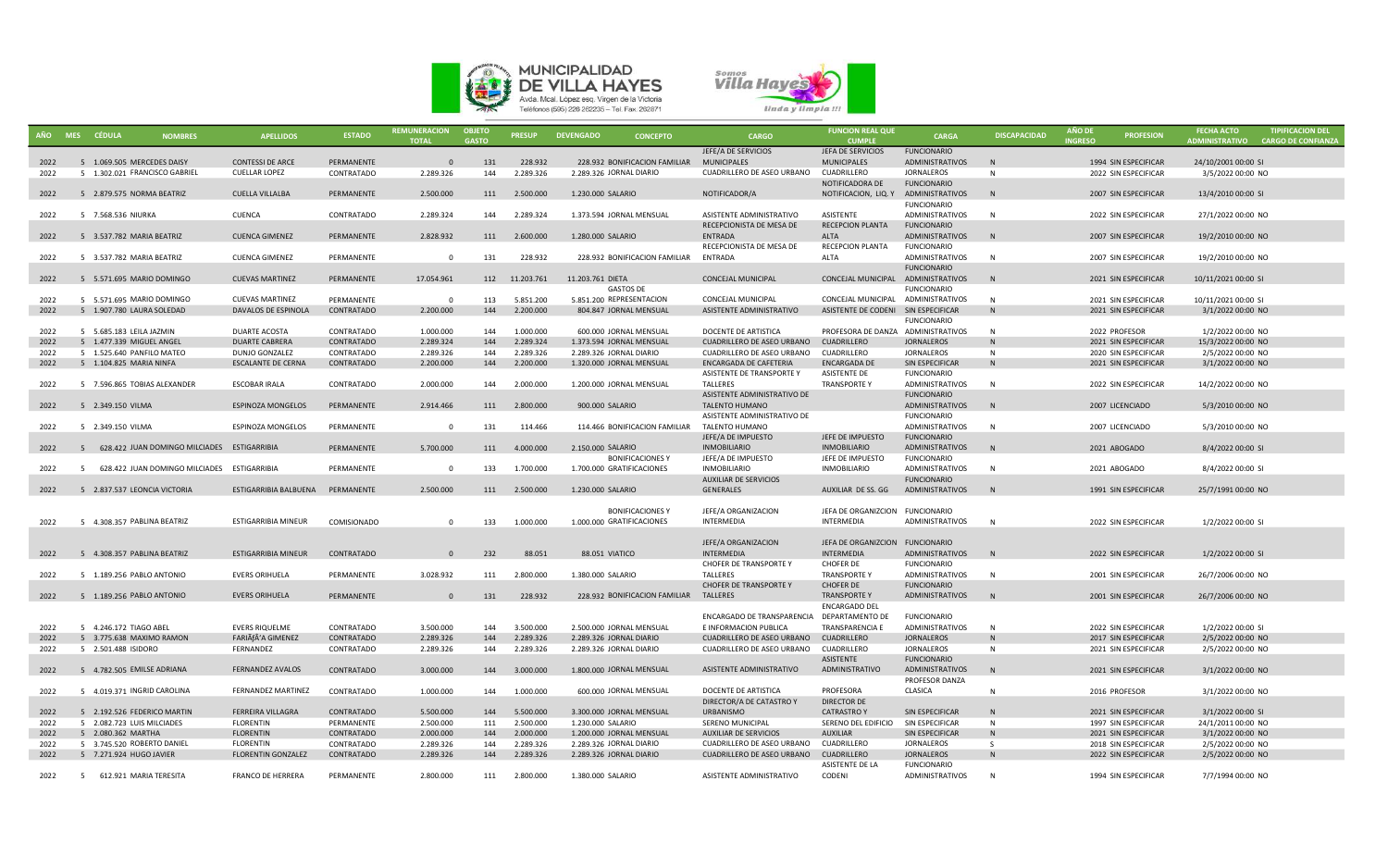



|      | AÑO MES CÉDULA<br><b>NOMBRES</b>              | <b>APELLIDOS</b>                 | <b>ESTADO</b>     | <b>REMUNERACION</b><br><b>TOTAL</b> | <b>OBJETO</b><br><b>GASTO</b> | <b>PRESUP</b>  | <b>DEVENGADO</b><br><b>CONCEPTO</b>    | CARGO                                      | <b>FUNCION REAL QUE</b><br><b>CUMPLE</b> | CARGA                                        | <b>DISCAPACIDAD</b> | <b>AÑO DE</b><br><b>INGRESO</b> | <b>PROFESION</b>     | <b>FECHA ACTO</b><br>ADMINISTRATIVO | <b>TIPIFICACION DEL</b><br><b>CARGO DE CONFIANZA</b> |
|------|-----------------------------------------------|----------------------------------|-------------------|-------------------------------------|-------------------------------|----------------|----------------------------------------|--------------------------------------------|------------------------------------------|----------------------------------------------|---------------------|---------------------------------|----------------------|-------------------------------------|------------------------------------------------------|
|      |                                               |                                  |                   |                                     |                               |                |                                        | JEFE/A DE SERVICIOS                        | JEFA DE SERVICIOS                        | <b>FUNCIONARIO</b>                           |                     |                                 |                      |                                     |                                                      |
| 2022 | 5 1.069.505 MERCEDES DAISY                    | <b>CONTESSI DE ARCE</b>          | PERMANENTE        | $\Omega$                            | 131                           | 228.932        | 228.932 BONIFICACION FAMILIAR          | <b>MUNICIPALES</b>                         | <b>MUNICIPALES</b>                       | ADMINISTRATIVOS                              | N                   |                                 | 1994 SIN ESPECIFICAR | 24/10/2001 00:00 SI                 |                                                      |
| 2022 | 5 1.302.021 FRANCISCO GABRIEL                 | <b>CUELLAR LOPEZ</b>             | CONTRATADO        | 2.289.326                           | 144                           | 2.289.326      | 2.289.326 JORNAL DIARIO                | CUADRILLERO DE ASEO URBANO                 | CUADRILLERO                              | <b>JORNALEROS</b>                            | N                   |                                 | 2022 SIN ESPECIFICAR | 3/5/2022 00:00 NO                   |                                                      |
|      |                                               |                                  |                   |                                     |                               |                |                                        |                                            | NOTIFICADORA DE                          | <b>FUNCIONARIO</b>                           |                     |                                 |                      |                                     |                                                      |
| 2022 | 5 2.879.575 NORMA BEATRIZ                     | <b>CUELLA VILLALBA</b>           | PERMANENTE        | 2.500.000                           | 111                           | 2.500.000      | 1.230.000 SALARIO                      | NOTIFICADOR/A                              | NOTIFICACION, LIQ. Y                     | ADMINISTRATIVOS                              | N                   |                                 | 2007 SIN ESPECIFICAR | 13/4/2010 00:00 SI                  |                                                      |
|      |                                               |                                  |                   |                                     |                               |                |                                        |                                            |                                          | <b>FUNCIONARIO</b>                           |                     |                                 |                      |                                     |                                                      |
| 2022 | 5 7.568.536 NIURKA                            | CUENCA                           | CONTRATADO        | 2.289.324                           | 144                           | 2.289.324      | 1.373.594 JORNAL MENSUAL               | ASISTENTE ADMINISTRATIVO                   | ASISTENTE                                | ADMINISTRATIVOS                              | N                   |                                 | 2022 SIN ESPECIFICAR | 27/1/2022 00:00 NO                  |                                                      |
|      |                                               |                                  |                   |                                     |                               |                |                                        | RECEPCIONISTA DE MESA DE                   | <b>RECEPCION PLANTA</b>                  | <b>FUNCIONARIO</b>                           |                     |                                 |                      |                                     |                                                      |
| 2022 | 5 3.537.782 MARIA BEATRIZ                     | <b>CUENCA GIMENEZ</b>            | PERMANENTE        | 2.828.932                           | 111                           | 2.600.000      | 1.280.000 SALARIO                      | <b>ENTRADA</b>                             | <b>ALTA</b>                              | ADMINISTRATIVOS                              | N                   |                                 | 2007 SIN ESPECIFICAR | 19/2/2010 00:00 NO                  |                                                      |
|      |                                               |                                  |                   |                                     |                               |                |                                        | RECEPCIONISTA DE MESA DE                   | RECEPCION PLANTA                         | <b>FUNCIONARIO</b>                           |                     |                                 |                      |                                     |                                                      |
| 2022 | 5 3.537.782 MARIA BEATRIZ                     | <b>CUENCA GIMENEZ</b>            | PERMANENTE        | - 0                                 | 131                           | 228.932        | 228.932 BONIFICACION FAMILIAR          | ENTRADA                                    | ALTA                                     | <b>ADMINISTRATIVOS</b><br><b>FUNCIONARIO</b> | N                   |                                 | 2007 SIN ESPECIFICAR | 19/2/2010 00:00 NO                  |                                                      |
| 2022 | 5 5.571.695 MARIO DOMINGO                     | <b>CUEVAS MARTINEZ</b>           | PERMANENTE        | 17.054.961                          |                               | 112 11.203.761 | 11.203.761 DIETA                       | CONCEJAL MUNICIPAL                         | CONCEJAL MUNICIPAL                       | ADMINISTRATIVOS                              | N                   |                                 | 2021 SIN ESPECIFICAR | 10/11/2021 00:00 SI                 |                                                      |
|      |                                               |                                  |                   |                                     |                               |                | <b>GASTOS DE</b>                       |                                            |                                          | <b>FUNCIONARIO</b>                           |                     |                                 |                      |                                     |                                                      |
| 2022 | 5 5.571.695 MARIO DOMINGO                     | <b>CUEVAS MARTINEZ</b>           | PERMANENTE        | $\Omega$                            | 113                           | 5.851.200      | 5.851.200 REPRESENTACION               | CONCEJAL MUNICIPAL                         | CONCEJAL MUNICIPAL                       | ADMINISTRATIVOS                              | N                   |                                 | 2021 SIN ESPECIFICAR | 10/11/2021 00:00 SI                 |                                                      |
| 2022 | 5 1.907.780 LAURA SOLEDAD                     | DAVALOS DE ESPINOLA              | CONTRATADO        | 2.200.000                           | 144                           | 2.200.000      | 804.847 JORNAL MENSUAL                 | ASISTENTE ADMINISTRATIVO                   | ASISTENTE DE CODENI SIN ESPECIFICAR      |                                              | N                   |                                 | 2021 SIN ESPECIFICAR | 3/1/2022 00:00 NO                   |                                                      |
|      |                                               |                                  |                   |                                     |                               |                |                                        |                                            |                                          | <b>FUNCIONARIO</b>                           |                     |                                 |                      |                                     |                                                      |
| 2022 | 5 5.685.183 LEILA JAZMIN                      | DUARTE ACOSTA                    | CONTRATADO        | 1.000.000                           | 144                           | 1.000.000      | 600.000 JORNAL MENSUAL                 | DOCENTE DE ARTISTICA                       | PROFESORA DE DANZA ADMINISTRATIVOS       |                                              | N                   |                                 | 2022 PROFESOR        | 1/2/2022 00:00 NO                   |                                                      |
| 2022 | 5 1.477.339 MIGUEL ANGEL                      | <b>DUARTE CABRERA</b>            | CONTRATADO        | 2.289.324                           | 144                           | 2.289.324      | 1.373.594 JORNAL MENSUAL               | <b>CUADRILLERO DE ASEO URBANO</b>          | <b>CUADRILLERO</b>                       | <b>JORNALEROS</b>                            | N                   |                                 | 2021 SIN ESPECIFICAR | 15/3/2022 00:00 NO                  |                                                      |
| 2022 | 5 1.525.640 PANFILO MATEO                     | DUNJO GONZALEZ                   | CONTRATADO        | 2.289.326                           | 144                           | 2.289.326      | 2.289.326 JORNAL DIARIO                | CUADRILLERO DE ASEO URBANO                 | CUADRILLERO                              | <b>JORNALEROS</b>                            | N                   |                                 | 2020 SIN ESPECIFICAR | 2/5/2022 00:00 NO                   |                                                      |
| 2022 | 5 1.104.825 MARIA NINFA                       | <b>ESCALANTE DE CERNA</b>        | CONTRATADO        | 2.200.000                           | 144                           | 2.200.000      | 1.320.000 JORNAL MENSUAL               | <b>ENCARGADA DE CAFETERIA</b>              | <b>ENCARGADA DE</b>                      | SIN ESPECIFICAR                              | N                   |                                 | 2021 SIN ESPECIFICAR | 3/1/2022 00:00 NO                   |                                                      |
|      |                                               |                                  |                   |                                     |                               |                |                                        | ASISTENTE DE TRANSPORTE Y                  | ASISTENTE DE                             | FUNCIONARIO                                  |                     |                                 |                      |                                     |                                                      |
| 2022 | 5 7.596.865 TOBIAS ALEXANDER                  | <b>ESCOBAR IRALA</b>             | CONTRATADO        | 2.000.000                           | 144                           | 2.000.000      | 1.200.000 JORNAL MENSUAL               | TALLERES                                   | <b>TRANSPORTEY</b>                       | ADMINISTRATIVOS                              | N                   |                                 | 2022 SIN ESPECIFICAR | 14/2/2022 00:00 NO                  |                                                      |
|      |                                               |                                  |                   |                                     |                               |                |                                        | ASISTENTE ADMINISTRATIVO DE                |                                          | <b>FUNCIONARIO</b>                           |                     |                                 |                      |                                     |                                                      |
| 2022 | 5 2.349.150 VILMA                             | <b>ESPINOZA MONGELOS</b>         | PERMANENTE        | 2.914.466                           | 111                           | 2.800.000      | 900.000 SALARIO                        | TALENTO HUMANO                             |                                          | ADMINISTRATIVOS                              | N                   |                                 | 2007 LICENCIADO      | 5/3/2010 00:00 NO                   |                                                      |
|      |                                               |                                  |                   |                                     |                               |                |                                        | ASISTENTE ADMINISTRATIVO DE                |                                          | <b>FUNCIONARIO</b>                           |                     |                                 |                      |                                     |                                                      |
| 2022 | 5 2.349.150 VILMA                             | ESPINOZA MONGELOS                | PERMANENTE        | $\overline{0}$                      | 131                           | 114.466        | 114.466 BONIFICACION FAMILIAR          | TALENTO HUMANO                             |                                          | ADMINISTRATIVOS                              | N                   |                                 | 2007 LICENCIADO      | 5/3/2010 00:00 NO                   |                                                      |
|      |                                               |                                  |                   |                                     |                               |                |                                        | JEFE/A DE IMPUESTO                         | JEFE DE IMPUESTO                         | <b>FUNCIONARIO</b>                           |                     |                                 |                      |                                     |                                                      |
| 2022 | 5 628,422 JUAN DOMINGO MILCIADES ESTIGARRIBIA |                                  | PERMANENTE        | 5.700.000                           | 111                           | 4.000.000      | 2.150.000 SALARIO                      | <b>INMOBILIARIO</b>                        | <b>INMOBILIARIO</b>                      | ADMINISTRATIVOS                              | N                   |                                 | 2021 ABOGADO         | 8/4/2022 00:00 SI                   |                                                      |
|      |                                               |                                  |                   |                                     |                               |                | <b>BONIFICACIONES Y</b>                | JEFE/A DE IMPUESTO                         | JEFE DE IMPUESTO                         | <b>FUNCIONARIO</b>                           |                     |                                 |                      |                                     |                                                      |
| 2022 | 5 628.422 JUAN DOMINGO MILCIADES ESTIGARRIBIA |                                  | PERMANENTE        | $\Omega$                            | 133                           | 1.700.000      | 1.700.000 GRATIFICACIONES              | <b>INMOBILIARIO</b>                        | <b>INMOBILIARIO</b>                      | ADMINISTRATIVOS                              | N                   |                                 | 2021 ABOGADO         | 8/4/2022 00:00 SI                   |                                                      |
|      |                                               |                                  |                   |                                     |                               |                |                                        | <b>AUXILIAR DE SERVICIOS</b>               |                                          | <b>FUNCIONARIO</b>                           |                     |                                 |                      |                                     |                                                      |
| 2022 | 5 2.837.537 LEONCIA VICTORIA                  | ESTIGARRIBIA BALBUENA PERMANENTE |                   | 2.500.000                           | 111                           | 2.500.000      | 1.230.000 SALARIO                      | GENERALES                                  | AUXILIAR DE SS. GG                       | ADMINISTRATIVOS                              | N                   |                                 | 1991 SIN ESPECIFICAR | 25/7/1991 00:00 NO                  |                                                      |
|      |                                               |                                  |                   |                                     |                               |                |                                        |                                            |                                          |                                              |                     |                                 |                      |                                     |                                                      |
|      |                                               |                                  |                   |                                     |                               |                | <b>BONIFICACIONES Y</b>                | JEFE/A ORGANIZACION                        | JEFA DE ORGANIZCION FUNCIONARIO          |                                              |                     |                                 |                      |                                     |                                                      |
| 2022 | 5 4.308.357 PABLINA BEATRIZ                   | ESTIGARRIBIA MINEUR              | COMISIONADO       | $\Omega$                            | 133                           | 1.000.000      | 1.000.000 GRATIFICACIONES              | INTERMEDIA                                 | <b>INTERMEDIA</b>                        | ADMINISTRATIVOS                              | N                   |                                 | 2022 SIN ESPECIFICAR | 1/2/2022 00:00 SI                   |                                                      |
|      |                                               |                                  |                   |                                     |                               |                |                                        |                                            | JEFA DE ORGANIZCION FUNCIONARIO          |                                              |                     |                                 |                      |                                     |                                                      |
| 2022 | 5 4.308.357 PABLINA BEATRIZ                   | <b>ESTIGARRIBIA MINEUR</b>       | CONTRATADO        | $\Omega$                            | 232                           | 88.051         | 88.051 VIATICO                         | JEFE/A ORGANIZACION<br><b>INTERMEDIA</b>   | <b>INTERMEDIA</b>                        | <b>ADMINISTRATIVOS</b>                       | N                   |                                 | 2022 SIN ESPECIFICAR | 1/2/2022 00:00 SI                   |                                                      |
|      |                                               |                                  |                   |                                     |                               |                |                                        | CHOFER DE TRANSPORTE Y                     | CHOFER DE                                | <b>FUNCIONARIO</b>                           |                     |                                 |                      |                                     |                                                      |
| 2022 | 5 1.189.256 PABLO ANTONIO                     | <b>EVERS ORIHUELA</b>            | PERMANENTE        | 3.028.932                           | 111                           | 2.800.000      | 1.380.000 SALARIO                      | TALLERES                                   | <b>TRANSPORTEY</b>                       | ADMINISTRATIVOS                              | N                   |                                 | 2001 SIN ESPECIFICAR | 26/7/2006 00:00 NO                  |                                                      |
|      |                                               |                                  |                   |                                     |                               |                |                                        | CHOFER DE TRANSPORTE Y                     | CHOFER DE                                | <b>FUNCIONARIO</b>                           |                     |                                 |                      |                                     |                                                      |
| 2022 | 5 1.189.256 PABLO ANTONIO                     | <b>EVERS ORIHUELA</b>            | PERMANENTE        | $\Omega$                            | 131                           | 228.932        | 228.932 BONIFICACION FAMILIAR TALLERES |                                            | <b>TRANSPORTEY</b>                       | ADMINISTRATIVOS                              | N                   |                                 | 2001 SIN ESPECIFICAR | 26/7/2006 00:00 NO                  |                                                      |
|      |                                               |                                  |                   |                                     |                               |                |                                        |                                            | <b>ENCARGADO DEL</b>                     |                                              |                     |                                 |                      |                                     |                                                      |
|      |                                               |                                  |                   |                                     |                               |                |                                        | ENCARGADO DE TRANSPARENCIA DEPARTAMENTO DE |                                          | <b>FUNCIONARIO</b>                           |                     |                                 |                      |                                     |                                                      |
| 2022 | 5 4.246.172 TIAGO ABEL                        | <b>EVERS RIQUELME</b>            | CONTRATADO        | 3.500.000                           | 144                           | 3.500.000      | 2.500.000 JORNAL MENSUAL               | E INFORMACION PUBLICA                      | <b>TRANSPARENCIA E</b>                   | ADMINISTRATIVOS                              | N                   |                                 | 2022 SIN ESPECIFICAR | 1/2/2022 00:00 SI                   |                                                      |
| 2022 | 5 3.775.638 MAXIMO RAMON                      | FARIÃfÂ'A GIMENEZ                | CONTRATADO        | 2.289.326                           | 144                           | 2.289.326      | 2.289.326 JORNAL DIARIO                | CUADRILLERO DE ASEO URBANO                 | CUADRILLERO                              | <b>JORNALEROS</b>                            | N                   |                                 | 2017 SIN ESPECIFICAR | 2/5/2022 00:00 NO                   |                                                      |
| 2022 | 5 2.501.488 ISIDORO                           | FERNANDEZ                        | CONTRATADO        | 2.289.326                           | 144                           | 2.289.326      | 2.289.326 JORNAL DIARIO                | CUADRILLERO DE ASEO URBANO                 | CUADRILLERO                              | <b>JORNALEROS</b>                            | N                   |                                 | 2021 SIN ESPECIFICAR | 2/5/2022 00:00 NO                   |                                                      |
|      |                                               |                                  |                   |                                     |                               |                |                                        |                                            | ASISTENTE                                | <b>FUNCIONARIO</b>                           |                     |                                 |                      |                                     |                                                      |
| 2022 | 5 4.782.505 EMILSE ADRIANA                    | FERNANDEZ AVALOS                 | <b>CONTRATADO</b> | 3.000.000                           | 144                           | 3.000.000      | 1.800.000 JORNAL MENSUAL               | ASISTENTE ADMINISTRATIVO                   | ADMINISTRATIVO                           | ADMINISTRATIVOS                              | N                   |                                 | 2021 SIN ESPECIFICAR | 3/1/2022 00:00 NO                   |                                                      |
|      |                                               |                                  |                   |                                     |                               |                |                                        |                                            |                                          | PROFESOR DANZA                               |                     |                                 |                      |                                     |                                                      |
| 2022 | 5 4.019.371 INGRID CAROLINA                   | <b>FERNANDEZ MARTINEZ</b>        | CONTRATADO        | 1.000.000                           | 144                           | 1.000.000      | 600.000 JORNAL MENSUAL                 | DOCENTE DE ARTISTICA                       | PROFESORA                                | CLASICA                                      | N                   |                                 | 2016 PROFESOR        | 3/1/2022 00:00 NO                   |                                                      |
|      |                                               |                                  |                   |                                     |                               |                |                                        | DIRECTOR/A DE CATASTRO Y                   | <b>DIRECTOR DE</b>                       |                                              |                     |                                 |                      |                                     |                                                      |
| 2022 | 5 2.192.526 FEDERICO MARTIN                   | FERREIRA VILLAGRA                | CONTRATADO        | 5.500.000                           | 144                           | 5.500.000      | 3.300.000 JORNAL MENSUAL               | <b>URBANISMO</b>                           | <b>CATRASTRO Y</b>                       | SIN ESPECIFICAR                              | N                   |                                 | 2021 SIN ESPECIFICAR | 3/1/2022 00:00 SI                   |                                                      |
| 2022 | 5 2.082.723 LUIS MILCIADES                    | FLORENTIN                        | PERMANENTE        | 2.500.000                           | 111                           | 2.500.000      | 1.230.000 SALARIO                      | SERENO MUNICIPAL                           | SERENO DEL EDIFICIO                      | SIN ESPECIFICAR                              | N                   |                                 | 1997 SIN ESPECIFICAR | 24/1/2011 00:00 NO                  |                                                      |
| 2022 | 5 2.080.362 MARTHA                            | <b>FLORENTIN</b>                 | CONTRATADO        | 2.000.000                           | 144                           | 2.000.000      | 1.200.000 JORNAL MENSUAL               | <b>AUXILIAR DE SERVICIOS</b>               | <b>AUXILIAR</b>                          | SIN ESPECIFICAR                              | N                   |                                 | 2021 SIN ESPECIFICAR | 3/1/2022 00:00 NO                   |                                                      |
| 2022 | 5 3.745.520 ROBERTO DANIEL                    | <b>FLORENTIN</b>                 | CONTRATADO        | 2.289.326                           | 144                           | 2.289.326      | 2.289.326 JORNAL DIARIO                | CUADRILLERO DE ASEO URBANO CUADRILLERO     |                                          | <b>JORNALEROS</b>                            | S.                  |                                 | 2018 SIN ESPECIFICAR | 2/5/2022 00:00 NO                   |                                                      |
| 2022 | 5 7.271.924 HUGO JAVIER                       | <b>FLORENTIN GONZALEZ</b>        | CONTRATADO        | 2.289.326                           | 144                           | 2.289.326      | 2.289.326 JORNAL DIARIO                | CUADRILLERO DE ASEO URBANO CUADRILLERO     |                                          | <b>JORNALEROS</b>                            | N                   |                                 | 2022 SIN ESPECIFICAR | 2/5/2022 00:00 NO                   |                                                      |
|      |                                               |                                  | PERMANENTE        |                                     |                               | 2.800.000      |                                        |                                            | ASISTENTE DE LA                          | <b>FUNCIONARIO</b>                           | N                   |                                 |                      |                                     |                                                      |
| 2022 | 5 612.921 MARIA TERESITA                      | <b>FRANCO DE HERRERA</b>         |                   | 2.800.000                           | 111                           |                | 1.380.000 SALARIO                      | ASISTENTE ADMINISTRATIVO                   | CODENI                                   | <b>ADMINISTRATIVOS</b>                       |                     |                                 | 1994 SIN ESPECIFICAR | 7/7/1994 00:00 NO                   |                                                      |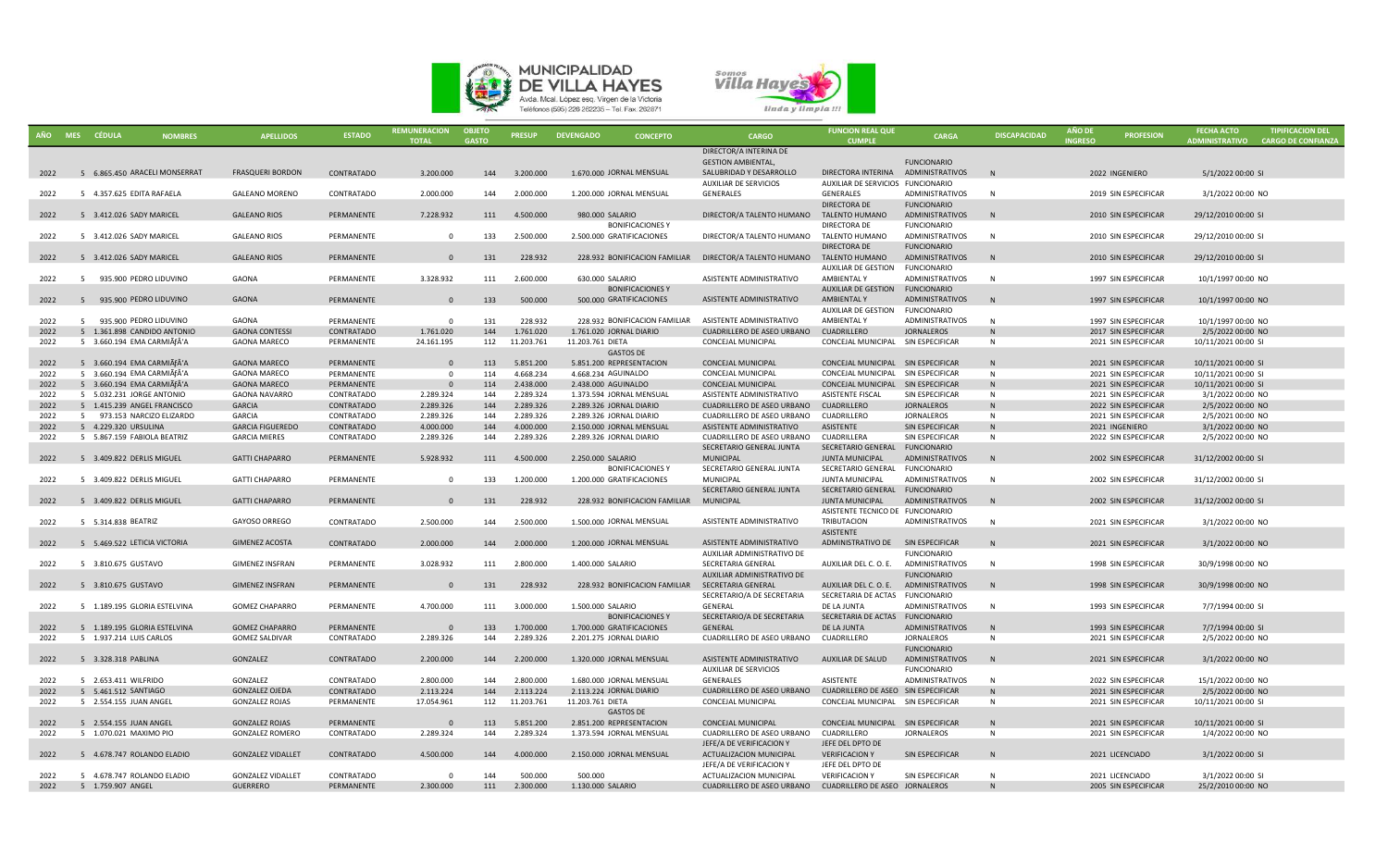



| DIRECTOR/A INTERINA DE<br><b>GESTION AMBIENTAL.</b><br><b>FUNCIONARIO</b><br>5 6.865.450 ARACELI MONSERRAT<br>3.200.000<br>144 3.200.000<br>2022<br><b>FRASQUERI BORDON</b><br>CONTRATADO<br>1.670.000 JORNAL MENSUAL<br>SALUBRIDAD Y DESARROLLO<br>DIRECTORA INTERINA<br>ADMINISTRATIVOS<br>N<br>2022 INGENIERO<br>5/1/2022 00:00 SI<br>AUXILIAR DE SERVICIOS FUNCIONARIO<br>AUXILIAR DE SERVICIOS<br>5 4.357.625 EDITA RAFAELA<br><b>GALEANO MORENO</b><br>CONTRATADO<br>2.000.000<br>144<br>2.000.000<br>1.200.000 JORNAL MENSUAL<br>GENERALES<br>GENERALES<br><b>ADMINISTRATIVOS</b><br>N<br>2019 SIN ESPECIFICAR<br>3/1/2022 00:00 NO<br>2022<br>DIRECTORA DE<br><b>FUNCIONARIO</b><br>7.228.932<br>4.500.000<br>TALENTO HUMANO<br>2022<br>5 3.412.026 SADY MARICEL<br><b>GALEANO RIOS</b><br>PERMANENTE<br>111<br>980.000 SALARIO<br>DIRECTOR/A TALENTO HUMANO<br>ADMINISTRATIVOS<br>N<br>2010 SIN ESPECIFICAR<br>29/12/2010 00:00 SI<br><b>BONIFICACIONES Y</b><br>DIRECTORA DE<br><b>FUNCIONARIO</b><br>2.500.000<br>5 3.412.026 SADY MARICEL<br><b>GALEANO RIOS</b><br>PERMANENTE<br>133<br>2.500.000 GRATIFICACIONES<br>DIRECTOR/A TALENTO HUMANO TALENTO HUMANO<br>ADMINISTRATIVOS<br>N<br>2010 SIN ESPECIFICAR<br>29/12/2010 00:00 SI<br>2022<br>$\Omega$<br>DIRECTORA DE<br><b>FUNCIONARIO</b><br>228.932<br>5 3.412.026 SADY MARICEL<br>131<br>228.932 BONIFICACION FAMILIAR DIRECTOR/A TALENTO HUMANO<br>TALENTO HUMANO<br><b>ADMINISTRATIVOS</b><br>2010 SIN ESPECIFICAR<br>2022<br><b>GALEANO RIOS</b><br>PERMANENTE<br>$\Omega$<br>N<br>29/12/2010 00:00 SI<br>AUXILIAR DE GESTION<br><b>FUNCIONARIO</b><br>3.328.932<br>2.600.000<br>5 935,900 PEDRO LIDUVINO<br>GAONA<br>PERMANENTE<br>111<br>630,000 SALARIO<br>ASISTENTE ADMINISTRATIVO<br>AMBIENTAL Y<br><b>ADMINISTRATIVOS</b><br>$\mathbf N$<br>1997 SIN ESPECIFICAR<br>10/1/1997 00:00 NO<br>2022<br><b>BONIFICACIONES Y</b><br>AUXILIAR DE GESTION<br><b>FUNCIONARIO</b><br>500.000<br>5 935.900 PEDRO LIDUVINO<br><b>GAONA</b><br>PERMANENTE<br>133<br>500.000 GRATIFICACIONES<br><b>AMBIENTALY</b><br><b>ADMINISTRATIVOS</b><br>1997 SIN ESPECIFICAR<br>10/1/1997 00:00 NO<br>2022<br>$\Omega$<br>ASISTENTE ADMINISTRATIVO<br>N<br>AUXILIAR DE GESTION<br><b>FUNCIONARIO</b><br>5 935.900 PEDRO LIDUVINO<br>GAONA<br>PERMANENTE<br>$\Omega$<br>131<br>228.932<br>228.932 BONIFICACION FAMILIAR<br>ASISTENTE ADMINISTRATIVO<br>AMBIENTAL Y<br><b>ADMINISTRATIVOS</b><br>N<br>1997 SIN ESPECIFICAR<br>10/1/1997 00:00 NO<br>2022<br>5 1.361.898 CANDIDO ANTONIO<br><b>GAONA CONTESSI</b><br>1.761.020<br>144<br>1.761.020<br>1.761.020 JORNAL DIARIO<br>CUADRILLERO DE ASEO URBANO<br><b>CUADRILLERO</b><br><b>JORNALEROS</b><br>2017 SIN ESPECIFICAR<br>2/5/2022 00:00 NO<br>2022<br>CONTRATADO<br>N<br>5 3.660.194 EMA CARMIÃfÂ'A<br>24.161.195<br>112<br>11.203.761<br>11.203.761 DIETA<br>CONCEJAL MUNICIPAL<br>CONCEJAL MUNICIPAL SIN ESPECIFICAR<br>2021 SIN ESPECIFICAR<br>10/11/2021 00:00 SI<br>2022<br><b>GAONA MARECO</b><br>PERMANENTE<br>N<br><b>GASTOS DE</b><br>5.851.200<br>5.851.200 REPRESENTACION<br>CONCEJAL MUNICIPAL SIN ESPECIFICAR<br>2022<br>5 3.660.194 EMA CARMIÃfÂ'A<br><b>GAONA MARECO</b><br>PERMANENTE<br>$\Omega$<br>113<br><b>CONCEJAL MUNICIPAL</b><br>N<br>2021 SIN ESPECIFICAR<br>10/11/2021 00:00 SI<br>2022<br>5 3.660.194 EMA CARMIÃfÂ'A<br><b>GAONA MARECO</b><br>PERMANENTE<br>114<br>4.668.234<br>4.668.234 AGUINALDO<br>CONCEJAL MUNICIPAL<br>CONCEJAL MUNICIPAL<br>SIN ESPECIFICAR<br>2021 SIN ESPECIFICAR<br>10/11/2021 00:00 SI<br>$\Omega$<br>N<br>5 3.660.194 EMA CARMIÃfÂ'A<br>2.438.000<br>2022<br><b>GAONA MARECO</b><br>114<br>2.438.000 AGUINALDO<br>CONCEJAL MUNICIPAL<br>SIN ESPECIFICAR<br>2021 SIN ESPECIFICAR<br>10/11/2021 00:00 SI<br>PERMANENTE<br><b>CONCEJAL MUNICIPAL</b><br>N<br>5 5.032.231 JORGE ANTONIO<br><b>GAONA NAVARRO</b><br>2.289.324<br>ASISTENTE ADMINISTRATIVO<br>ASISTENTE FISCAL<br>SIN ESPECIFICAR<br>2022<br>2.289.324<br>144<br>1.373.594 JORNAL MENSUAL<br>N<br>2021 SIN ESPECIFICAR<br>3/1/2022 00:00 NO<br>CONTRATADO<br>2.289.326<br>2022<br>5 1.415.239 ANGEL FRANCISCO<br><b>GARCIA</b><br>CONTRATADO<br>2.289.326<br>144<br>2.289.326 JORNAL DIARIO<br>CUADRILLERO DE ASEO URBANO<br><b>CUADRILLERO</b><br><b>JORNALEROS</b><br>2022 SIN ESPECIFICAR<br>2/5/2022 00:00 NO<br>N<br>5 973.153 NARCIZO ELIZARDO<br><b>GARCIA</b><br>CONTRATADO<br>2.289.326<br>144<br>2.289.326<br>2.289.326 JORNAL DIARIO<br>CUADRILLERO DE ASEO URBANO<br><b>CUADRILLERO</b><br><b>JORNALEROS</b><br>2021 SIN ESPECIFICAR<br>2/5/2021 00:00 NO<br>2022<br>N<br>4.000.000<br>5 4.229.320 URSULINA<br><b>GARCIA FIGUEREDO</b><br>CONTRATADO<br>4.000.000<br>144<br>2.150.000 JORNAL MENSUAL<br>ASISTENTE ADMINISTRATIVO<br>ASISTENTE<br>SIN ESPECIFICAR<br>2021 INGENIERO<br>3/1/2022 00:00 NO<br>2022<br>N<br>2022<br>5 5.867.159 FABIOLA BEATRIZ<br><b>GARCIA MIERES</b><br>CONTRATADO<br>2.289.326<br>144<br>2.289.326<br>2.289.326 JORNAL DIARIO<br>CUADRILLERO DE ASEO URBANO<br>CUADRILLERA<br>SIN ESPECIFICAR<br>2022 SIN ESPECIFICAR<br>2/5/2022 00:00 NO<br>N<br>SECRETARIO GENERAL<br><b>FUNCIONARIO</b><br>SECRETARIO GENERAL JUNTA<br>4.500.000<br><b>GATTI CHAPARRO</b><br>5.928.932<br>111<br>2.250.000 SALARIO<br>2002 SIN ESPECIFICAR<br>31/12/2002 00:00 SI<br>2022<br>5 3.409.822 DERLIS MIGUEL<br>PERMANENTE<br><b>MUNICIPAL</b><br>JUNTA MUNICIPAL<br>ADMINISTRATIVOS<br>N<br><b>BONIFICACIONES Y</b><br>SECRETARIO GENERAL JUNTA<br>SECRETARIO GENERAL<br><b>FUNCIONARIO</b><br>1.200.000<br>5 3.409.822 DERLIS MIGUEL<br><b>GATTI CHAPARRO</b><br>PERMANENTE<br>133<br>1.200.000 GRATIFICACIONES<br>MUNICIPAL<br>JUNTA MUNICIPAL<br><b>ADMINISTRATIVOS</b><br>N<br>2002 SIN ESPECIFICAR<br>31/12/2002 00:00 SI<br>2022<br>$\Omega$<br>SECRETARIO GENERAL JUNTA<br>SECRETARIO GENERAL<br><b>FUNCIONARIO</b><br>131<br>228.932<br>2022<br>5 3.409.822 DERLIS MIGUEL<br><b>GATTI CHAPARRO</b><br>PERMANENTE<br>$\Omega$<br>228.932 BONIFICACION FAMILIAR<br>MUNICIPAL<br>JUNTA MUNICIPAL<br><b>ADMINISTRATIVOS</b><br>N<br>2002 SIN ESPECIFICAR<br>31/12/2002 00:00 SI<br>ASISTENTE TECNICO DE FUNCIONARIO<br>2.500.000<br>5 5.314.838 BEATRIZ<br>GAYOSO ORREGO<br>CONTRATADO<br>2.500.000<br>144<br>1.500.000 JORNAL MENSUAL<br>ASISTENTE ADMINISTRATIVO<br><b>TRIBUTACION</b><br><b>ADMINISTRATIVOS</b><br>N<br>2021 SIN ESPECIFICAR<br>3/1/2022 00:00 NO<br>2022<br>ASISTENTE<br>5 5.469.522 LETICIA VICTORIA<br>2.000.000<br>2.000.000<br>1.200.000 JORNAL MENSUAL<br>ADMINISTRATIVO DE<br>SIN ESPECIFICAR<br>2021 SIN ESPECIFICAR<br>2022<br><b>GIMENEZ ACOSTA</b><br>CONTRATADO<br>144<br>ASISTENTE ADMINISTRATIVO<br>N<br>3/1/2022 00:00 NO<br>AUXILIAR ADMINISTRATIVO DE<br><b>FUNCIONARIO</b><br>5 3.810.675 GUSTAVO<br><b>GIMENEZ INSFRAN</b><br>PERMANENTE<br>3.028.932<br>111<br>2.800.000<br>1.400.000 SALARIO<br><b>SECRETARIA GENERAL</b><br>AUXILIAR DEL C. O. E.<br><b>ADMINISTRATIVOS</b><br>N<br>1998 SIN ESPECIFICAR<br>30/9/1998 00:00 NO<br>2022<br>AUXILIAR ADMINISTRATIVO DE<br><b>FUNCIONARIO</b><br>228.932<br>5 3.810.675 GUSTAVO<br>131<br>228.932 BONIFICACION FAMILIAR SECRETARIA GENERAL<br>AUXILIAR DEL C. O. E.<br>ADMINISTRATIVOS<br>1998 SIN ESPECIFICAR<br>2022<br><b>GIMENEZ INSFRAN</b><br>PERMANENTE<br>$\Omega$<br>N<br>30/9/1998 00:00 NO<br>SECRETARIO/A DE SECRETARIA<br>SECRETARIA DE ACTAS FUNCIONARIO<br>5 1.189.195 GLORIA ESTELVINA<br><b>GOMEZ CHAPARRO</b><br>PERMANENTE<br>4.700.000<br>111<br>3.000.000<br>1.500.000 SALARIO<br>GENERAL<br>DE LA JUNTA<br><b>ADMINISTRATIVOS</b><br>N<br>1993 SIN ESPECIFICAR<br>7/7/1994 00:00 SI<br>2022<br><b>BONIFICACIONES Y</b><br>SECRETARIO/A DE SECRETARIA<br>SECRETARIA DE ACTAS<br><b>FUNCIONARIO</b><br>PERMANENTE<br>133<br>1.700.000<br>2022<br>5 1.189.195 GLORIA ESTELVINA<br><b>GOMEZ CHAPARRO</b><br>$\overline{0}$<br>1.700.000 GRATIFICACIONES<br><b>GENERAL</b><br>DE LA JUNTA<br>ADMINISTRATIVOS<br>N<br>1993 SIN ESPECIFICAR<br>7/7/1994 00:00 SI<br><b>GOMEZ SALDIVAR</b><br>CUADRILLERO DE ASEO URBANO<br>CUADRILLERO<br>5 1.937.214 LUIS CARLOS<br>2.289.326<br>2.289.326<br>2.201.275 JORNAL DIARIO<br>JORNALEROS<br>2022<br>CONTRATADO<br>144<br>N<br>2021 SIN ESPECIFICAR<br>2/5/2022 00:00 NO<br><b>FUNCIONARIO</b><br>AUXILIAR DE SALUD<br>5 3.328.318 PABLINA<br>GONZALEZ<br>2.200.000<br>2.200.000<br>1.320.000 JORNAL MENSUAL<br>ASISTENTE ADMINISTRATIVO<br>ADMINISTRATIVOS<br>3/1/2022 00:00 NO<br>2022<br>CONTRATADO<br>144<br>N<br>2021 SIN ESPECIFICAR<br><b>AUXILIAR DE SERVICIOS</b><br><b>FUNCIONARIO</b><br>GONZALEZ<br>2.800.000<br>2.800.000<br>1.680.000 JORNAL MENSUAL<br>GENERALES<br>ASISTENTE<br><b>ADMINISTRATIVOS</b><br>5 2.653.411 WILFRIDO<br>CONTRATADO<br>144<br>N<br>2022 SIN ESPECIFICAR<br>15/1/2022 00:00 NO<br>2022<br>2022<br>5 5.461.512 SANTIAGO<br><b>GONZALEZ OJEDA</b><br>CONTRATADO<br>2.113.224<br>144<br>2.113.224<br>2.113.224 JORNAL DIARIO<br>CUADRILLERO DE ASEO URBANO<br>CUADRILLERO DE ASEO SIN ESPECIFICAR<br>2021 SIN ESPECIFICAR<br>2/5/2022 00:00 NO<br>N<br>2022<br>5 2.554.155 JUAN ANGEL<br><b>GONZALEZ ROJAS</b><br>PERMANENTE<br>17.054.961<br>112<br>11.203.761<br>11.203.761 DIETA<br>CONCEJAL MUNICIPAL<br>CONCEJAL MUNICIPAL SIN ESPECIFICAR<br>$\mathsf{N}$<br>2021 SIN ESPECIFICAR<br>10/11/2021 00:00 SI<br><b>GASTOS DE</b><br>PERMANENTE<br>113<br>5.851.200<br>2.851.200 REPRESENTACION<br><b>CONCEJAL MUNICIPAL</b><br>CONCEJAL MUNICIPAL<br>SIN ESPECIFICAR<br>2021 SIN ESPECIFICAR<br>10/11/2021 00:00 SI<br>2022<br>5 2.554.155 JUAN ANGEL<br><b>GONZALEZ ROJAS</b><br>$\Omega$<br>N<br>2.289.324<br>144<br>2.289.324<br>CUADRILLERO DE ASEO URBANO<br><b>JORNALEROS</b><br>2022<br>5 1.070.021 MAXIMO PIO<br><b>GONZALEZ ROMERO</b><br>CONTRATADO<br>1.373.594 JORNAL MENSUAL<br>CUADRILLERO<br>N<br>2021 SIN ESPECIFICAR<br>1/4/2022 00:00 NO<br>JEFE/A DE VERIFICACION Y<br>JEFE DEL DPTO DE<br>4.500.000<br>SIN ESPECIFICAR<br>5 4.678.747 ROLANDO ELADIO<br><b>GONZALEZ VIDALLET</b><br>CONTRATADO<br>144<br>4.000.000<br>2.150.000 JORNAL MENSUAL<br><b>VERIFICACION Y</b><br>2021 LICENCIADO<br>3/1/2022 00:00 SI<br>2022<br>ACTUALIZACION MUNICIPAL<br>N <sub>N</sub><br>JEFE/A DE VERIFICACION Y<br>JEFE DEL DPTO DE<br>500.000<br><b>VERIFICACION Y</b><br>2022<br>5 4.678.747 ROLANDO ELADIO<br><b>GONZALEZ VIDALLET</b><br>CONTRATADO<br>$\Omega$<br>144<br>500.000<br>ACTUALIZACION MUNICIPAL<br>SIN ESPECIFICAR<br>N<br>2021 LICENCIADO<br>3/1/2022 00:00 SI<br>111<br>2.300.000<br>1.130.000 SALARIO<br>CUADRILLERO DE ASEO URBANO<br>CUADRILLERO DE ASEO JORNALEROS<br>2022<br>5 1.759.907 ANGEL<br><b>GUERRERO</b><br>PERMANENTE<br>2.300.000<br>2005 SIN ESPECIFICAR<br>25/2/2010 00:00 NO |  | AÑO MES CÉDULA<br><b>NOMBRES</b> | <b>APELLIDOS</b> | <b>ESTADO</b> | <b>REMUNERACION</b><br><b>TOTAL</b> | <b>OBJETO</b><br><b>GASTO</b> | <b>PRESUP</b> | <b>DEVENGADO</b><br><b>CONCEPTO</b> | <b>CARGO</b> | <b>FUNCION REAL QUE</b><br><b>CUMPLE</b> | <b>CARGA</b> | <b>DISCAPACIDAD</b> | <b>AÑO DE</b><br><b>INGRESO</b> | <b>PROFESION</b> | <b>FECHA ACTO</b><br><b>ADMINISTRATIVO</b> | <b>TIPIFICACION DEL</b><br><b>CARGO DE CONFIANZA</b> |
|----------------------------------------------------------------------------------------------------------------------------------------------------------------------------------------------------------------------------------------------------------------------------------------------------------------------------------------------------------------------------------------------------------------------------------------------------------------------------------------------------------------------------------------------------------------------------------------------------------------------------------------------------------------------------------------------------------------------------------------------------------------------------------------------------------------------------------------------------------------------------------------------------------------------------------------------------------------------------------------------------------------------------------------------------------------------------------------------------------------------------------------------------------------------------------------------------------------------------------------------------------------------------------------------------------------------------------------------------------------------------------------------------------------------------------------------------------------------------------------------------------------------------------------------------------------------------------------------------------------------------------------------------------------------------------------------------------------------------------------------------------------------------------------------------------------------------------------------------------------------------------------------------------------------------------------------------------------------------------------------------------------------------------------------------------------------------------------------------------------------------------------------------------------------------------------------------------------------------------------------------------------------------------------------------------------------------------------------------------------------------------------------------------------------------------------------------------------------------------------------------------------------------------------------------------------------------------------------------------------------------------------------------------------------------------------------------------------------------------------------------------------------------------------------------------------------------------------------------------------------------------------------------------------------------------------------------------------------------------------------------------------------------------------------------------------------------------------------------------------------------------------------------------------------------------------------------------------------------------------------------------------------------------------------------------------------------------------------------------------------------------------------------------------------------------------------------------------------------------------------------------------------------------------------------------------------------------------------------------------------------------------------------------------------------------------------------------------------------------------------------------------------------------------------------------------------------------------------------------------------------------------------------------------------------------------------------------------------------------------------------------------------------------------------------------------------------------------------------------------------------------------------------------------------------------------------------------------------------------------------------------------------------------------------------------------------------------------------------------------------------------------------------------------------------------------------------------------------------------------------------------------------------------------------------------------------------------------------------------------------------------------------------------------------------------------------------------------------------------------------------------------------------------------------------------------------------------------------------------------------------------------------------------------------------------------------------------------------------------------------------------------------------------------------------------------------------------------------------------------------------------------------------------------------------------------------------------------------------------------------------------------------------------------------------------------------------------------------------------------------------------------------------------------------------------------------------------------------------------------------------------------------------------------------------------------------------------------------------------------------------------------------------------------------------------------------------------------------------------------------------------------------------------------------------------------------------------------------------------------------------------------------------------------------------------------------------------------------------------------------------------------------------------------------------------------------------------------------------------------------------------------------------------------------------------------------------------------------------------------------------------------------------------------------------------------------------------------------------------------------------------------------------------------------------------------------------------------------------------------------------------------------------------------------------------------------------------------------------------------------------------------------------------------------------------------------------------------------------------------------------------------------------------------------------------------------------------------------------------------------------------------------------------------------------------------------------------------------------------------------------------------------------------------------------------------------------------------------------------------------------------------------------------------------------------------------------------------------------------------------------------------------------------------------------------------------------------------------------------------------------------------------------------------------------------------------------------------------------------------------------------------------------------------------------------------------------------------------------------------------------------------------------------------------------------------------------------------------------------------------------------------------------------------------------------------------------------------------------------------------------------------------------------------------------------------------------------------------------------------------------------------------------------------------------------------------------------------------------------------------------------------------------------------------------------------------------------------------------------------------------------------------------------------------------------------------------------------------------------------------------------------------------------------------------------------------------------------------------------------------------------------------------------------------------------------------------------------------------------------------------------------------------------------------------------------------------------------------------------------------------------------------------------------------------------------------------------------------------------------------------------------------------------------------------------------------------------------------------------------------------------------------------------------------------------------------------------------------------------------------------------------------------------------------------------------------------------------------------------------------------------------------------------------------------------------------------------------------------------------------------------------------------------------------------------------------------------------------------------------------------------------------------------------------------------------------------------------------------------------------------------------------------------------------------------------------------------------------------------------------------------------------------------------------------------------------------------------------------------------------------------------------------------------------------------------------------------------------------------------------------------------------------------------------------------------------------------------------------------------------------------------------------------------------------------------------------------------------------------------------------------------------------------------------------------------------------------------------------------------------------------------------------------------------------------------------------------------------------------------------------------------------------------------------------------------------------------------------------------------------------------------------------------------------------------------------------------------------------------------------------------------------------|--|----------------------------------|------------------|---------------|-------------------------------------|-------------------------------|---------------|-------------------------------------|--------------|------------------------------------------|--------------|---------------------|---------------------------------|------------------|--------------------------------------------|------------------------------------------------------|
|                                                                                                                                                                                                                                                                                                                                                                                                                                                                                                                                                                                                                                                                                                                                                                                                                                                                                                                                                                                                                                                                                                                                                                                                                                                                                                                                                                                                                                                                                                                                                                                                                                                                                                                                                                                                                                                                                                                                                                                                                                                                                                                                                                                                                                                                                                                                                                                                                                                                                                                                                                                                                                                                                                                                                                                                                                                                                                                                                                                                                                                                                                                                                                                                                                                                                                                                                                                                                                                                                                                                                                                                                                                                                                                                                                                                                                                                                                                                                                                                                                                                                                                                                                                                                                                                                                                                                                                                                                                                                                                                                                                                                                                                                                                                                                                                                                                                                                                                                                                                                                                                                                                                                                                                                                                                                                                                                                                                                                                                                                                                                                                                                                                                                                                                                                                                                                                                                                                                                                                                                                                                                                                                                                                                                                                                                                                                                                                                                                                                                                                                                                                                                                                                                                                                                                                                                                                                                                                                                                                                                                                                                                                                                                                                                                                                                                                                                                                                                                                                                                                                                                                                                                                                                                                                                                                                                                                                                                                                                                                                                                                                                                                                                                                                                                                                                                                                                                                                                                                                                                                                                                                                                                                                                                                                                                                                                                                                                                                                                                                                                                                                                                                                                                                                                                                                                                                                                                                                                                                                                                                                                                                                                                                                                                                                                                                                                                                                                                                                                                                                                                                                                                                                                                                                                                                                                                                                                                                                                                                                                                                                                                                                                                                                                                                                                                            |  |                                  |                  |               |                                     |                               |               |                                     |              |                                          |              |                     |                                 |                  |                                            |                                                      |
|                                                                                                                                                                                                                                                                                                                                                                                                                                                                                                                                                                                                                                                                                                                                                                                                                                                                                                                                                                                                                                                                                                                                                                                                                                                                                                                                                                                                                                                                                                                                                                                                                                                                                                                                                                                                                                                                                                                                                                                                                                                                                                                                                                                                                                                                                                                                                                                                                                                                                                                                                                                                                                                                                                                                                                                                                                                                                                                                                                                                                                                                                                                                                                                                                                                                                                                                                                                                                                                                                                                                                                                                                                                                                                                                                                                                                                                                                                                                                                                                                                                                                                                                                                                                                                                                                                                                                                                                                                                                                                                                                                                                                                                                                                                                                                                                                                                                                                                                                                                                                                                                                                                                                                                                                                                                                                                                                                                                                                                                                                                                                                                                                                                                                                                                                                                                                                                                                                                                                                                                                                                                                                                                                                                                                                                                                                                                                                                                                                                                                                                                                                                                                                                                                                                                                                                                                                                                                                                                                                                                                                                                                                                                                                                                                                                                                                                                                                                                                                                                                                                                                                                                                                                                                                                                                                                                                                                                                                                                                                                                                                                                                                                                                                                                                                                                                                                                                                                                                                                                                                                                                                                                                                                                                                                                                                                                                                                                                                                                                                                                                                                                                                                                                                                                                                                                                                                                                                                                                                                                                                                                                                                                                                                                                                                                                                                                                                                                                                                                                                                                                                                                                                                                                                                                                                                                                                                                                                                                                                                                                                                                                                                                                                                                                                                                                                            |  |                                  |                  |               |                                     |                               |               |                                     |              |                                          |              |                     |                                 |                  |                                            |                                                      |
|                                                                                                                                                                                                                                                                                                                                                                                                                                                                                                                                                                                                                                                                                                                                                                                                                                                                                                                                                                                                                                                                                                                                                                                                                                                                                                                                                                                                                                                                                                                                                                                                                                                                                                                                                                                                                                                                                                                                                                                                                                                                                                                                                                                                                                                                                                                                                                                                                                                                                                                                                                                                                                                                                                                                                                                                                                                                                                                                                                                                                                                                                                                                                                                                                                                                                                                                                                                                                                                                                                                                                                                                                                                                                                                                                                                                                                                                                                                                                                                                                                                                                                                                                                                                                                                                                                                                                                                                                                                                                                                                                                                                                                                                                                                                                                                                                                                                                                                                                                                                                                                                                                                                                                                                                                                                                                                                                                                                                                                                                                                                                                                                                                                                                                                                                                                                                                                                                                                                                                                                                                                                                                                                                                                                                                                                                                                                                                                                                                                                                                                                                                                                                                                                                                                                                                                                                                                                                                                                                                                                                                                                                                                                                                                                                                                                                                                                                                                                                                                                                                                                                                                                                                                                                                                                                                                                                                                                                                                                                                                                                                                                                                                                                                                                                                                                                                                                                                                                                                                                                                                                                                                                                                                                                                                                                                                                                                                                                                                                                                                                                                                                                                                                                                                                                                                                                                                                                                                                                                                                                                                                                                                                                                                                                                                                                                                                                                                                                                                                                                                                                                                                                                                                                                                                                                                                                                                                                                                                                                                                                                                                                                                                                                                                                                                                                                            |  |                                  |                  |               |                                     |                               |               |                                     |              |                                          |              |                     |                                 |                  |                                            |                                                      |
|                                                                                                                                                                                                                                                                                                                                                                                                                                                                                                                                                                                                                                                                                                                                                                                                                                                                                                                                                                                                                                                                                                                                                                                                                                                                                                                                                                                                                                                                                                                                                                                                                                                                                                                                                                                                                                                                                                                                                                                                                                                                                                                                                                                                                                                                                                                                                                                                                                                                                                                                                                                                                                                                                                                                                                                                                                                                                                                                                                                                                                                                                                                                                                                                                                                                                                                                                                                                                                                                                                                                                                                                                                                                                                                                                                                                                                                                                                                                                                                                                                                                                                                                                                                                                                                                                                                                                                                                                                                                                                                                                                                                                                                                                                                                                                                                                                                                                                                                                                                                                                                                                                                                                                                                                                                                                                                                                                                                                                                                                                                                                                                                                                                                                                                                                                                                                                                                                                                                                                                                                                                                                                                                                                                                                                                                                                                                                                                                                                                                                                                                                                                                                                                                                                                                                                                                                                                                                                                                                                                                                                                                                                                                                                                                                                                                                                                                                                                                                                                                                                                                                                                                                                                                                                                                                                                                                                                                                                                                                                                                                                                                                                                                                                                                                                                                                                                                                                                                                                                                                                                                                                                                                                                                                                                                                                                                                                                                                                                                                                                                                                                                                                                                                                                                                                                                                                                                                                                                                                                                                                                                                                                                                                                                                                                                                                                                                                                                                                                                                                                                                                                                                                                                                                                                                                                                                                                                                                                                                                                                                                                                                                                                                                                                                                                                                                            |  |                                  |                  |               |                                     |                               |               |                                     |              |                                          |              |                     |                                 |                  |                                            |                                                      |
|                                                                                                                                                                                                                                                                                                                                                                                                                                                                                                                                                                                                                                                                                                                                                                                                                                                                                                                                                                                                                                                                                                                                                                                                                                                                                                                                                                                                                                                                                                                                                                                                                                                                                                                                                                                                                                                                                                                                                                                                                                                                                                                                                                                                                                                                                                                                                                                                                                                                                                                                                                                                                                                                                                                                                                                                                                                                                                                                                                                                                                                                                                                                                                                                                                                                                                                                                                                                                                                                                                                                                                                                                                                                                                                                                                                                                                                                                                                                                                                                                                                                                                                                                                                                                                                                                                                                                                                                                                                                                                                                                                                                                                                                                                                                                                                                                                                                                                                                                                                                                                                                                                                                                                                                                                                                                                                                                                                                                                                                                                                                                                                                                                                                                                                                                                                                                                                                                                                                                                                                                                                                                                                                                                                                                                                                                                                                                                                                                                                                                                                                                                                                                                                                                                                                                                                                                                                                                                                                                                                                                                                                                                                                                                                                                                                                                                                                                                                                                                                                                                                                                                                                                                                                                                                                                                                                                                                                                                                                                                                                                                                                                                                                                                                                                                                                                                                                                                                                                                                                                                                                                                                                                                                                                                                                                                                                                                                                                                                                                                                                                                                                                                                                                                                                                                                                                                                                                                                                                                                                                                                                                                                                                                                                                                                                                                                                                                                                                                                                                                                                                                                                                                                                                                                                                                                                                                                                                                                                                                                                                                                                                                                                                                                                                                                                                                            |  |                                  |                  |               |                                     |                               |               |                                     |              |                                          |              |                     |                                 |                  |                                            |                                                      |
|                                                                                                                                                                                                                                                                                                                                                                                                                                                                                                                                                                                                                                                                                                                                                                                                                                                                                                                                                                                                                                                                                                                                                                                                                                                                                                                                                                                                                                                                                                                                                                                                                                                                                                                                                                                                                                                                                                                                                                                                                                                                                                                                                                                                                                                                                                                                                                                                                                                                                                                                                                                                                                                                                                                                                                                                                                                                                                                                                                                                                                                                                                                                                                                                                                                                                                                                                                                                                                                                                                                                                                                                                                                                                                                                                                                                                                                                                                                                                                                                                                                                                                                                                                                                                                                                                                                                                                                                                                                                                                                                                                                                                                                                                                                                                                                                                                                                                                                                                                                                                                                                                                                                                                                                                                                                                                                                                                                                                                                                                                                                                                                                                                                                                                                                                                                                                                                                                                                                                                                                                                                                                                                                                                                                                                                                                                                                                                                                                                                                                                                                                                                                                                                                                                                                                                                                                                                                                                                                                                                                                                                                                                                                                                                                                                                                                                                                                                                                                                                                                                                                                                                                                                                                                                                                                                                                                                                                                                                                                                                                                                                                                                                                                                                                                                                                                                                                                                                                                                                                                                                                                                                                                                                                                                                                                                                                                                                                                                                                                                                                                                                                                                                                                                                                                                                                                                                                                                                                                                                                                                                                                                                                                                                                                                                                                                                                                                                                                                                                                                                                                                                                                                                                                                                                                                                                                                                                                                                                                                                                                                                                                                                                                                                                                                                                                                            |  |                                  |                  |               |                                     |                               |               |                                     |              |                                          |              |                     |                                 |                  |                                            |                                                      |
|                                                                                                                                                                                                                                                                                                                                                                                                                                                                                                                                                                                                                                                                                                                                                                                                                                                                                                                                                                                                                                                                                                                                                                                                                                                                                                                                                                                                                                                                                                                                                                                                                                                                                                                                                                                                                                                                                                                                                                                                                                                                                                                                                                                                                                                                                                                                                                                                                                                                                                                                                                                                                                                                                                                                                                                                                                                                                                                                                                                                                                                                                                                                                                                                                                                                                                                                                                                                                                                                                                                                                                                                                                                                                                                                                                                                                                                                                                                                                                                                                                                                                                                                                                                                                                                                                                                                                                                                                                                                                                                                                                                                                                                                                                                                                                                                                                                                                                                                                                                                                                                                                                                                                                                                                                                                                                                                                                                                                                                                                                                                                                                                                                                                                                                                                                                                                                                                                                                                                                                                                                                                                                                                                                                                                                                                                                                                                                                                                                                                                                                                                                                                                                                                                                                                                                                                                                                                                                                                                                                                                                                                                                                                                                                                                                                                                                                                                                                                                                                                                                                                                                                                                                                                                                                                                                                                                                                                                                                                                                                                                                                                                                                                                                                                                                                                                                                                                                                                                                                                                                                                                                                                                                                                                                                                                                                                                                                                                                                                                                                                                                                                                                                                                                                                                                                                                                                                                                                                                                                                                                                                                                                                                                                                                                                                                                                                                                                                                                                                                                                                                                                                                                                                                                                                                                                                                                                                                                                                                                                                                                                                                                                                                                                                                                                                                                            |  |                                  |                  |               |                                     |                               |               |                                     |              |                                          |              |                     |                                 |                  |                                            |                                                      |
|                                                                                                                                                                                                                                                                                                                                                                                                                                                                                                                                                                                                                                                                                                                                                                                                                                                                                                                                                                                                                                                                                                                                                                                                                                                                                                                                                                                                                                                                                                                                                                                                                                                                                                                                                                                                                                                                                                                                                                                                                                                                                                                                                                                                                                                                                                                                                                                                                                                                                                                                                                                                                                                                                                                                                                                                                                                                                                                                                                                                                                                                                                                                                                                                                                                                                                                                                                                                                                                                                                                                                                                                                                                                                                                                                                                                                                                                                                                                                                                                                                                                                                                                                                                                                                                                                                                                                                                                                                                                                                                                                                                                                                                                                                                                                                                                                                                                                                                                                                                                                                                                                                                                                                                                                                                                                                                                                                                                                                                                                                                                                                                                                                                                                                                                                                                                                                                                                                                                                                                                                                                                                                                                                                                                                                                                                                                                                                                                                                                                                                                                                                                                                                                                                                                                                                                                                                                                                                                                                                                                                                                                                                                                                                                                                                                                                                                                                                                                                                                                                                                                                                                                                                                                                                                                                                                                                                                                                                                                                                                                                                                                                                                                                                                                                                                                                                                                                                                                                                                                                                                                                                                                                                                                                                                                                                                                                                                                                                                                                                                                                                                                                                                                                                                                                                                                                                                                                                                                                                                                                                                                                                                                                                                                                                                                                                                                                                                                                                                                                                                                                                                                                                                                                                                                                                                                                                                                                                                                                                                                                                                                                                                                                                                                                                                                                                            |  |                                  |                  |               |                                     |                               |               |                                     |              |                                          |              |                     |                                 |                  |                                            |                                                      |
|                                                                                                                                                                                                                                                                                                                                                                                                                                                                                                                                                                                                                                                                                                                                                                                                                                                                                                                                                                                                                                                                                                                                                                                                                                                                                                                                                                                                                                                                                                                                                                                                                                                                                                                                                                                                                                                                                                                                                                                                                                                                                                                                                                                                                                                                                                                                                                                                                                                                                                                                                                                                                                                                                                                                                                                                                                                                                                                                                                                                                                                                                                                                                                                                                                                                                                                                                                                                                                                                                                                                                                                                                                                                                                                                                                                                                                                                                                                                                                                                                                                                                                                                                                                                                                                                                                                                                                                                                                                                                                                                                                                                                                                                                                                                                                                                                                                                                                                                                                                                                                                                                                                                                                                                                                                                                                                                                                                                                                                                                                                                                                                                                                                                                                                                                                                                                                                                                                                                                                                                                                                                                                                                                                                                                                                                                                                                                                                                                                                                                                                                                                                                                                                                                                                                                                                                                                                                                                                                                                                                                                                                                                                                                                                                                                                                                                                                                                                                                                                                                                                                                                                                                                                                                                                                                                                                                                                                                                                                                                                                                                                                                                                                                                                                                                                                                                                                                                                                                                                                                                                                                                                                                                                                                                                                                                                                                                                                                                                                                                                                                                                                                                                                                                                                                                                                                                                                                                                                                                                                                                                                                                                                                                                                                                                                                                                                                                                                                                                                                                                                                                                                                                                                                                                                                                                                                                                                                                                                                                                                                                                                                                                                                                                                                                                                                                            |  |                                  |                  |               |                                     |                               |               |                                     |              |                                          |              |                     |                                 |                  |                                            |                                                      |
|                                                                                                                                                                                                                                                                                                                                                                                                                                                                                                                                                                                                                                                                                                                                                                                                                                                                                                                                                                                                                                                                                                                                                                                                                                                                                                                                                                                                                                                                                                                                                                                                                                                                                                                                                                                                                                                                                                                                                                                                                                                                                                                                                                                                                                                                                                                                                                                                                                                                                                                                                                                                                                                                                                                                                                                                                                                                                                                                                                                                                                                                                                                                                                                                                                                                                                                                                                                                                                                                                                                                                                                                                                                                                                                                                                                                                                                                                                                                                                                                                                                                                                                                                                                                                                                                                                                                                                                                                                                                                                                                                                                                                                                                                                                                                                                                                                                                                                                                                                                                                                                                                                                                                                                                                                                                                                                                                                                                                                                                                                                                                                                                                                                                                                                                                                                                                                                                                                                                                                                                                                                                                                                                                                                                                                                                                                                                                                                                                                                                                                                                                                                                                                                                                                                                                                                                                                                                                                                                                                                                                                                                                                                                                                                                                                                                                                                                                                                                                                                                                                                                                                                                                                                                                                                                                                                                                                                                                                                                                                                                                                                                                                                                                                                                                                                                                                                                                                                                                                                                                                                                                                                                                                                                                                                                                                                                                                                                                                                                                                                                                                                                                                                                                                                                                                                                                                                                                                                                                                                                                                                                                                                                                                                                                                                                                                                                                                                                                                                                                                                                                                                                                                                                                                                                                                                                                                                                                                                                                                                                                                                                                                                                                                                                                                                                                                            |  |                                  |                  |               |                                     |                               |               |                                     |              |                                          |              |                     |                                 |                  |                                            |                                                      |
|                                                                                                                                                                                                                                                                                                                                                                                                                                                                                                                                                                                                                                                                                                                                                                                                                                                                                                                                                                                                                                                                                                                                                                                                                                                                                                                                                                                                                                                                                                                                                                                                                                                                                                                                                                                                                                                                                                                                                                                                                                                                                                                                                                                                                                                                                                                                                                                                                                                                                                                                                                                                                                                                                                                                                                                                                                                                                                                                                                                                                                                                                                                                                                                                                                                                                                                                                                                                                                                                                                                                                                                                                                                                                                                                                                                                                                                                                                                                                                                                                                                                                                                                                                                                                                                                                                                                                                                                                                                                                                                                                                                                                                                                                                                                                                                                                                                                                                                                                                                                                                                                                                                                                                                                                                                                                                                                                                                                                                                                                                                                                                                                                                                                                                                                                                                                                                                                                                                                                                                                                                                                                                                                                                                                                                                                                                                                                                                                                                                                                                                                                                                                                                                                                                                                                                                                                                                                                                                                                                                                                                                                                                                                                                                                                                                                                                                                                                                                                                                                                                                                                                                                                                                                                                                                                                                                                                                                                                                                                                                                                                                                                                                                                                                                                                                                                                                                                                                                                                                                                                                                                                                                                                                                                                                                                                                                                                                                                                                                                                                                                                                                                                                                                                                                                                                                                                                                                                                                                                                                                                                                                                                                                                                                                                                                                                                                                                                                                                                                                                                                                                                                                                                                                                                                                                                                                                                                                                                                                                                                                                                                                                                                                                                                                                                                                                            |  |                                  |                  |               |                                     |                               |               |                                     |              |                                          |              |                     |                                 |                  |                                            |                                                      |
|                                                                                                                                                                                                                                                                                                                                                                                                                                                                                                                                                                                                                                                                                                                                                                                                                                                                                                                                                                                                                                                                                                                                                                                                                                                                                                                                                                                                                                                                                                                                                                                                                                                                                                                                                                                                                                                                                                                                                                                                                                                                                                                                                                                                                                                                                                                                                                                                                                                                                                                                                                                                                                                                                                                                                                                                                                                                                                                                                                                                                                                                                                                                                                                                                                                                                                                                                                                                                                                                                                                                                                                                                                                                                                                                                                                                                                                                                                                                                                                                                                                                                                                                                                                                                                                                                                                                                                                                                                                                                                                                                                                                                                                                                                                                                                                                                                                                                                                                                                                                                                                                                                                                                                                                                                                                                                                                                                                                                                                                                                                                                                                                                                                                                                                                                                                                                                                                                                                                                                                                                                                                                                                                                                                                                                                                                                                                                                                                                                                                                                                                                                                                                                                                                                                                                                                                                                                                                                                                                                                                                                                                                                                                                                                                                                                                                                                                                                                                                                                                                                                                                                                                                                                                                                                                                                                                                                                                                                                                                                                                                                                                                                                                                                                                                                                                                                                                                                                                                                                                                                                                                                                                                                                                                                                                                                                                                                                                                                                                                                                                                                                                                                                                                                                                                                                                                                                                                                                                                                                                                                                                                                                                                                                                                                                                                                                                                                                                                                                                                                                                                                                                                                                                                                                                                                                                                                                                                                                                                                                                                                                                                                                                                                                                                                                                                                            |  |                                  |                  |               |                                     |                               |               |                                     |              |                                          |              |                     |                                 |                  |                                            |                                                      |
|                                                                                                                                                                                                                                                                                                                                                                                                                                                                                                                                                                                                                                                                                                                                                                                                                                                                                                                                                                                                                                                                                                                                                                                                                                                                                                                                                                                                                                                                                                                                                                                                                                                                                                                                                                                                                                                                                                                                                                                                                                                                                                                                                                                                                                                                                                                                                                                                                                                                                                                                                                                                                                                                                                                                                                                                                                                                                                                                                                                                                                                                                                                                                                                                                                                                                                                                                                                                                                                                                                                                                                                                                                                                                                                                                                                                                                                                                                                                                                                                                                                                                                                                                                                                                                                                                                                                                                                                                                                                                                                                                                                                                                                                                                                                                                                                                                                                                                                                                                                                                                                                                                                                                                                                                                                                                                                                                                                                                                                                                                                                                                                                                                                                                                                                                                                                                                                                                                                                                                                                                                                                                                                                                                                                                                                                                                                                                                                                                                                                                                                                                                                                                                                                                                                                                                                                                                                                                                                                                                                                                                                                                                                                                                                                                                                                                                                                                                                                                                                                                                                                                                                                                                                                                                                                                                                                                                                                                                                                                                                                                                                                                                                                                                                                                                                                                                                                                                                                                                                                                                                                                                                                                                                                                                                                                                                                                                                                                                                                                                                                                                                                                                                                                                                                                                                                                                                                                                                                                                                                                                                                                                                                                                                                                                                                                                                                                                                                                                                                                                                                                                                                                                                                                                                                                                                                                                                                                                                                                                                                                                                                                                                                                                                                                                                                                                            |  |                                  |                  |               |                                     |                               |               |                                     |              |                                          |              |                     |                                 |                  |                                            |                                                      |
|                                                                                                                                                                                                                                                                                                                                                                                                                                                                                                                                                                                                                                                                                                                                                                                                                                                                                                                                                                                                                                                                                                                                                                                                                                                                                                                                                                                                                                                                                                                                                                                                                                                                                                                                                                                                                                                                                                                                                                                                                                                                                                                                                                                                                                                                                                                                                                                                                                                                                                                                                                                                                                                                                                                                                                                                                                                                                                                                                                                                                                                                                                                                                                                                                                                                                                                                                                                                                                                                                                                                                                                                                                                                                                                                                                                                                                                                                                                                                                                                                                                                                                                                                                                                                                                                                                                                                                                                                                                                                                                                                                                                                                                                                                                                                                                                                                                                                                                                                                                                                                                                                                                                                                                                                                                                                                                                                                                                                                                                                                                                                                                                                                                                                                                                                                                                                                                                                                                                                                                                                                                                                                                                                                                                                                                                                                                                                                                                                                                                                                                                                                                                                                                                                                                                                                                                                                                                                                                                                                                                                                                                                                                                                                                                                                                                                                                                                                                                                                                                                                                                                                                                                                                                                                                                                                                                                                                                                                                                                                                                                                                                                                                                                                                                                                                                                                                                                                                                                                                                                                                                                                                                                                                                                                                                                                                                                                                                                                                                                                                                                                                                                                                                                                                                                                                                                                                                                                                                                                                                                                                                                                                                                                                                                                                                                                                                                                                                                                                                                                                                                                                                                                                                                                                                                                                                                                                                                                                                                                                                                                                                                                                                                                                                                                                                                                            |  |                                  |                  |               |                                     |                               |               |                                     |              |                                          |              |                     |                                 |                  |                                            |                                                      |
|                                                                                                                                                                                                                                                                                                                                                                                                                                                                                                                                                                                                                                                                                                                                                                                                                                                                                                                                                                                                                                                                                                                                                                                                                                                                                                                                                                                                                                                                                                                                                                                                                                                                                                                                                                                                                                                                                                                                                                                                                                                                                                                                                                                                                                                                                                                                                                                                                                                                                                                                                                                                                                                                                                                                                                                                                                                                                                                                                                                                                                                                                                                                                                                                                                                                                                                                                                                                                                                                                                                                                                                                                                                                                                                                                                                                                                                                                                                                                                                                                                                                                                                                                                                                                                                                                                                                                                                                                                                                                                                                                                                                                                                                                                                                                                                                                                                                                                                                                                                                                                                                                                                                                                                                                                                                                                                                                                                                                                                                                                                                                                                                                                                                                                                                                                                                                                                                                                                                                                                                                                                                                                                                                                                                                                                                                                                                                                                                                                                                                                                                                                                                                                                                                                                                                                                                                                                                                                                                                                                                                                                                                                                                                                                                                                                                                                                                                                                                                                                                                                                                                                                                                                                                                                                                                                                                                                                                                                                                                                                                                                                                                                                                                                                                                                                                                                                                                                                                                                                                                                                                                                                                                                                                                                                                                                                                                                                                                                                                                                                                                                                                                                                                                                                                                                                                                                                                                                                                                                                                                                                                                                                                                                                                                                                                                                                                                                                                                                                                                                                                                                                                                                                                                                                                                                                                                                                                                                                                                                                                                                                                                                                                                                                                                                                                                                            |  |                                  |                  |               |                                     |                               |               |                                     |              |                                          |              |                     |                                 |                  |                                            |                                                      |
|                                                                                                                                                                                                                                                                                                                                                                                                                                                                                                                                                                                                                                                                                                                                                                                                                                                                                                                                                                                                                                                                                                                                                                                                                                                                                                                                                                                                                                                                                                                                                                                                                                                                                                                                                                                                                                                                                                                                                                                                                                                                                                                                                                                                                                                                                                                                                                                                                                                                                                                                                                                                                                                                                                                                                                                                                                                                                                                                                                                                                                                                                                                                                                                                                                                                                                                                                                                                                                                                                                                                                                                                                                                                                                                                                                                                                                                                                                                                                                                                                                                                                                                                                                                                                                                                                                                                                                                                                                                                                                                                                                                                                                                                                                                                                                                                                                                                                                                                                                                                                                                                                                                                                                                                                                                                                                                                                                                                                                                                                                                                                                                                                                                                                                                                                                                                                                                                                                                                                                                                                                                                                                                                                                                                                                                                                                                                                                                                                                                                                                                                                                                                                                                                                                                                                                                                                                                                                                                                                                                                                                                                                                                                                                                                                                                                                                                                                                                                                                                                                                                                                                                                                                                                                                                                                                                                                                                                                                                                                                                                                                                                                                                                                                                                                                                                                                                                                                                                                                                                                                                                                                                                                                                                                                                                                                                                                                                                                                                                                                                                                                                                                                                                                                                                                                                                                                                                                                                                                                                                                                                                                                                                                                                                                                                                                                                                                                                                                                                                                                                                                                                                                                                                                                                                                                                                                                                                                                                                                                                                                                                                                                                                                                                                                                                                                                            |  |                                  |                  |               |                                     |                               |               |                                     |              |                                          |              |                     |                                 |                  |                                            |                                                      |
|                                                                                                                                                                                                                                                                                                                                                                                                                                                                                                                                                                                                                                                                                                                                                                                                                                                                                                                                                                                                                                                                                                                                                                                                                                                                                                                                                                                                                                                                                                                                                                                                                                                                                                                                                                                                                                                                                                                                                                                                                                                                                                                                                                                                                                                                                                                                                                                                                                                                                                                                                                                                                                                                                                                                                                                                                                                                                                                                                                                                                                                                                                                                                                                                                                                                                                                                                                                                                                                                                                                                                                                                                                                                                                                                                                                                                                                                                                                                                                                                                                                                                                                                                                                                                                                                                                                                                                                                                                                                                                                                                                                                                                                                                                                                                                                                                                                                                                                                                                                                                                                                                                                                                                                                                                                                                                                                                                                                                                                                                                                                                                                                                                                                                                                                                                                                                                                                                                                                                                                                                                                                                                                                                                                                                                                                                                                                                                                                                                                                                                                                                                                                                                                                                                                                                                                                                                                                                                                                                                                                                                                                                                                                                                                                                                                                                                                                                                                                                                                                                                                                                                                                                                                                                                                                                                                                                                                                                                                                                                                                                                                                                                                                                                                                                                                                                                                                                                                                                                                                                                                                                                                                                                                                                                                                                                                                                                                                                                                                                                                                                                                                                                                                                                                                                                                                                                                                                                                                                                                                                                                                                                                                                                                                                                                                                                                                                                                                                                                                                                                                                                                                                                                                                                                                                                                                                                                                                                                                                                                                                                                                                                                                                                                                                                                                                                            |  |                                  |                  |               |                                     |                               |               |                                     |              |                                          |              |                     |                                 |                  |                                            |                                                      |
|                                                                                                                                                                                                                                                                                                                                                                                                                                                                                                                                                                                                                                                                                                                                                                                                                                                                                                                                                                                                                                                                                                                                                                                                                                                                                                                                                                                                                                                                                                                                                                                                                                                                                                                                                                                                                                                                                                                                                                                                                                                                                                                                                                                                                                                                                                                                                                                                                                                                                                                                                                                                                                                                                                                                                                                                                                                                                                                                                                                                                                                                                                                                                                                                                                                                                                                                                                                                                                                                                                                                                                                                                                                                                                                                                                                                                                                                                                                                                                                                                                                                                                                                                                                                                                                                                                                                                                                                                                                                                                                                                                                                                                                                                                                                                                                                                                                                                                                                                                                                                                                                                                                                                                                                                                                                                                                                                                                                                                                                                                                                                                                                                                                                                                                                                                                                                                                                                                                                                                                                                                                                                                                                                                                                                                                                                                                                                                                                                                                                                                                                                                                                                                                                                                                                                                                                                                                                                                                                                                                                                                                                                                                                                                                                                                                                                                                                                                                                                                                                                                                                                                                                                                                                                                                                                                                                                                                                                                                                                                                                                                                                                                                                                                                                                                                                                                                                                                                                                                                                                                                                                                                                                                                                                                                                                                                                                                                                                                                                                                                                                                                                                                                                                                                                                                                                                                                                                                                                                                                                                                                                                                                                                                                                                                                                                                                                                                                                                                                                                                                                                                                                                                                                                                                                                                                                                                                                                                                                                                                                                                                                                                                                                                                                                                                                                                            |  |                                  |                  |               |                                     |                               |               |                                     |              |                                          |              |                     |                                 |                  |                                            |                                                      |
|                                                                                                                                                                                                                                                                                                                                                                                                                                                                                                                                                                                                                                                                                                                                                                                                                                                                                                                                                                                                                                                                                                                                                                                                                                                                                                                                                                                                                                                                                                                                                                                                                                                                                                                                                                                                                                                                                                                                                                                                                                                                                                                                                                                                                                                                                                                                                                                                                                                                                                                                                                                                                                                                                                                                                                                                                                                                                                                                                                                                                                                                                                                                                                                                                                                                                                                                                                                                                                                                                                                                                                                                                                                                                                                                                                                                                                                                                                                                                                                                                                                                                                                                                                                                                                                                                                                                                                                                                                                                                                                                                                                                                                                                                                                                                                                                                                                                                                                                                                                                                                                                                                                                                                                                                                                                                                                                                                                                                                                                                                                                                                                                                                                                                                                                                                                                                                                                                                                                                                                                                                                                                                                                                                                                                                                                                                                                                                                                                                                                                                                                                                                                                                                                                                                                                                                                                                                                                                                                                                                                                                                                                                                                                                                                                                                                                                                                                                                                                                                                                                                                                                                                                                                                                                                                                                                                                                                                                                                                                                                                                                                                                                                                                                                                                                                                                                                                                                                                                                                                                                                                                                                                                                                                                                                                                                                                                                                                                                                                                                                                                                                                                                                                                                                                                                                                                                                                                                                                                                                                                                                                                                                                                                                                                                                                                                                                                                                                                                                                                                                                                                                                                                                                                                                                                                                                                                                                                                                                                                                                                                                                                                                                                                                                                                                                                                            |  |                                  |                  |               |                                     |                               |               |                                     |              |                                          |              |                     |                                 |                  |                                            |                                                      |
|                                                                                                                                                                                                                                                                                                                                                                                                                                                                                                                                                                                                                                                                                                                                                                                                                                                                                                                                                                                                                                                                                                                                                                                                                                                                                                                                                                                                                                                                                                                                                                                                                                                                                                                                                                                                                                                                                                                                                                                                                                                                                                                                                                                                                                                                                                                                                                                                                                                                                                                                                                                                                                                                                                                                                                                                                                                                                                                                                                                                                                                                                                                                                                                                                                                                                                                                                                                                                                                                                                                                                                                                                                                                                                                                                                                                                                                                                                                                                                                                                                                                                                                                                                                                                                                                                                                                                                                                                                                                                                                                                                                                                                                                                                                                                                                                                                                                                                                                                                                                                                                                                                                                                                                                                                                                                                                                                                                                                                                                                                                                                                                                                                                                                                                                                                                                                                                                                                                                                                                                                                                                                                                                                                                                                                                                                                                                                                                                                                                                                                                                                                                                                                                                                                                                                                                                                                                                                                                                                                                                                                                                                                                                                                                                                                                                                                                                                                                                                                                                                                                                                                                                                                                                                                                                                                                                                                                                                                                                                                                                                                                                                                                                                                                                                                                                                                                                                                                                                                                                                                                                                                                                                                                                                                                                                                                                                                                                                                                                                                                                                                                                                                                                                                                                                                                                                                                                                                                                                                                                                                                                                                                                                                                                                                                                                                                                                                                                                                                                                                                                                                                                                                                                                                                                                                                                                                                                                                                                                                                                                                                                                                                                                                                                                                                                                                            |  |                                  |                  |               |                                     |                               |               |                                     |              |                                          |              |                     |                                 |                  |                                            |                                                      |
|                                                                                                                                                                                                                                                                                                                                                                                                                                                                                                                                                                                                                                                                                                                                                                                                                                                                                                                                                                                                                                                                                                                                                                                                                                                                                                                                                                                                                                                                                                                                                                                                                                                                                                                                                                                                                                                                                                                                                                                                                                                                                                                                                                                                                                                                                                                                                                                                                                                                                                                                                                                                                                                                                                                                                                                                                                                                                                                                                                                                                                                                                                                                                                                                                                                                                                                                                                                                                                                                                                                                                                                                                                                                                                                                                                                                                                                                                                                                                                                                                                                                                                                                                                                                                                                                                                                                                                                                                                                                                                                                                                                                                                                                                                                                                                                                                                                                                                                                                                                                                                                                                                                                                                                                                                                                                                                                                                                                                                                                                                                                                                                                                                                                                                                                                                                                                                                                                                                                                                                                                                                                                                                                                                                                                                                                                                                                                                                                                                                                                                                                                                                                                                                                                                                                                                                                                                                                                                                                                                                                                                                                                                                                                                                                                                                                                                                                                                                                                                                                                                                                                                                                                                                                                                                                                                                                                                                                                                                                                                                                                                                                                                                                                                                                                                                                                                                                                                                                                                                                                                                                                                                                                                                                                                                                                                                                                                                                                                                                                                                                                                                                                                                                                                                                                                                                                                                                                                                                                                                                                                                                                                                                                                                                                                                                                                                                                                                                                                                                                                                                                                                                                                                                                                                                                                                                                                                                                                                                                                                                                                                                                                                                                                                                                                                                                                            |  |                                  |                  |               |                                     |                               |               |                                     |              |                                          |              |                     |                                 |                  |                                            |                                                      |
|                                                                                                                                                                                                                                                                                                                                                                                                                                                                                                                                                                                                                                                                                                                                                                                                                                                                                                                                                                                                                                                                                                                                                                                                                                                                                                                                                                                                                                                                                                                                                                                                                                                                                                                                                                                                                                                                                                                                                                                                                                                                                                                                                                                                                                                                                                                                                                                                                                                                                                                                                                                                                                                                                                                                                                                                                                                                                                                                                                                                                                                                                                                                                                                                                                                                                                                                                                                                                                                                                                                                                                                                                                                                                                                                                                                                                                                                                                                                                                                                                                                                                                                                                                                                                                                                                                                                                                                                                                                                                                                                                                                                                                                                                                                                                                                                                                                                                                                                                                                                                                                                                                                                                                                                                                                                                                                                                                                                                                                                                                                                                                                                                                                                                                                                                                                                                                                                                                                                                                                                                                                                                                                                                                                                                                                                                                                                                                                                                                                                                                                                                                                                                                                                                                                                                                                                                                                                                                                                                                                                                                                                                                                                                                                                                                                                                                                                                                                                                                                                                                                                                                                                                                                                                                                                                                                                                                                                                                                                                                                                                                                                                                                                                                                                                                                                                                                                                                                                                                                                                                                                                                                                                                                                                                                                                                                                                                                                                                                                                                                                                                                                                                                                                                                                                                                                                                                                                                                                                                                                                                                                                                                                                                                                                                                                                                                                                                                                                                                                                                                                                                                                                                                                                                                                                                                                                                                                                                                                                                                                                                                                                                                                                                                                                                                                                                            |  |                                  |                  |               |                                     |                               |               |                                     |              |                                          |              |                     |                                 |                  |                                            |                                                      |
|                                                                                                                                                                                                                                                                                                                                                                                                                                                                                                                                                                                                                                                                                                                                                                                                                                                                                                                                                                                                                                                                                                                                                                                                                                                                                                                                                                                                                                                                                                                                                                                                                                                                                                                                                                                                                                                                                                                                                                                                                                                                                                                                                                                                                                                                                                                                                                                                                                                                                                                                                                                                                                                                                                                                                                                                                                                                                                                                                                                                                                                                                                                                                                                                                                                                                                                                                                                                                                                                                                                                                                                                                                                                                                                                                                                                                                                                                                                                                                                                                                                                                                                                                                                                                                                                                                                                                                                                                                                                                                                                                                                                                                                                                                                                                                                                                                                                                                                                                                                                                                                                                                                                                                                                                                                                                                                                                                                                                                                                                                                                                                                                                                                                                                                                                                                                                                                                                                                                                                                                                                                                                                                                                                                                                                                                                                                                                                                                                                                                                                                                                                                                                                                                                                                                                                                                                                                                                                                                                                                                                                                                                                                                                                                                                                                                                                                                                                                                                                                                                                                                                                                                                                                                                                                                                                                                                                                                                                                                                                                                                                                                                                                                                                                                                                                                                                                                                                                                                                                                                                                                                                                                                                                                                                                                                                                                                                                                                                                                                                                                                                                                                                                                                                                                                                                                                                                                                                                                                                                                                                                                                                                                                                                                                                                                                                                                                                                                                                                                                                                                                                                                                                                                                                                                                                                                                                                                                                                                                                                                                                                                                                                                                                                                                                                                                                            |  |                                  |                  |               |                                     |                               |               |                                     |              |                                          |              |                     |                                 |                  |                                            |                                                      |
|                                                                                                                                                                                                                                                                                                                                                                                                                                                                                                                                                                                                                                                                                                                                                                                                                                                                                                                                                                                                                                                                                                                                                                                                                                                                                                                                                                                                                                                                                                                                                                                                                                                                                                                                                                                                                                                                                                                                                                                                                                                                                                                                                                                                                                                                                                                                                                                                                                                                                                                                                                                                                                                                                                                                                                                                                                                                                                                                                                                                                                                                                                                                                                                                                                                                                                                                                                                                                                                                                                                                                                                                                                                                                                                                                                                                                                                                                                                                                                                                                                                                                                                                                                                                                                                                                                                                                                                                                                                                                                                                                                                                                                                                                                                                                                                                                                                                                                                                                                                                                                                                                                                                                                                                                                                                                                                                                                                                                                                                                                                                                                                                                                                                                                                                                                                                                                                                                                                                                                                                                                                                                                                                                                                                                                                                                                                                                                                                                                                                                                                                                                                                                                                                                                                                                                                                                                                                                                                                                                                                                                                                                                                                                                                                                                                                                                                                                                                                                                                                                                                                                                                                                                                                                                                                                                                                                                                                                                                                                                                                                                                                                                                                                                                                                                                                                                                                                                                                                                                                                                                                                                                                                                                                                                                                                                                                                                                                                                                                                                                                                                                                                                                                                                                                                                                                                                                                                                                                                                                                                                                                                                                                                                                                                                                                                                                                                                                                                                                                                                                                                                                                                                                                                                                                                                                                                                                                                                                                                                                                                                                                                                                                                                                                                                                                                                            |  |                                  |                  |               |                                     |                               |               |                                     |              |                                          |              |                     |                                 |                  |                                            |                                                      |
|                                                                                                                                                                                                                                                                                                                                                                                                                                                                                                                                                                                                                                                                                                                                                                                                                                                                                                                                                                                                                                                                                                                                                                                                                                                                                                                                                                                                                                                                                                                                                                                                                                                                                                                                                                                                                                                                                                                                                                                                                                                                                                                                                                                                                                                                                                                                                                                                                                                                                                                                                                                                                                                                                                                                                                                                                                                                                                                                                                                                                                                                                                                                                                                                                                                                                                                                                                                                                                                                                                                                                                                                                                                                                                                                                                                                                                                                                                                                                                                                                                                                                                                                                                                                                                                                                                                                                                                                                                                                                                                                                                                                                                                                                                                                                                                                                                                                                                                                                                                                                                                                                                                                                                                                                                                                                                                                                                                                                                                                                                                                                                                                                                                                                                                                                                                                                                                                                                                                                                                                                                                                                                                                                                                                                                                                                                                                                                                                                                                                                                                                                                                                                                                                                                                                                                                                                                                                                                                                                                                                                                                                                                                                                                                                                                                                                                                                                                                                                                                                                                                                                                                                                                                                                                                                                                                                                                                                                                                                                                                                                                                                                                                                                                                                                                                                                                                                                                                                                                                                                                                                                                                                                                                                                                                                                                                                                                                                                                                                                                                                                                                                                                                                                                                                                                                                                                                                                                                                                                                                                                                                                                                                                                                                                                                                                                                                                                                                                                                                                                                                                                                                                                                                                                                                                                                                                                                                                                                                                                                                                                                                                                                                                                                                                                                                                                            |  |                                  |                  |               |                                     |                               |               |                                     |              |                                          |              |                     |                                 |                  |                                            |                                                      |
|                                                                                                                                                                                                                                                                                                                                                                                                                                                                                                                                                                                                                                                                                                                                                                                                                                                                                                                                                                                                                                                                                                                                                                                                                                                                                                                                                                                                                                                                                                                                                                                                                                                                                                                                                                                                                                                                                                                                                                                                                                                                                                                                                                                                                                                                                                                                                                                                                                                                                                                                                                                                                                                                                                                                                                                                                                                                                                                                                                                                                                                                                                                                                                                                                                                                                                                                                                                                                                                                                                                                                                                                                                                                                                                                                                                                                                                                                                                                                                                                                                                                                                                                                                                                                                                                                                                                                                                                                                                                                                                                                                                                                                                                                                                                                                                                                                                                                                                                                                                                                                                                                                                                                                                                                                                                                                                                                                                                                                                                                                                                                                                                                                                                                                                                                                                                                                                                                                                                                                                                                                                                                                                                                                                                                                                                                                                                                                                                                                                                                                                                                                                                                                                                                                                                                                                                                                                                                                                                                                                                                                                                                                                                                                                                                                                                                                                                                                                                                                                                                                                                                                                                                                                                                                                                                                                                                                                                                                                                                                                                                                                                                                                                                                                                                                                                                                                                                                                                                                                                                                                                                                                                                                                                                                                                                                                                                                                                                                                                                                                                                                                                                                                                                                                                                                                                                                                                                                                                                                                                                                                                                                                                                                                                                                                                                                                                                                                                                                                                                                                                                                                                                                                                                                                                                                                                                                                                                                                                                                                                                                                                                                                                                                                                                                                                                                            |  |                                  |                  |               |                                     |                               |               |                                     |              |                                          |              |                     |                                 |                  |                                            |                                                      |
|                                                                                                                                                                                                                                                                                                                                                                                                                                                                                                                                                                                                                                                                                                                                                                                                                                                                                                                                                                                                                                                                                                                                                                                                                                                                                                                                                                                                                                                                                                                                                                                                                                                                                                                                                                                                                                                                                                                                                                                                                                                                                                                                                                                                                                                                                                                                                                                                                                                                                                                                                                                                                                                                                                                                                                                                                                                                                                                                                                                                                                                                                                                                                                                                                                                                                                                                                                                                                                                                                                                                                                                                                                                                                                                                                                                                                                                                                                                                                                                                                                                                                                                                                                                                                                                                                                                                                                                                                                                                                                                                                                                                                                                                                                                                                                                                                                                                                                                                                                                                                                                                                                                                                                                                                                                                                                                                                                                                                                                                                                                                                                                                                                                                                                                                                                                                                                                                                                                                                                                                                                                                                                                                                                                                                                                                                                                                                                                                                                                                                                                                                                                                                                                                                                                                                                                                                                                                                                                                                                                                                                                                                                                                                                                                                                                                                                                                                                                                                                                                                                                                                                                                                                                                                                                                                                                                                                                                                                                                                                                                                                                                                                                                                                                                                                                                                                                                                                                                                                                                                                                                                                                                                                                                                                                                                                                                                                                                                                                                                                                                                                                                                                                                                                                                                                                                                                                                                                                                                                                                                                                                                                                                                                                                                                                                                                                                                                                                                                                                                                                                                                                                                                                                                                                                                                                                                                                                                                                                                                                                                                                                                                                                                                                                                                                                                                            |  |                                  |                  |               |                                     |                               |               |                                     |              |                                          |              |                     |                                 |                  |                                            |                                                      |
|                                                                                                                                                                                                                                                                                                                                                                                                                                                                                                                                                                                                                                                                                                                                                                                                                                                                                                                                                                                                                                                                                                                                                                                                                                                                                                                                                                                                                                                                                                                                                                                                                                                                                                                                                                                                                                                                                                                                                                                                                                                                                                                                                                                                                                                                                                                                                                                                                                                                                                                                                                                                                                                                                                                                                                                                                                                                                                                                                                                                                                                                                                                                                                                                                                                                                                                                                                                                                                                                                                                                                                                                                                                                                                                                                                                                                                                                                                                                                                                                                                                                                                                                                                                                                                                                                                                                                                                                                                                                                                                                                                                                                                                                                                                                                                                                                                                                                                                                                                                                                                                                                                                                                                                                                                                                                                                                                                                                                                                                                                                                                                                                                                                                                                                                                                                                                                                                                                                                                                                                                                                                                                                                                                                                                                                                                                                                                                                                                                                                                                                                                                                                                                                                                                                                                                                                                                                                                                                                                                                                                                                                                                                                                                                                                                                                                                                                                                                                                                                                                                                                                                                                                                                                                                                                                                                                                                                                                                                                                                                                                                                                                                                                                                                                                                                                                                                                                                                                                                                                                                                                                                                                                                                                                                                                                                                                                                                                                                                                                                                                                                                                                                                                                                                                                                                                                                                                                                                                                                                                                                                                                                                                                                                                                                                                                                                                                                                                                                                                                                                                                                                                                                                                                                                                                                                                                                                                                                                                                                                                                                                                                                                                                                                                                                                                                                            |  |                                  |                  |               |                                     |                               |               |                                     |              |                                          |              |                     |                                 |                  |                                            |                                                      |
|                                                                                                                                                                                                                                                                                                                                                                                                                                                                                                                                                                                                                                                                                                                                                                                                                                                                                                                                                                                                                                                                                                                                                                                                                                                                                                                                                                                                                                                                                                                                                                                                                                                                                                                                                                                                                                                                                                                                                                                                                                                                                                                                                                                                                                                                                                                                                                                                                                                                                                                                                                                                                                                                                                                                                                                                                                                                                                                                                                                                                                                                                                                                                                                                                                                                                                                                                                                                                                                                                                                                                                                                                                                                                                                                                                                                                                                                                                                                                                                                                                                                                                                                                                                                                                                                                                                                                                                                                                                                                                                                                                                                                                                                                                                                                                                                                                                                                                                                                                                                                                                                                                                                                                                                                                                                                                                                                                                                                                                                                                                                                                                                                                                                                                                                                                                                                                                                                                                                                                                                                                                                                                                                                                                                                                                                                                                                                                                                                                                                                                                                                                                                                                                                                                                                                                                                                                                                                                                                                                                                                                                                                                                                                                                                                                                                                                                                                                                                                                                                                                                                                                                                                                                                                                                                                                                                                                                                                                                                                                                                                                                                                                                                                                                                                                                                                                                                                                                                                                                                                                                                                                                                                                                                                                                                                                                                                                                                                                                                                                                                                                                                                                                                                                                                                                                                                                                                                                                                                                                                                                                                                                                                                                                                                                                                                                                                                                                                                                                                                                                                                                                                                                                                                                                                                                                                                                                                                                                                                                                                                                                                                                                                                                                                                                                                                                            |  |                                  |                  |               |                                     |                               |               |                                     |              |                                          |              |                     |                                 |                  |                                            |                                                      |
|                                                                                                                                                                                                                                                                                                                                                                                                                                                                                                                                                                                                                                                                                                                                                                                                                                                                                                                                                                                                                                                                                                                                                                                                                                                                                                                                                                                                                                                                                                                                                                                                                                                                                                                                                                                                                                                                                                                                                                                                                                                                                                                                                                                                                                                                                                                                                                                                                                                                                                                                                                                                                                                                                                                                                                                                                                                                                                                                                                                                                                                                                                                                                                                                                                                                                                                                                                                                                                                                                                                                                                                                                                                                                                                                                                                                                                                                                                                                                                                                                                                                                                                                                                                                                                                                                                                                                                                                                                                                                                                                                                                                                                                                                                                                                                                                                                                                                                                                                                                                                                                                                                                                                                                                                                                                                                                                                                                                                                                                                                                                                                                                                                                                                                                                                                                                                                                                                                                                                                                                                                                                                                                                                                                                                                                                                                                                                                                                                                                                                                                                                                                                                                                                                                                                                                                                                                                                                                                                                                                                                                                                                                                                                                                                                                                                                                                                                                                                                                                                                                                                                                                                                                                                                                                                                                                                                                                                                                                                                                                                                                                                                                                                                                                                                                                                                                                                                                                                                                                                                                                                                                                                                                                                                                                                                                                                                                                                                                                                                                                                                                                                                                                                                                                                                                                                                                                                                                                                                                                                                                                                                                                                                                                                                                                                                                                                                                                                                                                                                                                                                                                                                                                                                                                                                                                                                                                                                                                                                                                                                                                                                                                                                                                                                                                                                                            |  |                                  |                  |               |                                     |                               |               |                                     |              |                                          |              |                     |                                 |                  |                                            |                                                      |
|                                                                                                                                                                                                                                                                                                                                                                                                                                                                                                                                                                                                                                                                                                                                                                                                                                                                                                                                                                                                                                                                                                                                                                                                                                                                                                                                                                                                                                                                                                                                                                                                                                                                                                                                                                                                                                                                                                                                                                                                                                                                                                                                                                                                                                                                                                                                                                                                                                                                                                                                                                                                                                                                                                                                                                                                                                                                                                                                                                                                                                                                                                                                                                                                                                                                                                                                                                                                                                                                                                                                                                                                                                                                                                                                                                                                                                                                                                                                                                                                                                                                                                                                                                                                                                                                                                                                                                                                                                                                                                                                                                                                                                                                                                                                                                                                                                                                                                                                                                                                                                                                                                                                                                                                                                                                                                                                                                                                                                                                                                                                                                                                                                                                                                                                                                                                                                                                                                                                                                                                                                                                                                                                                                                                                                                                                                                                                                                                                                                                                                                                                                                                                                                                                                                                                                                                                                                                                                                                                                                                                                                                                                                                                                                                                                                                                                                                                                                                                                                                                                                                                                                                                                                                                                                                                                                                                                                                                                                                                                                                                                                                                                                                                                                                                                                                                                                                                                                                                                                                                                                                                                                                                                                                                                                                                                                                                                                                                                                                                                                                                                                                                                                                                                                                                                                                                                                                                                                                                                                                                                                                                                                                                                                                                                                                                                                                                                                                                                                                                                                                                                                                                                                                                                                                                                                                                                                                                                                                                                                                                                                                                                                                                                                                                                                                                                            |  |                                  |                  |               |                                     |                               |               |                                     |              |                                          |              |                     |                                 |                  |                                            |                                                      |
|                                                                                                                                                                                                                                                                                                                                                                                                                                                                                                                                                                                                                                                                                                                                                                                                                                                                                                                                                                                                                                                                                                                                                                                                                                                                                                                                                                                                                                                                                                                                                                                                                                                                                                                                                                                                                                                                                                                                                                                                                                                                                                                                                                                                                                                                                                                                                                                                                                                                                                                                                                                                                                                                                                                                                                                                                                                                                                                                                                                                                                                                                                                                                                                                                                                                                                                                                                                                                                                                                                                                                                                                                                                                                                                                                                                                                                                                                                                                                                                                                                                                                                                                                                                                                                                                                                                                                                                                                                                                                                                                                                                                                                                                                                                                                                                                                                                                                                                                                                                                                                                                                                                                                                                                                                                                                                                                                                                                                                                                                                                                                                                                                                                                                                                                                                                                                                                                                                                                                                                                                                                                                                                                                                                                                                                                                                                                                                                                                                                                                                                                                                                                                                                                                                                                                                                                                                                                                                                                                                                                                                                                                                                                                                                                                                                                                                                                                                                                                                                                                                                                                                                                                                                                                                                                                                                                                                                                                                                                                                                                                                                                                                                                                                                                                                                                                                                                                                                                                                                                                                                                                                                                                                                                                                                                                                                                                                                                                                                                                                                                                                                                                                                                                                                                                                                                                                                                                                                                                                                                                                                                                                                                                                                                                                                                                                                                                                                                                                                                                                                                                                                                                                                                                                                                                                                                                                                                                                                                                                                                                                                                                                                                                                                                                                                                                                            |  |                                  |                  |               |                                     |                               |               |                                     |              |                                          |              |                     |                                 |                  |                                            |                                                      |
|                                                                                                                                                                                                                                                                                                                                                                                                                                                                                                                                                                                                                                                                                                                                                                                                                                                                                                                                                                                                                                                                                                                                                                                                                                                                                                                                                                                                                                                                                                                                                                                                                                                                                                                                                                                                                                                                                                                                                                                                                                                                                                                                                                                                                                                                                                                                                                                                                                                                                                                                                                                                                                                                                                                                                                                                                                                                                                                                                                                                                                                                                                                                                                                                                                                                                                                                                                                                                                                                                                                                                                                                                                                                                                                                                                                                                                                                                                                                                                                                                                                                                                                                                                                                                                                                                                                                                                                                                                                                                                                                                                                                                                                                                                                                                                                                                                                                                                                                                                                                                                                                                                                                                                                                                                                                                                                                                                                                                                                                                                                                                                                                                                                                                                                                                                                                                                                                                                                                                                                                                                                                                                                                                                                                                                                                                                                                                                                                                                                                                                                                                                                                                                                                                                                                                                                                                                                                                                                                                                                                                                                                                                                                                                                                                                                                                                                                                                                                                                                                                                                                                                                                                                                                                                                                                                                                                                                                                                                                                                                                                                                                                                                                                                                                                                                                                                                                                                                                                                                                                                                                                                                                                                                                                                                                                                                                                                                                                                                                                                                                                                                                                                                                                                                                                                                                                                                                                                                                                                                                                                                                                                                                                                                                                                                                                                                                                                                                                                                                                                                                                                                                                                                                                                                                                                                                                                                                                                                                                                                                                                                                                                                                                                                                                                                                                                            |  |                                  |                  |               |                                     |                               |               |                                     |              |                                          |              |                     |                                 |                  |                                            |                                                      |
|                                                                                                                                                                                                                                                                                                                                                                                                                                                                                                                                                                                                                                                                                                                                                                                                                                                                                                                                                                                                                                                                                                                                                                                                                                                                                                                                                                                                                                                                                                                                                                                                                                                                                                                                                                                                                                                                                                                                                                                                                                                                                                                                                                                                                                                                                                                                                                                                                                                                                                                                                                                                                                                                                                                                                                                                                                                                                                                                                                                                                                                                                                                                                                                                                                                                                                                                                                                                                                                                                                                                                                                                                                                                                                                                                                                                                                                                                                                                                                                                                                                                                                                                                                                                                                                                                                                                                                                                                                                                                                                                                                                                                                                                                                                                                                                                                                                                                                                                                                                                                                                                                                                                                                                                                                                                                                                                                                                                                                                                                                                                                                                                                                                                                                                                                                                                                                                                                                                                                                                                                                                                                                                                                                                                                                                                                                                                                                                                                                                                                                                                                                                                                                                                                                                                                                                                                                                                                                                                                                                                                                                                                                                                                                                                                                                                                                                                                                                                                                                                                                                                                                                                                                                                                                                                                                                                                                                                                                                                                                                                                                                                                                                                                                                                                                                                                                                                                                                                                                                                                                                                                                                                                                                                                                                                                                                                                                                                                                                                                                                                                                                                                                                                                                                                                                                                                                                                                                                                                                                                                                                                                                                                                                                                                                                                                                                                                                                                                                                                                                                                                                                                                                                                                                                                                                                                                                                                                                                                                                                                                                                                                                                                                                                                                                                                                                            |  |                                  |                  |               |                                     |                               |               |                                     |              |                                          |              |                     |                                 |                  |                                            |                                                      |
|                                                                                                                                                                                                                                                                                                                                                                                                                                                                                                                                                                                                                                                                                                                                                                                                                                                                                                                                                                                                                                                                                                                                                                                                                                                                                                                                                                                                                                                                                                                                                                                                                                                                                                                                                                                                                                                                                                                                                                                                                                                                                                                                                                                                                                                                                                                                                                                                                                                                                                                                                                                                                                                                                                                                                                                                                                                                                                                                                                                                                                                                                                                                                                                                                                                                                                                                                                                                                                                                                                                                                                                                                                                                                                                                                                                                                                                                                                                                                                                                                                                                                                                                                                                                                                                                                                                                                                                                                                                                                                                                                                                                                                                                                                                                                                                                                                                                                                                                                                                                                                                                                                                                                                                                                                                                                                                                                                                                                                                                                                                                                                                                                                                                                                                                                                                                                                                                                                                                                                                                                                                                                                                                                                                                                                                                                                                                                                                                                                                                                                                                                                                                                                                                                                                                                                                                                                                                                                                                                                                                                                                                                                                                                                                                                                                                                                                                                                                                                                                                                                                                                                                                                                                                                                                                                                                                                                                                                                                                                                                                                                                                                                                                                                                                                                                                                                                                                                                                                                                                                                                                                                                                                                                                                                                                                                                                                                                                                                                                                                                                                                                                                                                                                                                                                                                                                                                                                                                                                                                                                                                                                                                                                                                                                                                                                                                                                                                                                                                                                                                                                                                                                                                                                                                                                                                                                                                                                                                                                                                                                                                                                                                                                                                                                                                                                                            |  |                                  |                  |               |                                     |                               |               |                                     |              |                                          |              |                     |                                 |                  |                                            |                                                      |
|                                                                                                                                                                                                                                                                                                                                                                                                                                                                                                                                                                                                                                                                                                                                                                                                                                                                                                                                                                                                                                                                                                                                                                                                                                                                                                                                                                                                                                                                                                                                                                                                                                                                                                                                                                                                                                                                                                                                                                                                                                                                                                                                                                                                                                                                                                                                                                                                                                                                                                                                                                                                                                                                                                                                                                                                                                                                                                                                                                                                                                                                                                                                                                                                                                                                                                                                                                                                                                                                                                                                                                                                                                                                                                                                                                                                                                                                                                                                                                                                                                                                                                                                                                                                                                                                                                                                                                                                                                                                                                                                                                                                                                                                                                                                                                                                                                                                                                                                                                                                                                                                                                                                                                                                                                                                                                                                                                                                                                                                                                                                                                                                                                                                                                                                                                                                                                                                                                                                                                                                                                                                                                                                                                                                                                                                                                                                                                                                                                                                                                                                                                                                                                                                                                                                                                                                                                                                                                                                                                                                                                                                                                                                                                                                                                                                                                                                                                                                                                                                                                                                                                                                                                                                                                                                                                                                                                                                                                                                                                                                                                                                                                                                                                                                                                                                                                                                                                                                                                                                                                                                                                                                                                                                                                                                                                                                                                                                                                                                                                                                                                                                                                                                                                                                                                                                                                                                                                                                                                                                                                                                                                                                                                                                                                                                                                                                                                                                                                                                                                                                                                                                                                                                                                                                                                                                                                                                                                                                                                                                                                                                                                                                                                                                                                                                                                            |  |                                  |                  |               |                                     |                               |               |                                     |              |                                          |              |                     |                                 |                  |                                            |                                                      |
|                                                                                                                                                                                                                                                                                                                                                                                                                                                                                                                                                                                                                                                                                                                                                                                                                                                                                                                                                                                                                                                                                                                                                                                                                                                                                                                                                                                                                                                                                                                                                                                                                                                                                                                                                                                                                                                                                                                                                                                                                                                                                                                                                                                                                                                                                                                                                                                                                                                                                                                                                                                                                                                                                                                                                                                                                                                                                                                                                                                                                                                                                                                                                                                                                                                                                                                                                                                                                                                                                                                                                                                                                                                                                                                                                                                                                                                                                                                                                                                                                                                                                                                                                                                                                                                                                                                                                                                                                                                                                                                                                                                                                                                                                                                                                                                                                                                                                                                                                                                                                                                                                                                                                                                                                                                                                                                                                                                                                                                                                                                                                                                                                                                                                                                                                                                                                                                                                                                                                                                                                                                                                                                                                                                                                                                                                                                                                                                                                                                                                                                                                                                                                                                                                                                                                                                                                                                                                                                                                                                                                                                                                                                                                                                                                                                                                                                                                                                                                                                                                                                                                                                                                                                                                                                                                                                                                                                                                                                                                                                                                                                                                                                                                                                                                                                                                                                                                                                                                                                                                                                                                                                                                                                                                                                                                                                                                                                                                                                                                                                                                                                                                                                                                                                                                                                                                                                                                                                                                                                                                                                                                                                                                                                                                                                                                                                                                                                                                                                                                                                                                                                                                                                                                                                                                                                                                                                                                                                                                                                                                                                                                                                                                                                                                                                                                                            |  |                                  |                  |               |                                     |                               |               |                                     |              |                                          |              |                     |                                 |                  |                                            |                                                      |
|                                                                                                                                                                                                                                                                                                                                                                                                                                                                                                                                                                                                                                                                                                                                                                                                                                                                                                                                                                                                                                                                                                                                                                                                                                                                                                                                                                                                                                                                                                                                                                                                                                                                                                                                                                                                                                                                                                                                                                                                                                                                                                                                                                                                                                                                                                                                                                                                                                                                                                                                                                                                                                                                                                                                                                                                                                                                                                                                                                                                                                                                                                                                                                                                                                                                                                                                                                                                                                                                                                                                                                                                                                                                                                                                                                                                                                                                                                                                                                                                                                                                                                                                                                                                                                                                                                                                                                                                                                                                                                                                                                                                                                                                                                                                                                                                                                                                                                                                                                                                                                                                                                                                                                                                                                                                                                                                                                                                                                                                                                                                                                                                                                                                                                                                                                                                                                                                                                                                                                                                                                                                                                                                                                                                                                                                                                                                                                                                                                                                                                                                                                                                                                                                                                                                                                                                                                                                                                                                                                                                                                                                                                                                                                                                                                                                                                                                                                                                                                                                                                                                                                                                                                                                                                                                                                                                                                                                                                                                                                                                                                                                                                                                                                                                                                                                                                                                                                                                                                                                                                                                                                                                                                                                                                                                                                                                                                                                                                                                                                                                                                                                                                                                                                                                                                                                                                                                                                                                                                                                                                                                                                                                                                                                                                                                                                                                                                                                                                                                                                                                                                                                                                                                                                                                                                                                                                                                                                                                                                                                                                                                                                                                                                                                                                                                                                            |  |                                  |                  |               |                                     |                               |               |                                     |              |                                          |              |                     |                                 |                  |                                            |                                                      |
|                                                                                                                                                                                                                                                                                                                                                                                                                                                                                                                                                                                                                                                                                                                                                                                                                                                                                                                                                                                                                                                                                                                                                                                                                                                                                                                                                                                                                                                                                                                                                                                                                                                                                                                                                                                                                                                                                                                                                                                                                                                                                                                                                                                                                                                                                                                                                                                                                                                                                                                                                                                                                                                                                                                                                                                                                                                                                                                                                                                                                                                                                                                                                                                                                                                                                                                                                                                                                                                                                                                                                                                                                                                                                                                                                                                                                                                                                                                                                                                                                                                                                                                                                                                                                                                                                                                                                                                                                                                                                                                                                                                                                                                                                                                                                                                                                                                                                                                                                                                                                                                                                                                                                                                                                                                                                                                                                                                                                                                                                                                                                                                                                                                                                                                                                                                                                                                                                                                                                                                                                                                                                                                                                                                                                                                                                                                                                                                                                                                                                                                                                                                                                                                                                                                                                                                                                                                                                                                                                                                                                                                                                                                                                                                                                                                                                                                                                                                                                                                                                                                                                                                                                                                                                                                                                                                                                                                                                                                                                                                                                                                                                                                                                                                                                                                                                                                                                                                                                                                                                                                                                                                                                                                                                                                                                                                                                                                                                                                                                                                                                                                                                                                                                                                                                                                                                                                                                                                                                                                                                                                                                                                                                                                                                                                                                                                                                                                                                                                                                                                                                                                                                                                                                                                                                                                                                                                                                                                                                                                                                                                                                                                                                                                                                                                                                                            |  |                                  |                  |               |                                     |                               |               |                                     |              |                                          |              |                     |                                 |                  |                                            |                                                      |
|                                                                                                                                                                                                                                                                                                                                                                                                                                                                                                                                                                                                                                                                                                                                                                                                                                                                                                                                                                                                                                                                                                                                                                                                                                                                                                                                                                                                                                                                                                                                                                                                                                                                                                                                                                                                                                                                                                                                                                                                                                                                                                                                                                                                                                                                                                                                                                                                                                                                                                                                                                                                                                                                                                                                                                                                                                                                                                                                                                                                                                                                                                                                                                                                                                                                                                                                                                                                                                                                                                                                                                                                                                                                                                                                                                                                                                                                                                                                                                                                                                                                                                                                                                                                                                                                                                                                                                                                                                                                                                                                                                                                                                                                                                                                                                                                                                                                                                                                                                                                                                                                                                                                                                                                                                                                                                                                                                                                                                                                                                                                                                                                                                                                                                                                                                                                                                                                                                                                                                                                                                                                                                                                                                                                                                                                                                                                                                                                                                                                                                                                                                                                                                                                                                                                                                                                                                                                                                                                                                                                                                                                                                                                                                                                                                                                                                                                                                                                                                                                                                                                                                                                                                                                                                                                                                                                                                                                                                                                                                                                                                                                                                                                                                                                                                                                                                                                                                                                                                                                                                                                                                                                                                                                                                                                                                                                                                                                                                                                                                                                                                                                                                                                                                                                                                                                                                                                                                                                                                                                                                                                                                                                                                                                                                                                                                                                                                                                                                                                                                                                                                                                                                                                                                                                                                                                                                                                                                                                                                                                                                                                                                                                                                                                                                                                                                            |  |                                  |                  |               |                                     |                               |               |                                     |              |                                          |              |                     |                                 |                  |                                            |                                                      |
|                                                                                                                                                                                                                                                                                                                                                                                                                                                                                                                                                                                                                                                                                                                                                                                                                                                                                                                                                                                                                                                                                                                                                                                                                                                                                                                                                                                                                                                                                                                                                                                                                                                                                                                                                                                                                                                                                                                                                                                                                                                                                                                                                                                                                                                                                                                                                                                                                                                                                                                                                                                                                                                                                                                                                                                                                                                                                                                                                                                                                                                                                                                                                                                                                                                                                                                                                                                                                                                                                                                                                                                                                                                                                                                                                                                                                                                                                                                                                                                                                                                                                                                                                                                                                                                                                                                                                                                                                                                                                                                                                                                                                                                                                                                                                                                                                                                                                                                                                                                                                                                                                                                                                                                                                                                                                                                                                                                                                                                                                                                                                                                                                                                                                                                                                                                                                                                                                                                                                                                                                                                                                                                                                                                                                                                                                                                                                                                                                                                                                                                                                                                                                                                                                                                                                                                                                                                                                                                                                                                                                                                                                                                                                                                                                                                                                                                                                                                                                                                                                                                                                                                                                                                                                                                                                                                                                                                                                                                                                                                                                                                                                                                                                                                                                                                                                                                                                                                                                                                                                                                                                                                                                                                                                                                                                                                                                                                                                                                                                                                                                                                                                                                                                                                                                                                                                                                                                                                                                                                                                                                                                                                                                                                                                                                                                                                                                                                                                                                                                                                                                                                                                                                                                                                                                                                                                                                                                                                                                                                                                                                                                                                                                                                                                                                                                                            |  |                                  |                  |               |                                     |                               |               |                                     |              |                                          |              |                     |                                 |                  |                                            |                                                      |
|                                                                                                                                                                                                                                                                                                                                                                                                                                                                                                                                                                                                                                                                                                                                                                                                                                                                                                                                                                                                                                                                                                                                                                                                                                                                                                                                                                                                                                                                                                                                                                                                                                                                                                                                                                                                                                                                                                                                                                                                                                                                                                                                                                                                                                                                                                                                                                                                                                                                                                                                                                                                                                                                                                                                                                                                                                                                                                                                                                                                                                                                                                                                                                                                                                                                                                                                                                                                                                                                                                                                                                                                                                                                                                                                                                                                                                                                                                                                                                                                                                                                                                                                                                                                                                                                                                                                                                                                                                                                                                                                                                                                                                                                                                                                                                                                                                                                                                                                                                                                                                                                                                                                                                                                                                                                                                                                                                                                                                                                                                                                                                                                                                                                                                                                                                                                                                                                                                                                                                                                                                                                                                                                                                                                                                                                                                                                                                                                                                                                                                                                                                                                                                                                                                                                                                                                                                                                                                                                                                                                                                                                                                                                                                                                                                                                                                                                                                                                                                                                                                                                                                                                                                                                                                                                                                                                                                                                                                                                                                                                                                                                                                                                                                                                                                                                                                                                                                                                                                                                                                                                                                                                                                                                                                                                                                                                                                                                                                                                                                                                                                                                                                                                                                                                                                                                                                                                                                                                                                                                                                                                                                                                                                                                                                                                                                                                                                                                                                                                                                                                                                                                                                                                                                                                                                                                                                                                                                                                                                                                                                                                                                                                                                                                                                                                                                            |  |                                  |                  |               |                                     |                               |               |                                     |              |                                          |              |                     |                                 |                  |                                            |                                                      |
|                                                                                                                                                                                                                                                                                                                                                                                                                                                                                                                                                                                                                                                                                                                                                                                                                                                                                                                                                                                                                                                                                                                                                                                                                                                                                                                                                                                                                                                                                                                                                                                                                                                                                                                                                                                                                                                                                                                                                                                                                                                                                                                                                                                                                                                                                                                                                                                                                                                                                                                                                                                                                                                                                                                                                                                                                                                                                                                                                                                                                                                                                                                                                                                                                                                                                                                                                                                                                                                                                                                                                                                                                                                                                                                                                                                                                                                                                                                                                                                                                                                                                                                                                                                                                                                                                                                                                                                                                                                                                                                                                                                                                                                                                                                                                                                                                                                                                                                                                                                                                                                                                                                                                                                                                                                                                                                                                                                                                                                                                                                                                                                                                                                                                                                                                                                                                                                                                                                                                                                                                                                                                                                                                                                                                                                                                                                                                                                                                                                                                                                                                                                                                                                                                                                                                                                                                                                                                                                                                                                                                                                                                                                                                                                                                                                                                                                                                                                                                                                                                                                                                                                                                                                                                                                                                                                                                                                                                                                                                                                                                                                                                                                                                                                                                                                                                                                                                                                                                                                                                                                                                                                                                                                                                                                                                                                                                                                                                                                                                                                                                                                                                                                                                                                                                                                                                                                                                                                                                                                                                                                                                                                                                                                                                                                                                                                                                                                                                                                                                                                                                                                                                                                                                                                                                                                                                                                                                                                                                                                                                                                                                                                                                                                                                                                                                                            |  |                                  |                  |               |                                     |                               |               |                                     |              |                                          |              |                     |                                 |                  |                                            |                                                      |
|                                                                                                                                                                                                                                                                                                                                                                                                                                                                                                                                                                                                                                                                                                                                                                                                                                                                                                                                                                                                                                                                                                                                                                                                                                                                                                                                                                                                                                                                                                                                                                                                                                                                                                                                                                                                                                                                                                                                                                                                                                                                                                                                                                                                                                                                                                                                                                                                                                                                                                                                                                                                                                                                                                                                                                                                                                                                                                                                                                                                                                                                                                                                                                                                                                                                                                                                                                                                                                                                                                                                                                                                                                                                                                                                                                                                                                                                                                                                                                                                                                                                                                                                                                                                                                                                                                                                                                                                                                                                                                                                                                                                                                                                                                                                                                                                                                                                                                                                                                                                                                                                                                                                                                                                                                                                                                                                                                                                                                                                                                                                                                                                                                                                                                                                                                                                                                                                                                                                                                                                                                                                                                                                                                                                                                                                                                                                                                                                                                                                                                                                                                                                                                                                                                                                                                                                                                                                                                                                                                                                                                                                                                                                                                                                                                                                                                                                                                                                                                                                                                                                                                                                                                                                                                                                                                                                                                                                                                                                                                                                                                                                                                                                                                                                                                                                                                                                                                                                                                                                                                                                                                                                                                                                                                                                                                                                                                                                                                                                                                                                                                                                                                                                                                                                                                                                                                                                                                                                                                                                                                                                                                                                                                                                                                                                                                                                                                                                                                                                                                                                                                                                                                                                                                                                                                                                                                                                                                                                                                                                                                                                                                                                                                                                                                                                                                            |  |                                  |                  |               |                                     |                               |               |                                     |              |                                          |              |                     |                                 |                  |                                            |                                                      |
|                                                                                                                                                                                                                                                                                                                                                                                                                                                                                                                                                                                                                                                                                                                                                                                                                                                                                                                                                                                                                                                                                                                                                                                                                                                                                                                                                                                                                                                                                                                                                                                                                                                                                                                                                                                                                                                                                                                                                                                                                                                                                                                                                                                                                                                                                                                                                                                                                                                                                                                                                                                                                                                                                                                                                                                                                                                                                                                                                                                                                                                                                                                                                                                                                                                                                                                                                                                                                                                                                                                                                                                                                                                                                                                                                                                                                                                                                                                                                                                                                                                                                                                                                                                                                                                                                                                                                                                                                                                                                                                                                                                                                                                                                                                                                                                                                                                                                                                                                                                                                                                                                                                                                                                                                                                                                                                                                                                                                                                                                                                                                                                                                                                                                                                                                                                                                                                                                                                                                                                                                                                                                                                                                                                                                                                                                                                                                                                                                                                                                                                                                                                                                                                                                                                                                                                                                                                                                                                                                                                                                                                                                                                                                                                                                                                                                                                                                                                                                                                                                                                                                                                                                                                                                                                                                                                                                                                                                                                                                                                                                                                                                                                                                                                                                                                                                                                                                                                                                                                                                                                                                                                                                                                                                                                                                                                                                                                                                                                                                                                                                                                                                                                                                                                                                                                                                                                                                                                                                                                                                                                                                                                                                                                                                                                                                                                                                                                                                                                                                                                                                                                                                                                                                                                                                                                                                                                                                                                                                                                                                                                                                                                                                                                                                                                                                                            |  |                                  |                  |               |                                     |                               |               |                                     |              |                                          |              |                     |                                 |                  |                                            |                                                      |
|                                                                                                                                                                                                                                                                                                                                                                                                                                                                                                                                                                                                                                                                                                                                                                                                                                                                                                                                                                                                                                                                                                                                                                                                                                                                                                                                                                                                                                                                                                                                                                                                                                                                                                                                                                                                                                                                                                                                                                                                                                                                                                                                                                                                                                                                                                                                                                                                                                                                                                                                                                                                                                                                                                                                                                                                                                                                                                                                                                                                                                                                                                                                                                                                                                                                                                                                                                                                                                                                                                                                                                                                                                                                                                                                                                                                                                                                                                                                                                                                                                                                                                                                                                                                                                                                                                                                                                                                                                                                                                                                                                                                                                                                                                                                                                                                                                                                                                                                                                                                                                                                                                                                                                                                                                                                                                                                                                                                                                                                                                                                                                                                                                                                                                                                                                                                                                                                                                                                                                                                                                                                                                                                                                                                                                                                                                                                                                                                                                                                                                                                                                                                                                                                                                                                                                                                                                                                                                                                                                                                                                                                                                                                                                                                                                                                                                                                                                                                                                                                                                                                                                                                                                                                                                                                                                                                                                                                                                                                                                                                                                                                                                                                                                                                                                                                                                                                                                                                                                                                                                                                                                                                                                                                                                                                                                                                                                                                                                                                                                                                                                                                                                                                                                                                                                                                                                                                                                                                                                                                                                                                                                                                                                                                                                                                                                                                                                                                                                                                                                                                                                                                                                                                                                                                                                                                                                                                                                                                                                                                                                                                                                                                                                                                                                                                                                            |  |                                  |                  |               |                                     |                               |               |                                     |              |                                          |              |                     |                                 |                  |                                            |                                                      |
|                                                                                                                                                                                                                                                                                                                                                                                                                                                                                                                                                                                                                                                                                                                                                                                                                                                                                                                                                                                                                                                                                                                                                                                                                                                                                                                                                                                                                                                                                                                                                                                                                                                                                                                                                                                                                                                                                                                                                                                                                                                                                                                                                                                                                                                                                                                                                                                                                                                                                                                                                                                                                                                                                                                                                                                                                                                                                                                                                                                                                                                                                                                                                                                                                                                                                                                                                                                                                                                                                                                                                                                                                                                                                                                                                                                                                                                                                                                                                                                                                                                                                                                                                                                                                                                                                                                                                                                                                                                                                                                                                                                                                                                                                                                                                                                                                                                                                                                                                                                                                                                                                                                                                                                                                                                                                                                                                                                                                                                                                                                                                                                                                                                                                                                                                                                                                                                                                                                                                                                                                                                                                                                                                                                                                                                                                                                                                                                                                                                                                                                                                                                                                                                                                                                                                                                                                                                                                                                                                                                                                                                                                                                                                                                                                                                                                                                                                                                                                                                                                                                                                                                                                                                                                                                                                                                                                                                                                                                                                                                                                                                                                                                                                                                                                                                                                                                                                                                                                                                                                                                                                                                                                                                                                                                                                                                                                                                                                                                                                                                                                                                                                                                                                                                                                                                                                                                                                                                                                                                                                                                                                                                                                                                                                                                                                                                                                                                                                                                                                                                                                                                                                                                                                                                                                                                                                                                                                                                                                                                                                                                                                                                                                                                                                                                                                                            |  |                                  |                  |               |                                     |                               |               |                                     |              |                                          |              |                     |                                 |                  |                                            |                                                      |
|                                                                                                                                                                                                                                                                                                                                                                                                                                                                                                                                                                                                                                                                                                                                                                                                                                                                                                                                                                                                                                                                                                                                                                                                                                                                                                                                                                                                                                                                                                                                                                                                                                                                                                                                                                                                                                                                                                                                                                                                                                                                                                                                                                                                                                                                                                                                                                                                                                                                                                                                                                                                                                                                                                                                                                                                                                                                                                                                                                                                                                                                                                                                                                                                                                                                                                                                                                                                                                                                                                                                                                                                                                                                                                                                                                                                                                                                                                                                                                                                                                                                                                                                                                                                                                                                                                                                                                                                                                                                                                                                                                                                                                                                                                                                                                                                                                                                                                                                                                                                                                                                                                                                                                                                                                                                                                                                                                                                                                                                                                                                                                                                                                                                                                                                                                                                                                                                                                                                                                                                                                                                                                                                                                                                                                                                                                                                                                                                                                                                                                                                                                                                                                                                                                                                                                                                                                                                                                                                                                                                                                                                                                                                                                                                                                                                                                                                                                                                                                                                                                                                                                                                                                                                                                                                                                                                                                                                                                                                                                                                                                                                                                                                                                                                                                                                                                                                                                                                                                                                                                                                                                                                                                                                                                                                                                                                                                                                                                                                                                                                                                                                                                                                                                                                                                                                                                                                                                                                                                                                                                                                                                                                                                                                                                                                                                                                                                                                                                                                                                                                                                                                                                                                                                                                                                                                                                                                                                                                                                                                                                                                                                                                                                                                                                                                                                            |  |                                  |                  |               |                                     |                               |               |                                     |              |                                          |              |                     |                                 |                  |                                            |                                                      |
|                                                                                                                                                                                                                                                                                                                                                                                                                                                                                                                                                                                                                                                                                                                                                                                                                                                                                                                                                                                                                                                                                                                                                                                                                                                                                                                                                                                                                                                                                                                                                                                                                                                                                                                                                                                                                                                                                                                                                                                                                                                                                                                                                                                                                                                                                                                                                                                                                                                                                                                                                                                                                                                                                                                                                                                                                                                                                                                                                                                                                                                                                                                                                                                                                                                                                                                                                                                                                                                                                                                                                                                                                                                                                                                                                                                                                                                                                                                                                                                                                                                                                                                                                                                                                                                                                                                                                                                                                                                                                                                                                                                                                                                                                                                                                                                                                                                                                                                                                                                                                                                                                                                                                                                                                                                                                                                                                                                                                                                                                                                                                                                                                                                                                                                                                                                                                                                                                                                                                                                                                                                                                                                                                                                                                                                                                                                                                                                                                                                                                                                                                                                                                                                                                                                                                                                                                                                                                                                                                                                                                                                                                                                                                                                                                                                                                                                                                                                                                                                                                                                                                                                                                                                                                                                                                                                                                                                                                                                                                                                                                                                                                                                                                                                                                                                                                                                                                                                                                                                                                                                                                                                                                                                                                                                                                                                                                                                                                                                                                                                                                                                                                                                                                                                                                                                                                                                                                                                                                                                                                                                                                                                                                                                                                                                                                                                                                                                                                                                                                                                                                                                                                                                                                                                                                                                                                                                                                                                                                                                                                                                                                                                                                                                                                                                                                                            |  |                                  |                  |               |                                     |                               |               |                                     |              |                                          |              |                     |                                 |                  |                                            |                                                      |
|                                                                                                                                                                                                                                                                                                                                                                                                                                                                                                                                                                                                                                                                                                                                                                                                                                                                                                                                                                                                                                                                                                                                                                                                                                                                                                                                                                                                                                                                                                                                                                                                                                                                                                                                                                                                                                                                                                                                                                                                                                                                                                                                                                                                                                                                                                                                                                                                                                                                                                                                                                                                                                                                                                                                                                                                                                                                                                                                                                                                                                                                                                                                                                                                                                                                                                                                                                                                                                                                                                                                                                                                                                                                                                                                                                                                                                                                                                                                                                                                                                                                                                                                                                                                                                                                                                                                                                                                                                                                                                                                                                                                                                                                                                                                                                                                                                                                                                                                                                                                                                                                                                                                                                                                                                                                                                                                                                                                                                                                                                                                                                                                                                                                                                                                                                                                                                                                                                                                                                                                                                                                                                                                                                                                                                                                                                                                                                                                                                                                                                                                                                                                                                                                                                                                                                                                                                                                                                                                                                                                                                                                                                                                                                                                                                                                                                                                                                                                                                                                                                                                                                                                                                                                                                                                                                                                                                                                                                                                                                                                                                                                                                                                                                                                                                                                                                                                                                                                                                                                                                                                                                                                                                                                                                                                                                                                                                                                                                                                                                                                                                                                                                                                                                                                                                                                                                                                                                                                                                                                                                                                                                                                                                                                                                                                                                                                                                                                                                                                                                                                                                                                                                                                                                                                                                                                                                                                                                                                                                                                                                                                                                                                                                                                                                                                                                            |  |                                  |                  |               |                                     |                               |               |                                     |              |                                          |              |                     |                                 |                  |                                            |                                                      |
|                                                                                                                                                                                                                                                                                                                                                                                                                                                                                                                                                                                                                                                                                                                                                                                                                                                                                                                                                                                                                                                                                                                                                                                                                                                                                                                                                                                                                                                                                                                                                                                                                                                                                                                                                                                                                                                                                                                                                                                                                                                                                                                                                                                                                                                                                                                                                                                                                                                                                                                                                                                                                                                                                                                                                                                                                                                                                                                                                                                                                                                                                                                                                                                                                                                                                                                                                                                                                                                                                                                                                                                                                                                                                                                                                                                                                                                                                                                                                                                                                                                                                                                                                                                                                                                                                                                                                                                                                                                                                                                                                                                                                                                                                                                                                                                                                                                                                                                                                                                                                                                                                                                                                                                                                                                                                                                                                                                                                                                                                                                                                                                                                                                                                                                                                                                                                                                                                                                                                                                                                                                                                                                                                                                                                                                                                                                                                                                                                                                                                                                                                                                                                                                                                                                                                                                                                                                                                                                                                                                                                                                                                                                                                                                                                                                                                                                                                                                                                                                                                                                                                                                                                                                                                                                                                                                                                                                                                                                                                                                                                                                                                                                                                                                                                                                                                                                                                                                                                                                                                                                                                                                                                                                                                                                                                                                                                                                                                                                                                                                                                                                                                                                                                                                                                                                                                                                                                                                                                                                                                                                                                                                                                                                                                                                                                                                                                                                                                                                                                                                                                                                                                                                                                                                                                                                                                                                                                                                                                                                                                                                                                                                                                                                                                                                                                                            |  |                                  |                  |               |                                     |                               |               |                                     |              |                                          |              |                     |                                 |                  |                                            |                                                      |
|                                                                                                                                                                                                                                                                                                                                                                                                                                                                                                                                                                                                                                                                                                                                                                                                                                                                                                                                                                                                                                                                                                                                                                                                                                                                                                                                                                                                                                                                                                                                                                                                                                                                                                                                                                                                                                                                                                                                                                                                                                                                                                                                                                                                                                                                                                                                                                                                                                                                                                                                                                                                                                                                                                                                                                                                                                                                                                                                                                                                                                                                                                                                                                                                                                                                                                                                                                                                                                                                                                                                                                                                                                                                                                                                                                                                                                                                                                                                                                                                                                                                                                                                                                                                                                                                                                                                                                                                                                                                                                                                                                                                                                                                                                                                                                                                                                                                                                                                                                                                                                                                                                                                                                                                                                                                                                                                                                                                                                                                                                                                                                                                                                                                                                                                                                                                                                                                                                                                                                                                                                                                                                                                                                                                                                                                                                                                                                                                                                                                                                                                                                                                                                                                                                                                                                                                                                                                                                                                                                                                                                                                                                                                                                                                                                                                                                                                                                                                                                                                                                                                                                                                                                                                                                                                                                                                                                                                                                                                                                                                                                                                                                                                                                                                                                                                                                                                                                                                                                                                                                                                                                                                                                                                                                                                                                                                                                                                                                                                                                                                                                                                                                                                                                                                                                                                                                                                                                                                                                                                                                                                                                                                                                                                                                                                                                                                                                                                                                                                                                                                                                                                                                                                                                                                                                                                                                                                                                                                                                                                                                                                                                                                                                                                                                                                                                            |  |                                  |                  |               |                                     |                               |               |                                     |              |                                          |              |                     |                                 |                  |                                            |                                                      |
|                                                                                                                                                                                                                                                                                                                                                                                                                                                                                                                                                                                                                                                                                                                                                                                                                                                                                                                                                                                                                                                                                                                                                                                                                                                                                                                                                                                                                                                                                                                                                                                                                                                                                                                                                                                                                                                                                                                                                                                                                                                                                                                                                                                                                                                                                                                                                                                                                                                                                                                                                                                                                                                                                                                                                                                                                                                                                                                                                                                                                                                                                                                                                                                                                                                                                                                                                                                                                                                                                                                                                                                                                                                                                                                                                                                                                                                                                                                                                                                                                                                                                                                                                                                                                                                                                                                                                                                                                                                                                                                                                                                                                                                                                                                                                                                                                                                                                                                                                                                                                                                                                                                                                                                                                                                                                                                                                                                                                                                                                                                                                                                                                                                                                                                                                                                                                                                                                                                                                                                                                                                                                                                                                                                                                                                                                                                                                                                                                                                                                                                                                                                                                                                                                                                                                                                                                                                                                                                                                                                                                                                                                                                                                                                                                                                                                                                                                                                                                                                                                                                                                                                                                                                                                                                                                                                                                                                                                                                                                                                                                                                                                                                                                                                                                                                                                                                                                                                                                                                                                                                                                                                                                                                                                                                                                                                                                                                                                                                                                                                                                                                                                                                                                                                                                                                                                                                                                                                                                                                                                                                                                                                                                                                                                                                                                                                                                                                                                                                                                                                                                                                                                                                                                                                                                                                                                                                                                                                                                                                                                                                                                                                                                                                                                                                                                                            |  |                                  |                  |               |                                     |                               |               |                                     |              |                                          |              |                     |                                 |                  |                                            |                                                      |
|                                                                                                                                                                                                                                                                                                                                                                                                                                                                                                                                                                                                                                                                                                                                                                                                                                                                                                                                                                                                                                                                                                                                                                                                                                                                                                                                                                                                                                                                                                                                                                                                                                                                                                                                                                                                                                                                                                                                                                                                                                                                                                                                                                                                                                                                                                                                                                                                                                                                                                                                                                                                                                                                                                                                                                                                                                                                                                                                                                                                                                                                                                                                                                                                                                                                                                                                                                                                                                                                                                                                                                                                                                                                                                                                                                                                                                                                                                                                                                                                                                                                                                                                                                                                                                                                                                                                                                                                                                                                                                                                                                                                                                                                                                                                                                                                                                                                                                                                                                                                                                                                                                                                                                                                                                                                                                                                                                                                                                                                                                                                                                                                                                                                                                                                                                                                                                                                                                                                                                                                                                                                                                                                                                                                                                                                                                                                                                                                                                                                                                                                                                                                                                                                                                                                                                                                                                                                                                                                                                                                                                                                                                                                                                                                                                                                                                                                                                                                                                                                                                                                                                                                                                                                                                                                                                                                                                                                                                                                                                                                                                                                                                                                                                                                                                                                                                                                                                                                                                                                                                                                                                                                                                                                                                                                                                                                                                                                                                                                                                                                                                                                                                                                                                                                                                                                                                                                                                                                                                                                                                                                                                                                                                                                                                                                                                                                                                                                                                                                                                                                                                                                                                                                                                                                                                                                                                                                                                                                                                                                                                                                                                                                                                                                                                                                                                            |  |                                  |                  |               |                                     |                               |               |                                     |              |                                          |              |                     |                                 |                  |                                            |                                                      |
|                                                                                                                                                                                                                                                                                                                                                                                                                                                                                                                                                                                                                                                                                                                                                                                                                                                                                                                                                                                                                                                                                                                                                                                                                                                                                                                                                                                                                                                                                                                                                                                                                                                                                                                                                                                                                                                                                                                                                                                                                                                                                                                                                                                                                                                                                                                                                                                                                                                                                                                                                                                                                                                                                                                                                                                                                                                                                                                                                                                                                                                                                                                                                                                                                                                                                                                                                                                                                                                                                                                                                                                                                                                                                                                                                                                                                                                                                                                                                                                                                                                                                                                                                                                                                                                                                                                                                                                                                                                                                                                                                                                                                                                                                                                                                                                                                                                                                                                                                                                                                                                                                                                                                                                                                                                                                                                                                                                                                                                                                                                                                                                                                                                                                                                                                                                                                                                                                                                                                                                                                                                                                                                                                                                                                                                                                                                                                                                                                                                                                                                                                                                                                                                                                                                                                                                                                                                                                                                                                                                                                                                                                                                                                                                                                                                                                                                                                                                                                                                                                                                                                                                                                                                                                                                                                                                                                                                                                                                                                                                                                                                                                                                                                                                                                                                                                                                                                                                                                                                                                                                                                                                                                                                                                                                                                                                                                                                                                                                                                                                                                                                                                                                                                                                                                                                                                                                                                                                                                                                                                                                                                                                                                                                                                                                                                                                                                                                                                                                                                                                                                                                                                                                                                                                                                                                                                                                                                                                                                                                                                                                                                                                                                                                                                                                                                                            |  |                                  |                  |               |                                     |                               |               |                                     |              |                                          |              |                     |                                 |                  |                                            |                                                      |
|                                                                                                                                                                                                                                                                                                                                                                                                                                                                                                                                                                                                                                                                                                                                                                                                                                                                                                                                                                                                                                                                                                                                                                                                                                                                                                                                                                                                                                                                                                                                                                                                                                                                                                                                                                                                                                                                                                                                                                                                                                                                                                                                                                                                                                                                                                                                                                                                                                                                                                                                                                                                                                                                                                                                                                                                                                                                                                                                                                                                                                                                                                                                                                                                                                                                                                                                                                                                                                                                                                                                                                                                                                                                                                                                                                                                                                                                                                                                                                                                                                                                                                                                                                                                                                                                                                                                                                                                                                                                                                                                                                                                                                                                                                                                                                                                                                                                                                                                                                                                                                                                                                                                                                                                                                                                                                                                                                                                                                                                                                                                                                                                                                                                                                                                                                                                                                                                                                                                                                                                                                                                                                                                                                                                                                                                                                                                                                                                                                                                                                                                                                                                                                                                                                                                                                                                                                                                                                                                                                                                                                                                                                                                                                                                                                                                                                                                                                                                                                                                                                                                                                                                                                                                                                                                                                                                                                                                                                                                                                                                                                                                                                                                                                                                                                                                                                                                                                                                                                                                                                                                                                                                                                                                                                                                                                                                                                                                                                                                                                                                                                                                                                                                                                                                                                                                                                                                                                                                                                                                                                                                                                                                                                                                                                                                                                                                                                                                                                                                                                                                                                                                                                                                                                                                                                                                                                                                                                                                                                                                                                                                                                                                                                                                                                                                                                            |  |                                  |                  |               |                                     |                               |               |                                     |              |                                          |              |                     |                                 |                  |                                            |                                                      |
|                                                                                                                                                                                                                                                                                                                                                                                                                                                                                                                                                                                                                                                                                                                                                                                                                                                                                                                                                                                                                                                                                                                                                                                                                                                                                                                                                                                                                                                                                                                                                                                                                                                                                                                                                                                                                                                                                                                                                                                                                                                                                                                                                                                                                                                                                                                                                                                                                                                                                                                                                                                                                                                                                                                                                                                                                                                                                                                                                                                                                                                                                                                                                                                                                                                                                                                                                                                                                                                                                                                                                                                                                                                                                                                                                                                                                                                                                                                                                                                                                                                                                                                                                                                                                                                                                                                                                                                                                                                                                                                                                                                                                                                                                                                                                                                                                                                                                                                                                                                                                                                                                                                                                                                                                                                                                                                                                                                                                                                                                                                                                                                                                                                                                                                                                                                                                                                                                                                                                                                                                                                                                                                                                                                                                                                                                                                                                                                                                                                                                                                                                                                                                                                                                                                                                                                                                                                                                                                                                                                                                                                                                                                                                                                                                                                                                                                                                                                                                                                                                                                                                                                                                                                                                                                                                                                                                                                                                                                                                                                                                                                                                                                                                                                                                                                                                                                                                                                                                                                                                                                                                                                                                                                                                                                                                                                                                                                                                                                                                                                                                                                                                                                                                                                                                                                                                                                                                                                                                                                                                                                                                                                                                                                                                                                                                                                                                                                                                                                                                                                                                                                                                                                                                                                                                                                                                                                                                                                                                                                                                                                                                                                                                                                                                                                                                                            |  |                                  |                  |               |                                     |                               |               |                                     |              |                                          |              |                     |                                 |                  |                                            |                                                      |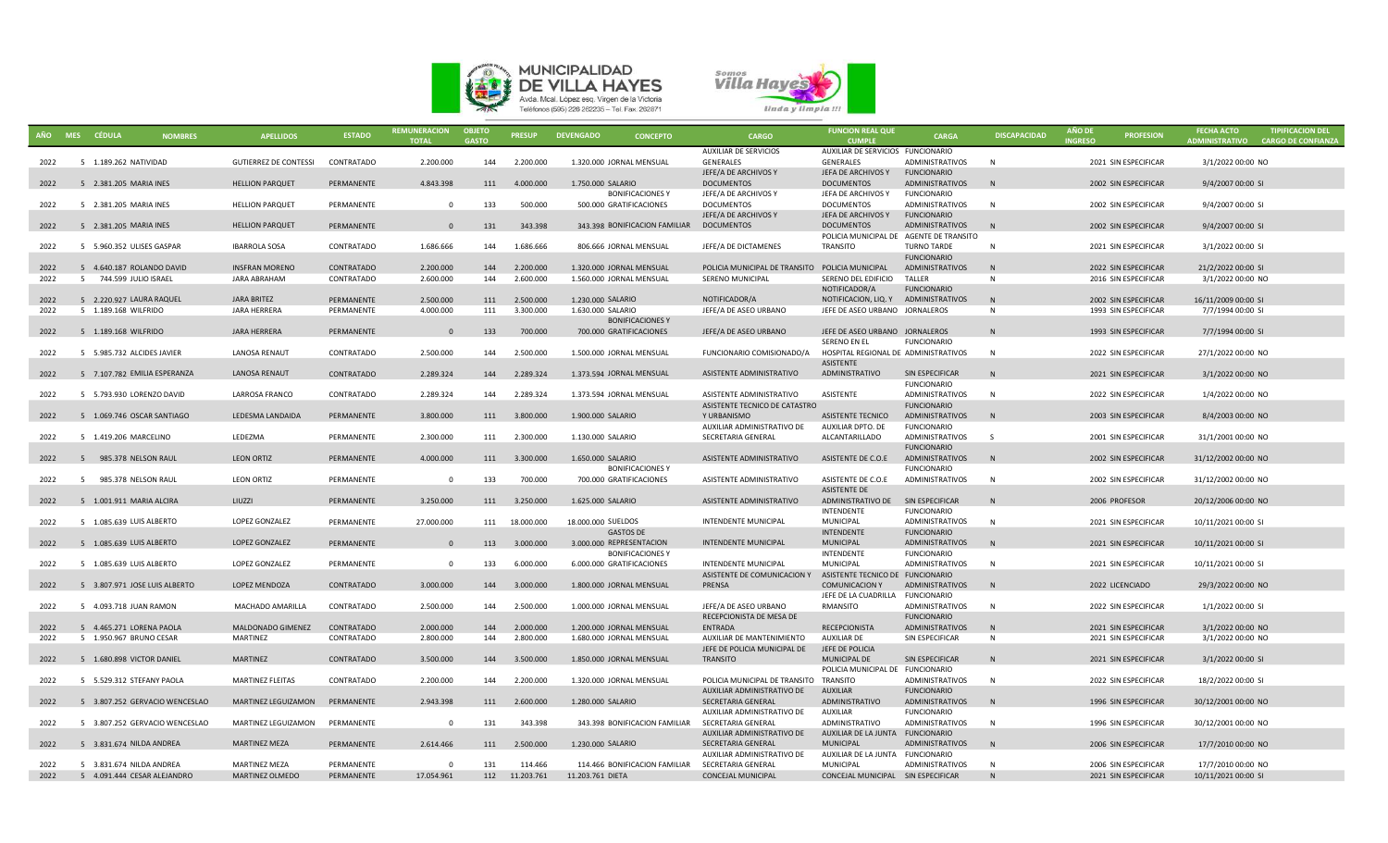



|      | AÑO MES CÉDULA                | <b>NOMBRES</b>                 | <b>APELLIDOS</b>             | <b>ESTADO</b> | <b>REMUNERACION</b><br><b>TOTAL</b> | <b>OBJETO</b><br><b>GASTO</b> | <b>PRESUP</b> | <b>DEVENGADO</b><br><b>CONCEPTO</b>      | <b>CARGO</b>                                              | <b>FUNCION REAL QUE</b><br><b>CUMPLE</b> | CARGA                                        | <b>DISCAPACIDAD</b> | <b>AÑO DE</b><br><b>INGRESO</b> | <b>PROFESION</b>     | <b>FECHA ACTO</b><br>ADMINISTRATIVO | <b>TIPIFICACION DEL</b><br><b>CARGO DE CONFIANZA</b> |
|------|-------------------------------|--------------------------------|------------------------------|---------------|-------------------------------------|-------------------------------|---------------|------------------------------------------|-----------------------------------------------------------|------------------------------------------|----------------------------------------------|---------------------|---------------------------------|----------------------|-------------------------------------|------------------------------------------------------|
|      |                               |                                |                              |               |                                     |                               |               |                                          | <b>AUXILIAR DE SERVICIOS</b>                              | AUXILIAR DE SERVICIOS FUNCIONARIO        |                                              |                     |                                 |                      |                                     |                                                      |
| 2022 | 5 1.189.262 NATIVIDAD         |                                | <b>GUTIERREZ DE CONTESSI</b> | CONTRATADO    | 2.200.000                           | 144                           | 2.200.000     | 1.320.000 JORNAL MENSUAL                 | GENERALES                                                 | GENERALES                                | <b>ADMINISTRATIVOS</b>                       | N                   |                                 | 2021 SIN ESPECIFICAR | 3/1/2022 00:00 NO                   |                                                      |
| 2022 | 5 2.381.205 MARIA INES        |                                | <b>HELLION PARQUET</b>       | PERMANENTE    | 4.843.398                           | 111                           | 4.000.000     | 1.750.000 SALARIO                        | JEFE/A DE ARCHIVOS Y<br><b>DOCUMENTOS</b>                 | JEFA DE ARCHIVOS Y<br><b>DOCUMENTOS</b>  | <b>FUNCIONARIO</b><br><b>ADMINISTRATIVOS</b> | N                   |                                 | 2002 SIN ESPECIFICAR | 9/4/2007 00:00 SI                   |                                                      |
|      |                               |                                |                              |               |                                     |                               |               | <b>BONIFICACIONESY</b>                   | JEFE/A DE ARCHIVOS Y                                      | JEFA DE ARCHIVOS Y                       | <b>FUNCIONARIO</b>                           |                     |                                 |                      |                                     |                                                      |
| 2022 | 5 2.381.205 MARIA INES        |                                | <b>HELLION PARQUET</b>       | PERMANENTE    | $\Omega$                            | 133                           | 500.000       | 500.000 GRATIFICACIONES                  | <b>DOCUMENTOS</b>                                         | <b>DOCUMENTOS</b>                        | ADMINISTRATIVOS                              | N                   |                                 | 2002 SIN ESPECIFICAR | 9/4/2007 00:00 SI                   |                                                      |
|      |                               |                                |                              |               |                                     |                               |               |                                          | JEFE/A DE ARCHIVOS Y                                      | JEFA DE ARCHIVOS Y                       | <b>FUNCIONARIO</b>                           |                     |                                 |                      |                                     |                                                      |
| 2022 | 5 2.381.205 MARIA INES        |                                | <b>HELLION PARQUET</b>       | PERMANENTE    | $\overline{0}$                      | 131                           | 343.398       | 343.398 BONIFICACION FAMILIAR DOCUMENTOS |                                                           | <b>DOCUMENTOS</b>                        | ADMINISTRATIVOS                              | N                   |                                 | 2002 SIN ESPECIFICAR | 9/4/2007 00:00 SI                   |                                                      |
|      |                               |                                |                              |               |                                     |                               |               |                                          |                                                           | POLICIA MUNICIPAL DE AGENTE DE TRANSITO  |                                              |                     |                                 |                      |                                     |                                                      |
| 2022 | 5 5.960.352 ULISES GASPAR     |                                | <b>IBARROLA SOSA</b>         | CONTRATADO    | 1.686.666                           | 144                           | 1.686.666     | 806.666 JORNAL MENSUAL                   | JEFE/A DE DICTAMENES                                      | TRANSITO                                 | <b>TURNO TARDE</b>                           | $\mathbb N$         |                                 | 2021 SIN ESPECIFICAR | 3/1/2022 00:00 SI                   |                                                      |
|      |                               |                                |                              |               |                                     |                               |               |                                          |                                                           |                                          | <b>FUNCIONARIO</b>                           |                     |                                 |                      |                                     |                                                      |
| 2022 | 5 4.640.187 ROLANDO DAVID     |                                | <b>INSFRAN MORENO</b>        | CONTRATADO    | 2.200.000                           | 144                           | 2.200.000     | 1.320.000 JORNAL MENSUAL                 | POLICIA MUNICIPAL DE TRANSITO POLICIA MUNICIPAL           |                                          | ADMINISTRATIVOS<br>TALLER                    | N<br><b>N</b>       |                                 | 2022 SIN ESPECIFICAR | 21/2/2022 00:00 SI                  |                                                      |
| 2022 | 5 744.599 JULIO ISRAEL        |                                | <b>JARA ABRAHAM</b>          | CONTRATADO    | 2.600.000                           | 144                           | 2.600.000     | 1.560.000 JORNAL MENSUAL                 | SERENO MUNICIPAL                                          | SERENO DEL EDIFICIO<br>NOTIFICADOR/A     | <b>FUNCIONARIO</b>                           |                     |                                 | 2016 SIN ESPECIFICAR | 3/1/2022 00:00 NO                   |                                                      |
| 2022 | 5 2.220.927 LAURA RAQUEL      |                                | <b>JARA BRITEZ</b>           | PERMANENTE    | 2.500.000                           | 111                           | 2.500.000     | 1.230.000 SALARIO                        | NOTIFICADOR/A                                             | NOTIFICACION, LIQ. Y                     | ADMINISTRATIVOS                              | N                   |                                 | 2002 SIN ESPECIFICAR | 16/11/2009 00:00 SI                 |                                                      |
| 2022 | 5 1.189.168 WILFRIDO          |                                | <b>JARA HERRERA</b>          | PERMANENTE    | 4.000.000                           | 111                           | 3.300.000     | 1.630.000 SALARIO                        | JEFE/A DE ASEO URBANO                                     | JEFE DE ASEO URBANO JORNALEROS           |                                              | N                   |                                 | 1993 SIN ESPECIFICAR | 7/7/1994 00:00 SI                   |                                                      |
|      |                               |                                |                              |               |                                     |                               |               | <b>BONIFICACIONES Y</b>                  |                                                           |                                          |                                              |                     |                                 |                      |                                     |                                                      |
| 2022 | 5 1.189.168 WILFRIDO          |                                | <b>JARA HERRERA</b>          | PERMANENTE    | $\overline{0}$                      | 133                           | 700.000       | 700.000 GRATIFICACIONES                  | JEFE/A DE ASEO URBANO                                     | JEFE DE ASEO URBANO JORNALEROS           |                                              | N                   |                                 | 1993 SIN ESPECIFICAR | 7/7/1994 00:00 SI                   |                                                      |
|      |                               |                                |                              |               |                                     |                               |               |                                          |                                                           | <b>SERENO EN EL</b>                      | <b>FUNCIONARIO</b>                           |                     |                                 |                      |                                     |                                                      |
| 2022 | 5 5.985.732 ALCIDES JAVIER    |                                | <b>LANOSA RENAUT</b>         | CONTRATADO    | 2.500.000                           | 144                           | 2.500.000     | 1.500.000 JORNAL MENSUAL                 | FUNCIONARIO COMISIONADO/A                                 | HOSPITAL REGIONAL DE ADMINISTRATIVOS     |                                              | N                   |                                 | 2022 SIN ESPECIFICAR | 27/1/2022 00:00 NO                  |                                                      |
|      |                               |                                |                              |               |                                     |                               |               |                                          |                                                           | <b>ASISTENTE</b>                         |                                              |                     |                                 |                      |                                     |                                                      |
| 2022 | 5 7.107.782 EMILIA ESPERANZA  |                                | <b>LANOSA RENAUT</b>         | CONTRATADO    | 2.289.324                           | 144                           | 2.289.324     | 1.373.594 JORNAL MENSUAL                 | ASISTENTE ADMINISTRATIVO                                  | ADMINISTRATIVO                           | SIN ESPECIFICAR                              | N                   |                                 | 2021 SIN ESPECIFICAR | 3/1/2022 00:00 NO                   |                                                      |
|      |                               |                                |                              |               |                                     |                               |               |                                          |                                                           | ASISTENTE                                | <b>FUNCIONARIO</b>                           |                     |                                 |                      |                                     |                                                      |
| 2022 | 5 5.793.930 LORENZO DAVID     |                                | LARROSA FRANCO               | CONTRATADO    | 2.289.324                           | 144                           | 2.289.324     | 1.373.594 JORNAL MENSUAL                 | ASISTENTE ADMINISTRATIVO<br>ASISTENTE TECNICO DE CATASTRO |                                          | ADMINISTRATIVOS<br><b>FUNCIONARIO</b>        | N                   |                                 | 2022 SIN ESPECIFICAR | 1/4/2022 00:00 NO                   |                                                      |
| 2022 | 5 1.069.746 OSCAR SANTIAGO    |                                | LEDESMA LANDAIDA             | PERMANENTE    | 3.800.000                           | 111                           | 3.800.000     | 1.900.000 SALARIO                        | Y URBANISMO                                               | ASISTENTE TECNICO                        | ADMINISTRATIVOS                              | N                   |                                 | 2003 SIN ESPECIFICAR | 8/4/2003 00:00 NO                   |                                                      |
|      |                               |                                |                              |               |                                     |                               |               |                                          | AUXILIAR ADMINISTRATIVO DE                                | AUXILIAR DPTO. DE                        | <b>FUNCIONARIO</b>                           |                     |                                 |                      |                                     |                                                      |
| 2022 | 5 1.419.206 MARCELINO         |                                | LEDEZMA                      | PERMANENTE    | 2.300.000                           | 111                           | 2.300.000     | 1.130.000 SALARIO                        | SECRETARIA GENERAL                                        | ALCANTARILLADO                           | ADMINISTRATIVOS                              | S.                  |                                 | 2001 SIN ESPECIFICAR | 31/1/2001 00:00 NO                  |                                                      |
|      |                               |                                |                              |               |                                     |                               |               |                                          |                                                           |                                          | <b>FUNCIONARIO</b>                           |                     |                                 |                      |                                     |                                                      |
| 2022 | 5 985.378 NELSON RAUL         |                                | <b>LEON ORTIZ</b>            | PERMANENTE    | 4.000.000                           | 111                           | 3.300.000     | 1.650.000 SALARIO                        | ASISTENTE ADMINISTRATIVO                                  | ASISTENTE DE C.O.E                       | ADMINISTRATIVOS                              | N                   |                                 | 2002 SIN ESPECIFICAR | 31/12/2002 00:00 NO                 |                                                      |
|      |                               |                                |                              |               |                                     |                               |               | <b>BONIFICACIONES Y</b>                  |                                                           |                                          | <b>FUNCIONARIO</b>                           |                     |                                 |                      |                                     |                                                      |
| 2022 | 5 985.378 NELSON RAUL         |                                | <b>LEON ORTIZ</b>            | PERMANENTE    | $\Omega$                            | 133                           | 700.000       | 700.000 GRATIFICACIONES                  | ASISTENTE ADMINISTRATIVO                                  | ASISTENTE DE C.O.E                       | ADMINISTRATIVOS                              | N                   |                                 | 2002 SIN ESPECIFICAR | 31/12/2002 00:00 NO                 |                                                      |
|      |                               |                                |                              |               |                                     |                               |               |                                          |                                                           | <b>ASISTENTE DE</b>                      |                                              |                     |                                 |                      |                                     |                                                      |
| 2022 | 5 1.001.911 MARIA ALCIRA      |                                | LIUZZI                       | PERMANENTE    | 3.250.000                           | 111                           | 3.250.000     | 1.625.000 SALARIO                        | ASISTENTE ADMINISTRATIVO                                  | ADMINISTRATIVO DE<br><b>INTENDENTE</b>   | SIN ESPECIFICAR<br><b>FUNCIONARIO</b>        | N                   |                                 | 2006 PROFESOR        | 20/12/2006 00:00 NO                 |                                                      |
| 2022 | 5 1.085.639 LUIS ALBERTO      |                                | <b>LOPEZ GONZALEZ</b>        | PERMANENTE    | 27.000.000                          | 111                           | 18,000,000    | 18,000,000 SUELDOS                       | <b>INTENDENTE MUNICIPAL</b>                               | <b>MUNICIPAL</b>                         | <b>ADMINISTRATIVOS</b>                       | N                   |                                 | 2021 SIN ESPECIFICAR | 10/11/2021 00:00 SI                 |                                                      |
|      |                               |                                |                              |               |                                     |                               |               | <b>GASTOS DE</b>                         |                                                           | <b>INTENDENTE</b>                        | <b>FUNCIONARIO</b>                           |                     |                                 |                      |                                     |                                                      |
| 2022 | 5 1.085.639 LUIS ALBERTO      |                                | LOPEZ GONZALEZ               | PERMANENTE    | $\overline{0}$                      | 113                           | 3.000.000     | 3.000.000 REPRESENTACION                 | <b>INTENDENTE MUNICIPAL</b>                               | <b>MUNICIPAL</b>                         | <b>ADMINISTRATIVOS</b>                       | N                   |                                 | 2021 SIN ESPECIFICAR | 10/11/2021 00:00 SI                 |                                                      |
|      |                               |                                |                              |               |                                     |                               |               | <b>BONIFICACIONESY</b>                   |                                                           | INTENDENTE                               | <b>FUNCIONARIO</b>                           |                     |                                 |                      |                                     |                                                      |
| 2022 | 5 1.085.639 LUIS ALBERTO      |                                | LOPEZ GONZALEZ               | PERMANENTE    | $\Omega$                            | 133                           | 6.000.000     | 6.000.000 GRATIFICACIONES                | <b>INTENDENTE MUNICIPAL</b>                               | MUNICIPAL                                | <b>ADMINISTRATIVOS</b>                       | N                   |                                 | 2021 SIN ESPECIFICAR | 10/11/2021 00:00 SI                 |                                                      |
|      |                               |                                |                              |               |                                     |                               |               |                                          | ASISTENTE DE COMUNICACION Y                               | ASISTENTE TECNICO DE FUNCIONARIO         |                                              |                     |                                 |                      |                                     |                                                      |
| 2022 | 5 3.807.971 JOSE LUIS ALBERTO |                                | <b>LOPEZ MENDOZA</b>         | CONTRATADO    | 3.000.000                           | 144                           | 3.000.000     | 1.800.000 JORNAL MENSUAL                 | PRENSA                                                    | <b>COMUNICACION Y</b>                    | ADMINISTRATIVOS                              | N                   |                                 | 2022 LICENCIADO      | 29/3/2022 00:00 NO                  |                                                      |
|      |                               |                                |                              |               |                                     |                               |               |                                          |                                                           | JEFE DE LA CUADRILLA                     | <b>FUNCIONARIO</b>                           |                     |                                 |                      |                                     |                                                      |
| 2022 | 5 4.093.718 JUAN RAMON        |                                | MACHADO AMARILLA             | CONTRATADO    | 2.500.000                           | 144                           | 2.500.000     | 1.000.000 JORNAL MENSUAL                 | JEFE/A DE ASEO URBANO                                     | RMANSITO                                 | <b>ADMINISTRATIVOS</b>                       | N                   |                                 | 2022 SIN ESPECIFICAR | 1/1/2022 00:00 SI                   |                                                      |
| 2022 | 5 4.465.271 LORENA PAOLA      |                                | MALDONADO GIMENEZ            | CONTRATADO    | 2.000.000                           | 144                           | 2.000.000     | 1.200.000 JORNAL MENSUAL                 | RECEPCIONISTA DE MESA DE<br><b>ENTRADA</b>                | <b>RECEPCIONISTA</b>                     | <b>FUNCIONARIO</b><br><b>ADMINISTRATIVOS</b> | N                   |                                 | 2021 SIN ESPECIFICAR | 3/1/2022 00:00 NO                   |                                                      |
| 2022 | 5 1.950.967 BRUNO CESAR       |                                | <b>MARTINEZ</b>              | CONTRATADO    | 2.800.000                           | 144                           | 2.800.000     | 1.680.000 JORNAL MENSUAL                 | AUXILIAR DE MANTENIMIENTO                                 | AUXILIAR DE                              | SIN ESPECIFICAR                              | N                   |                                 | 2021 SIN ESPECIFICAR | 3/1/2022 00:00 NO                   |                                                      |
|      |                               |                                |                              |               |                                     |                               |               |                                          | JEFE DE POLICIA MUNICIPAL DE                              | JEFE DE POLICIA                          |                                              |                     |                                 |                      |                                     |                                                      |
| 2022 | 5 1.680.898 VICTOR DANIEL     |                                | <b>MARTINEZ</b>              | CONTRATADO    | 3.500.000                           | 144                           | 3.500.000     | 1.850.000 JORNAL MENSUAL                 | TRANSITO                                                  | MUNICIPAL DE                             | SIN ESPECIFICAR                              |                     |                                 | 2021 SIN ESPECIFICAR | 3/1/2022 00:00 SI                   |                                                      |
|      |                               |                                |                              |               |                                     |                               |               |                                          |                                                           | POLICIA MUNICIPAL DE FUNCIONARIO         |                                              |                     |                                 |                      |                                     |                                                      |
| 2022 | 5 5.529.312 STEFANY PAOLA     |                                | <b>MARTINEZ FLEITAS</b>      | CONTRATADO    | 2.200.000                           | 144                           | 2.200.000     | 1.320.000 JORNAL MENSUAL                 | POLICIA MUNICIPAL DE TRANSITO TRANSITO                    |                                          | <b>ADMINISTRATIVOS</b>                       | N                   |                                 | 2022 SIN ESPECIFICAR | 18/2/2022 00:00 SI                  |                                                      |
|      |                               |                                |                              |               |                                     |                               |               |                                          | AUXILIAR ADMINISTRATIVO DE                                | <b>AUXILIAR</b>                          | <b>FUNCIONARIO</b>                           |                     |                                 |                      |                                     |                                                      |
| 2022 |                               | 5 3.807.252 GERVACIO WENCESLAO | MARTINEZ LEGUIZAMON          | PERMANENTE    | 2.943.398                           | 111                           | 2.600.000     | 1.280.000 SALARIO                        | SECRETARIA GENERAL                                        | ADMINISTRATIVO                           | <b>ADMINISTRATIVOS</b>                       | N                   |                                 | 1996 SIN ESPECIFICAR | 30/12/2001 00:00 NO                 |                                                      |
|      |                               |                                |                              |               |                                     |                               |               |                                          | AUXILIAR ADMINISTRATIVO DE                                | AUXILIAR                                 | <b>FUNCIONARIO</b>                           |                     |                                 |                      |                                     |                                                      |
| 2022 |                               | 5 3.807.252 GERVACIO WENCESLAO | MARTINEZ LEGUIZAMON          | PERMANENTE    | $\Omega$                            | 131                           | 343.398       | 343.398 BONIFICACION FAMILIAR            | SECRETARIA GENERAL                                        | ADMINISTRATIVO                           | <b>ADMINISTRATIVOS</b>                       | N                   |                                 | 1996 SIN ESPECIFICAR | 30/12/2001 00:00 NO                 |                                                      |
| 2022 | 5 3.831.674 NILDA ANDREA      |                                | <b>MARTINEZ MEZA</b>         | PERMANENTE    | 2.614.466                           | 111                           | 2.500.000     | 1.230.000 SALARIO                        | AUXILIAR ADMINISTRATIVO DE<br>SECRETARIA GENERAL          | AUXILIAR DE LA JUNTA<br><b>MUNICIPAL</b> | <b>FUNCIONARIO</b><br>ADMINISTRATIVOS        | N                   |                                 | 2006 SIN ESPECIFICAR | 17/7/2010 00:00 NO                  |                                                      |
|      |                               |                                |                              |               |                                     |                               |               |                                          | AUXILIAR ADMINISTRATIVO DE                                | AUXILIAR DE LA JUNTA FUNCIONARIO         |                                              |                     |                                 |                      |                                     |                                                      |
| 2022 | 5 3.831.674 NILDA ANDREA      |                                | <b>MARTINEZ MEZA</b>         | PERMANENTE    | $\Omega$                            | 131                           | 114.466       | 114.466 BONIFICACION FAMILIAR            | SECRETARIA GENERAL                                        | <b>MUNICIPAL</b>                         | ADMINISTRATIVOS                              | N                   |                                 | 2006 SIN ESPECIFICAR | 17/7/2010 00:00 NO                  |                                                      |
| 2022 | 5 4.091.444 CESAR ALEJANDRO   |                                | MARTINEZ OLMEDO              | PERMANENTE    | 17.054.961                          | 112                           | 11.203.761    | 11.203.761 DIETA                         | CONCEJAL MUNICIPAL                                        | CONCEJAL MUNICIPAL SIN ESPECIFICAR       |                                              |                     |                                 | 2021 SIN ESPECIFICAR | 10/11/2021 00:00 SI                 |                                                      |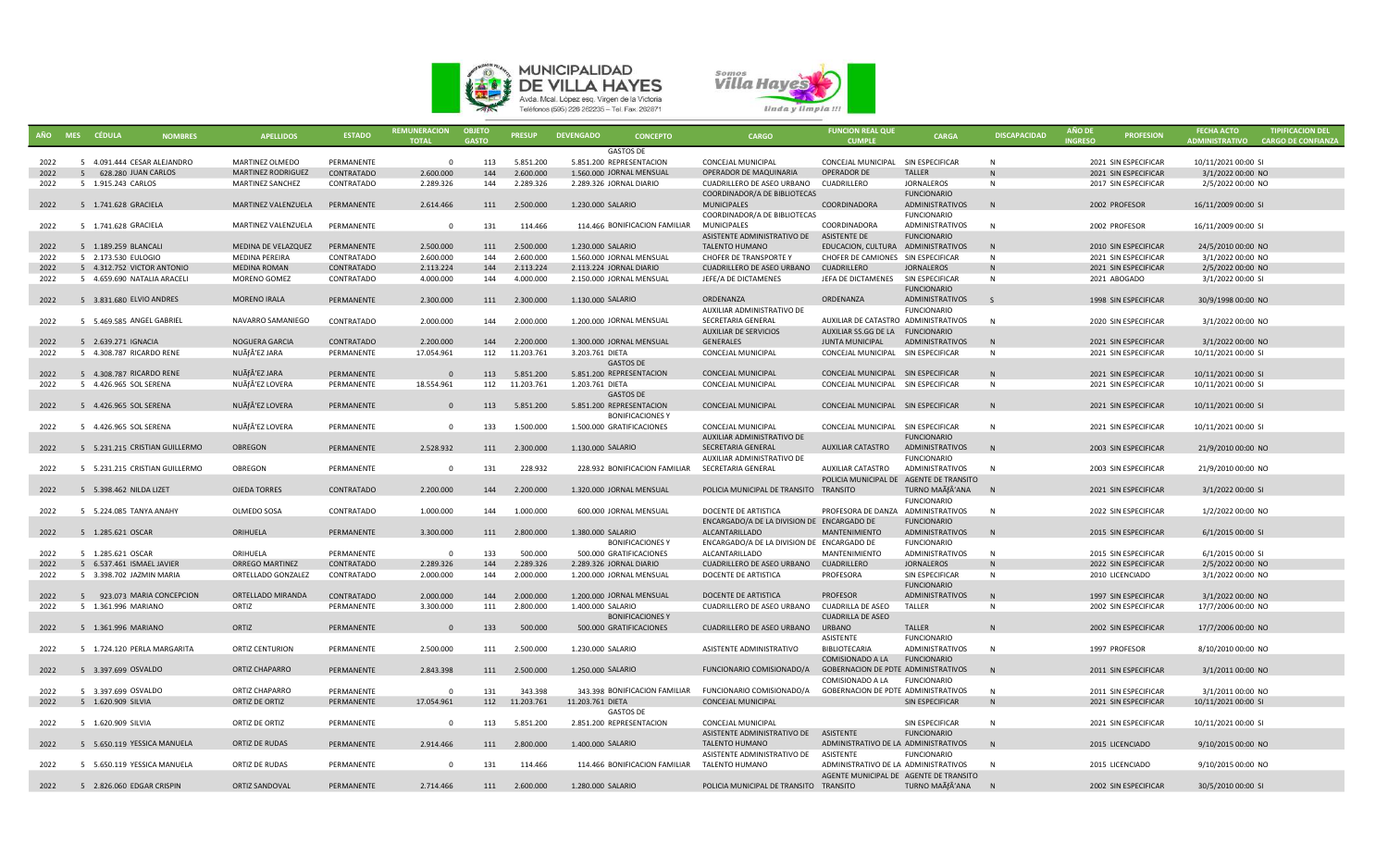



|      | AÑO MES CÉDULA<br><b>NOMBRES</b> | <b>APELLIDOS</b>          | <b>ESTADO</b> | <b>REMUNERACION</b><br><b>TOTAL</b> | <b>OBJETO</b><br><b>GASTO</b> | <b>PRESUP</b>  | <b>DEVENGADO</b><br><b>CONCEPTO</b>              | <b>CARGO</b>                               | <b>FUNCION REAL QUE</b><br><b>CUMPLE</b> | <b>CARGA</b>           | <b>DISCAPACIDAD</b> | <b>ANO DE</b><br><b>INGRESO</b> | <b>PROFESION</b>     | <b>FECHA ACTO</b><br><b>ADMINISTRATIVO</b> | <b>TIPIFICACION DEL</b><br><b>CARGO DE CONFIANZA</b> |
|------|----------------------------------|---------------------------|---------------|-------------------------------------|-------------------------------|----------------|--------------------------------------------------|--------------------------------------------|------------------------------------------|------------------------|---------------------|---------------------------------|----------------------|--------------------------------------------|------------------------------------------------------|
|      |                                  |                           |               |                                     |                               |                | <b>GASTOS DE</b>                                 |                                            |                                          |                        |                     |                                 |                      |                                            |                                                      |
| 2022 | 5 4.091.444 CESAR ALEJANDRO      | MARTINEZ OLMEDO           | PERMANENTE    | $\Omega$                            | 113                           | 5.851.200      | 5.851.200 REPRESENTACION                         | CONCEJAL MUNICIPAL                         | CONCEJAL MUNICIPAL                       | SIN ESPECIFICAR        | N                   |                                 | 2021 SIN ESPECIFICAR | 10/11/2021 00:00 SI                        |                                                      |
| 2022 | 5 628.280 JUAN CARLOS            | <b>MARTINEZ RODRIGUEZ</b> | CONTRATADO    | 2.600.000                           | 144                           | 2.600.000      | 1.560.000 JORNAL MENSUAL                         | OPERADOR DE MAQUINARIA                     | <b>OPERADOR DE</b>                       | <b>TALLER</b>          |                     |                                 | 2021 SIN ESPECIFICAR | 3/1/2022 00:00 NO                          |                                                      |
| 2022 | 5 1.915.243 CARLOS               | MARTINEZ SANCHEZ          | CONTRATADO    | 2.289.326                           | 144                           | 2.289.326      | 2.289.326 JORNAL DIARIO                          | CUADRILLERO DE ASEO URBANO                 | CUADRILLERO                              | <b>JORNALEROS</b>      | N                   |                                 | 2017 SIN ESPECIFICAR | 2/5/2022 00:00 NO                          |                                                      |
|      |                                  |                           |               |                                     |                               |                |                                                  | COORDINADOR/A DE BIBLIOTECAS               |                                          | <b>FUNCIONARIO</b>     |                     |                                 |                      |                                            |                                                      |
|      | 5 1.741.628 GRACIELA             |                           | PERMANENTE    | 2.614.466                           | 111                           | 2.500.000      | 1.230.000 SALARIO                                |                                            | COORDINADORA                             | ADMINISTRATIVOS        | N                   |                                 |                      |                                            |                                                      |
| 2022 |                                  | MARTINEZ VALENZUELA       |               |                                     |                               |                |                                                  | <b>MUNICIPALES</b>                         |                                          |                        |                     |                                 | 2002 PROFESOR        | 16/11/2009 00:00 SI                        |                                                      |
|      |                                  |                           |               |                                     |                               |                |                                                  | COORDINADOR/A DE BIBLIOTECAS               |                                          | <b>FUNCIONARIO</b>     |                     |                                 |                      |                                            |                                                      |
| 2022 | 5 1.741.628 GRACIELA             | MARTINEZ VALENZUELA       | PERMANENTE    | $\overline{0}$                      | 131                           | 114.466        | 114.466 BONIFICACION FAMILIAR                    | <b>MUNICIPALES</b>                         | COORDINADORA                             | <b>ADMINISTRATIVOS</b> | N                   |                                 | 2002 PROFESOR        | 16/11/2009 00:00 SI                        |                                                      |
|      |                                  |                           |               |                                     |                               |                |                                                  | ASISTENTE ADMINISTRATIVO DE                | ASISTENTE DE                             | <b>FUNCIONARIO</b>     |                     |                                 |                      |                                            |                                                      |
| 2022 | 5 1.189.259 BLANCALI             | MEDINA DE VELAZQUEZ       | PERMANENTE    | 2.500.000                           | 111                           | 2.500.000      | 1.230.000 SALARIO                                | <b>TALENTO HUMANO</b>                      | EDUCACION, CULTURA ADMINISTRATIVOS       |                        | N                   |                                 | 2010 SIN ESPECIFICAR | 24/5/2010 00:00 NO                         |                                                      |
| 2022 | 5 2.173.530 EULOGIO              | MEDINA PEREIRA            | CONTRATADO    | 2.600.000                           | 144                           | 2.600.000      | 1.560.000 JORNAL MENSUAL                         | CHOFER DE TRANSPORTE Y                     | CHOFER DE CAMIONES SIN ESPECIFICAR       |                        | N                   |                                 | 2021 SIN ESPECIFICAR | 3/1/2022 00:00 NO                          |                                                      |
| 2022 | 5 4.312.752 VICTOR ANTONIO       | <b>MEDINA ROMAN</b>       | CONTRATADO    | 2.113.224                           | 144                           | 2.113.224      | 2.113.224 JORNAL DIARIO                          | CUADRILLERO DE ASEO URBANO                 | CUADRILLERO                              | <b>JORNALEROS</b>      | N                   |                                 | 2021 SIN ESPECIFICAR | 2/5/2022 00:00 NO                          |                                                      |
| 2022 | 5 4.659.690 NATALIA ARACELI      | MORENO GOMEZ              | CONTRATADO    | 4.000.000                           | 144                           | 4.000.000      | 2.150.000 JORNAL MENSUAL                         | JEFE/A DE DICTAMENES                       | JEFA DE DICTAMENES                       | SIN ESPECIFICAR        | $\mathsf{N}$        |                                 | 2021 ABOGADO         | 3/1/2022 00:00 SI                          |                                                      |
|      |                                  |                           |               |                                     |                               |                |                                                  |                                            |                                          | <b>FUNCIONARIO</b>     |                     |                                 |                      |                                            |                                                      |
| 2022 | 5 3.831.680 ELVIO ANDRES         | <b>MORENO IRALA</b>       | PERMANENTE    | 2.300.000                           | 111                           | 2.300.000      | 1.130.000 SALARIO                                | ORDENANZA                                  | ORDENANZA                                | ADMINISTRATIVOS        | $\mathsf{S}$        |                                 | 1998 SIN ESPECIFICAR | 30/9/1998 00:00 NO                         |                                                      |
|      |                                  |                           |               |                                     |                               |                |                                                  | AUXILIAR ADMINISTRATIVO DE                 |                                          | <b>FUNCIONARIO</b>     |                     |                                 |                      |                                            |                                                      |
| 2022 | 5 5.469.585 ANGEL GABRIEL        | NAVARRO SAMANIEGO         | CONTRATADO    | 2.000.000                           | 144                           | 2.000.000      | 1.200.000 JORNAL MENSUAL                         | SECRETARIA GENERAL                         | AUXILIAR DE CATASTRO ADMINISTRATIVOS     |                        | $\mathsf{N}$        |                                 | 2020 SIN ESPECIFICAR | 3/1/2022 00:00 NO                          |                                                      |
|      |                                  |                           |               |                                     |                               |                |                                                  | <b>AUXILIAR DE SERVICIOS</b>               | AUXILIAR SS.GG DE LA FUNCIONARIO         |                        |                     |                                 |                      |                                            |                                                      |
| 2022 | 5 2.639.271 IGNACIA              | NOGUERA GARCIA            | CONTRATADO    | 2.200.000                           | 144                           | 2.200.000      | 1.300.000 JORNAL MENSUAL                         | <b>GENERALES</b>                           | <b>JUNTA MUNICIPAL</b>                   | <b>ADMINISTRATIVOS</b> | N                   |                                 | 2021 SIN ESPECIFICAR | 3/1/2022 00:00 NO                          |                                                      |
| 2022 | 5 4.308.787 RICARDO RENE         | NUÃf'EZ JARA              | PERMANENTE    | 17.054.961                          |                               | 112 11.203.761 | 3.203.761 DIETA                                  | CONCEJAL MUNICIPAL                         | CONCEJAL MUNICIPAL SIN ESPECIFICAR       |                        | N                   |                                 | 2021 SIN ESPECIFICAR | 10/11/2021 00:00 SI                        |                                                      |
|      |                                  |                           |               |                                     |                               |                | <b>GASTOS DE</b>                                 |                                            |                                          |                        |                     |                                 |                      |                                            |                                                      |
|      |                                  | NUÃfÂ'EZ JARA             |               |                                     |                               |                | 5.851.200 REPRESENTACION                         | <b>CONCEJAL MUNICIPAL</b>                  | CONCEJAL MUNICIPAL SIN ESPECIFICAR       |                        | N                   |                                 |                      |                                            |                                                      |
| 2022 | 5 4.308.787 RICARDO RENE         |                           | PERMANENTE    |                                     | 113                           | 5.851.200      |                                                  |                                            |                                          |                        |                     |                                 | 2021 SIN ESPECIFICAR | 10/11/2021 00:00 SI                        |                                                      |
| 2022 | 5 4.426.965 SOL SERENA           | NUÃf'EZ LOVERA            | PERMANENTE    | 18.554.961                          | 112                           | 11.203.761     | 1.203.761 DIETA                                  | CONCEJAL MUNICIPAL                         | CONCEJAL MUNICIPAL SIN ESPECIFICAR       |                        | N                   |                                 | 2021 SIN ESPECIFICAR | 10/11/2021 00:00 SI                        |                                                      |
|      |                                  |                           |               |                                     |                               |                | <b>GASTOS DE</b>                                 |                                            |                                          |                        |                     |                                 |                      |                                            |                                                      |
| 2022 | 5 4.426.965 SOL SERENA           | NUÃfÂ'EZ LOVERA           | PERMANENTE    | $\Omega$                            | 113                           | 5.851.200      | 5.851.200 REPRESENTACION                         | CONCEJAL MUNICIPAL                         | CONCEJAL MUNICIPAL SIN ESPECIFICAR       |                        | N                   |                                 | 2021 SIN ESPECIFICAR | 10/11/2021 00:00 SI                        |                                                      |
|      |                                  |                           |               |                                     |                               |                | <b>BONIFICACIONESY</b>                           |                                            |                                          |                        |                     |                                 |                      |                                            |                                                      |
| 2022 | 5 4.426.965 SOL SERENA           | NUÃfÂ'EZ LOVERA           | PERMANENTE    | $\Omega$                            | 133                           | 1.500.000      | 1.500.000 GRATIFICACIONES                        | <b>CONCEJAL MUNICIPAL</b>                  | CONCEJAL MUNICIPAL                       | SIN ESPECIFICAR        | N                   |                                 | 2021 SIN ESPECIFICAR | 10/11/2021 00:00 SI                        |                                                      |
|      |                                  |                           |               |                                     |                               |                |                                                  | AUXILIAR ADMINISTRATIVO DE                 |                                          | <b>FUNCIONARIO</b>     |                     |                                 |                      |                                            |                                                      |
| 2022 | 5 5.231.215 CRISTIAN GUILLERMO   | <b>OBREGON</b>            | PERMANENTE    | 2.528.932                           | 111                           | 2.300.000      | 1.130.000 SALARIO                                | SECRETARIA GENERAL                         | <b>AUXILIAR CATASTRO</b>                 | ADMINISTRATIVOS        | N                   |                                 | 2003 SIN ESPECIFICAR | 21/9/2010 00:00 NO                         |                                                      |
|      |                                  |                           |               |                                     |                               |                |                                                  | AUXILIAR ADMINISTRATIVO DE                 |                                          | <b>FUNCIONARIO</b>     |                     |                                 |                      |                                            |                                                      |
| 2022 | 5 5.231.215 CRISTIAN GUILLERMO   | OBREGON                   | PERMANENTE    | $\Omega$                            | 131                           | 228.932        | 228.932 BONIFICACION FAMILIAR SECRETARIA GENERAL |                                            | <b>AUXILIAR CATASTRO</b>                 | ADMINISTRATIVOS        | N                   |                                 | 2003 SIN ESPECIFICAR | 21/9/2010 00:00 NO                         |                                                      |
|      |                                  |                           |               |                                     |                               |                |                                                  |                                            | POLICIA MUNICIPAL DE AGENTE DE TRANSITO  |                        |                     |                                 |                      |                                            |                                                      |
| 2022 | 5 5.398.462 NILDA LIZET          | <b>OJEDA TORRES</b>       | CONTRATADO    | 2.200.000                           | 144                           | 2.200.000      | 1.320.000 JORNAL MENSUAL                         | POLICIA MUNICIPAL DE TRANSITO TRANSITO     |                                          | TURNO MAÃfÂ'ANA        | N                   |                                 | 2021 SIN ESPECIFICAR | 3/1/2022 00:00 SI                          |                                                      |
|      |                                  |                           |               |                                     |                               |                |                                                  |                                            |                                          | <b>FUNCIONARIO</b>     |                     |                                 |                      |                                            |                                                      |
| 2022 | 5 5.224.085 TANYA ANAHY          | OLMEDO SOSA               | CONTRATADO    | 1.000.000                           | 144                           | 1.000.000      | 600.000 JORNAL MENSUAL                           | DOCENTE DE ARTISTICA                       | PROFESORA DE DANZA ADMINISTRATIVOS       |                        | $\overline{N}$      |                                 | 2022 SIN ESPECIFICAR | 1/2/2022 00:00 NO                          |                                                      |
|      |                                  |                           |               |                                     |                               |                |                                                  | ENCARGADO/A DE LA DIVISION DE ENCARGADO DE |                                          | <b>FUNCIONARIO</b>     |                     |                                 |                      |                                            |                                                      |
| 2022 | 5 1.285.621 OSCAR                | ORIHUELA                  | PERMANENTE    | 3.300.000                           | 111                           | 2.800.000      | 1.380,000 SALARIO                                | ALCANTARILLADO                             | <b>MANTENIMIENTO</b>                     | ADMINISTRATIVOS        | N                   |                                 | 2015 SIN ESPECIFICAR | 6/1/2015 00:00 SI                          |                                                      |
|      |                                  |                           |               |                                     |                               |                | <b>BONIFICACIONESY</b>                           | ENCARGADO/A DE LA DIVISION DE ENCARGADO DE |                                          | <b>FUNCIONARIO</b>     |                     |                                 |                      |                                            |                                                      |
| 2022 | 5 1.285.621 OSCAR                | ORIHUELA                  | PERMANENTE    | $\overline{0}$                      | 133                           | 500.000        | 500.000 GRATIFICACIONES                          | ALCANTARILLADO                             | MANTENIMIENTO                            | <b>ADMINISTRATIVOS</b> | N                   |                                 | 2015 SIN ESPECIFICAR | 6/1/2015 00:00 SI                          |                                                      |
|      |                                  |                           |               |                                     |                               |                |                                                  |                                            |                                          |                        |                     |                                 |                      |                                            |                                                      |
| 2022 | 5 6.537.461 ISMAEL JAVIER        | ORREGO MARTINEZ           | CONTRATADO    | 2.289.326                           | 144                           | 2.289.326      | 2.289.326 JORNAL DIARIO                          | CUADRILLERO DE ASEO URBANO                 | CUADRILLERO                              | <b>JORNALEROS</b>      |                     |                                 | 2022 SIN ESPECIFICAR | 2/5/2022 00:00 NO                          |                                                      |
| 2022 | 5 3.398.702 JAZMIN MARIA         | ORTELLADO GONZALEZ        | CONTRATADO    | 2.000.000                           | 144                           | 2.000.000      | 1.200.000 JORNAL MENSUAL                         | DOCENTE DE ARTISTICA                       | PROFESORA                                | SIN ESPECIFICAR        | N                   |                                 | 2010 LICENCIADO      | 3/1/2022 00:00 NO                          |                                                      |
|      |                                  |                           |               |                                     |                               |                |                                                  |                                            |                                          | <b>FUNCIONARIO</b>     |                     |                                 |                      |                                            |                                                      |
| 2022 | 5 923.073 MARIA CONCEPCION       | ORTELLADO MIRANDA         | CONTRATADO    | 2.000.000                           | 144                           | 2.000.000      | 1.200.000 JORNAL MENSUAL                         | <b>DOCENTE DE ARTISTICA</b>                | <b>PROFESOR</b>                          | <b>ADMINISTRATIVOS</b> | N                   |                                 | 1997 SIN ESPECIFICAR | 3/1/2022 00:00 NO                          |                                                      |
| 2022 | 5 1.361.996 MARIANO              | ORTIZ                     | PERMANENTE    | 3.300.000                           | 111                           | 2.800.000      | 1.400.000 SALARIO                                | CUADRILLERO DE ASEO URBANO                 | <b>CUADRILLA DE ASEO</b>                 | TALLER                 |                     |                                 | 2002 SIN ESPECIFICAR | 17/7/2006 00:00 NO                         |                                                      |
|      |                                  |                           |               |                                     |                               |                | <b>BONIFICACIONES Y</b>                          |                                            | <b>CUADRILLA DE ASEO</b>                 |                        |                     |                                 |                      |                                            |                                                      |
| 2022 | 5 1.361.996 MARIANO              | ORTIZ                     | PERMANENTE    | $\Omega$                            | 133                           | 500.000        | 500.000 GRATIFICACIONES                          | CUADRILLERO DE ASEO URBANO                 | <b>URBANO</b>                            | <b>TALLER</b>          | N                   |                                 | 2002 SIN ESPECIFICAR | 17/7/2006 00:00 NO                         |                                                      |
|      |                                  |                           |               |                                     |                               |                |                                                  |                                            | ASISTENTE                                | <b>FUNCIONARIO</b>     |                     |                                 |                      |                                            |                                                      |
| 2022 | 5 1.724.120 PERLA MARGARITA      | <b>ORTIZ CENTURION</b>    | PERMANENTE    | 2.500.000                           | 111                           | 2.500.000      | 1.230.000 SALARIO                                | ASISTENTE ADMINISTRATIVO                   | BIBLIOTECARIA                            | ADMINISTRATIVOS        | N                   |                                 | 1997 PROFESOR        | 8/10/2010 00:00 NO                         |                                                      |
|      |                                  |                           |               |                                     |                               |                |                                                  |                                            | COMISIONADO A LA                         | <b>FUNCIONARIO</b>     |                     |                                 |                      |                                            |                                                      |
| 2022 | 5 3.397.699 OSVALDO              | <b>ORTIZ CHAPARRO</b>     | PERMANENTE    | 2.843.398                           | 111                           | 2.500.000      | 1.250.000 SALARIO                                | FUNCIONARIO COMISIONADO/A                  | GOBERNACION DE PDTE ADMINISTRATIVOS      |                        | N                   |                                 | 2011 SIN ESPECIFICAR | 3/1/2011 00:00 NO                          |                                                      |
|      |                                  |                           |               |                                     |                               |                |                                                  |                                            | COMISIONADO A LA                         | <b>FUNCIONARIO</b>     |                     |                                 |                      |                                            |                                                      |
| 2022 | 5 3.397.699 OSVALDO              | <b>ORTIZ CHAPARRO</b>     | PERMANENTE    | $\Omega$                            | 131                           | 343.398        | 343.398 BONIFICACION FAMILIAR                    | FUNCIONARIO COMISIONADO/A                  | GOBERNACION DE PDTE ADMINISTRATIVOS      |                        | $\mathsf{N}$        |                                 | 2011 SIN ESPECIFICAR | 3/1/2011 00:00 NO                          |                                                      |
| 2022 | 5 1.620.909 SILVIA               | ORTIZ DE ORTIZ            | PERMANENTE    | 17.054.961                          | 112                           | 11.203.761     | 11.203.761 DIETA                                 | CONCEJAL MUNICIPAL                         |                                          | SIN ESPECIFICAR        | N                   |                                 | 2021 SIN ESPECIFICAR | 10/11/2021 00:00 SI                        |                                                      |
|      |                                  |                           |               |                                     |                               |                | <b>GASTOS DE</b>                                 |                                            |                                          |                        |                     |                                 |                      |                                            |                                                      |
| 2022 | 5 1.620.909 SILVIA               | ORTIZ DE ORTIZ            | PERMANENTE    | $\Omega$                            | 113                           | 5.851.200      | 2.851.200 REPRESENTACION                         | CONCEJAL MUNICIPAL                         |                                          | SIN ESPECIFICAR        | N                   |                                 | 2021 SIN ESPECIFICAR | 10/11/2021 00:00 SI                        |                                                      |
|      |                                  |                           |               |                                     |                               |                |                                                  |                                            |                                          |                        |                     |                                 |                      |                                            |                                                      |
|      |                                  |                           |               |                                     |                               |                |                                                  | ASISTENTE ADMINISTRATIVO DE ASISTENTE      |                                          | <b>FUNCIONARIO</b>     |                     |                                 |                      |                                            |                                                      |
| 2022 | 5 5.650.119 YESSICA MANUELA      | ORTIZ DE RUDAS            | PERMANENTE    | 2.914.466                           | 111                           | 2.800.000      | 1.400.000 SALARIO                                | <b>TALENTO HUMANO</b>                      | ADMINISTRATIVO DE LA ADMINISTRATIVOS     |                        | N                   |                                 | 2015 LICENCIADO      | 9/10/2015 00:00 NO                         |                                                      |
|      |                                  |                           |               |                                     |                               |                |                                                  | ASISTENTE ADMINISTRATIVO DE ASISTENTE      |                                          | <b>FUNCIONARIO</b>     |                     |                                 |                      |                                            |                                                      |
| 2022 | 5 5.650.119 YESSICA MANUELA      | ORTIZ DE RUDAS            | PERMANENTE    | - 0                                 | 131                           | 114.466        | 114.466 BONIFICACION FAMILIAR                    | TALENTO HUMANO                             | ADMINISTRATIVO DE LA ADMINISTRATIVOS     |                        | N                   |                                 | 2015 LICENCIADO      | 9/10/2015 00:00 NO                         |                                                      |
|      |                                  |                           |               |                                     |                               |                |                                                  |                                            | AGENTE MUNICIPAL DE AGENTE DE TRANSITO   |                        |                     |                                 |                      |                                            |                                                      |
| 2022 | 5 2.826.060 EDGAR CRISPIN        | <b>ORTIZ SANDOVAL</b>     | PERMANENTE    | 2.714.466                           | 111                           | 2.600.000      | 1.280.000 SALARIO                                | POLICIA MUNICIPAL DE TRANSITO TRANSITO     |                                          | TURNO MAÃÂ'ANA         | N                   |                                 | 2002 SIN ESPECIFICAR | 30/5/2010 00:00 SI                         |                                                      |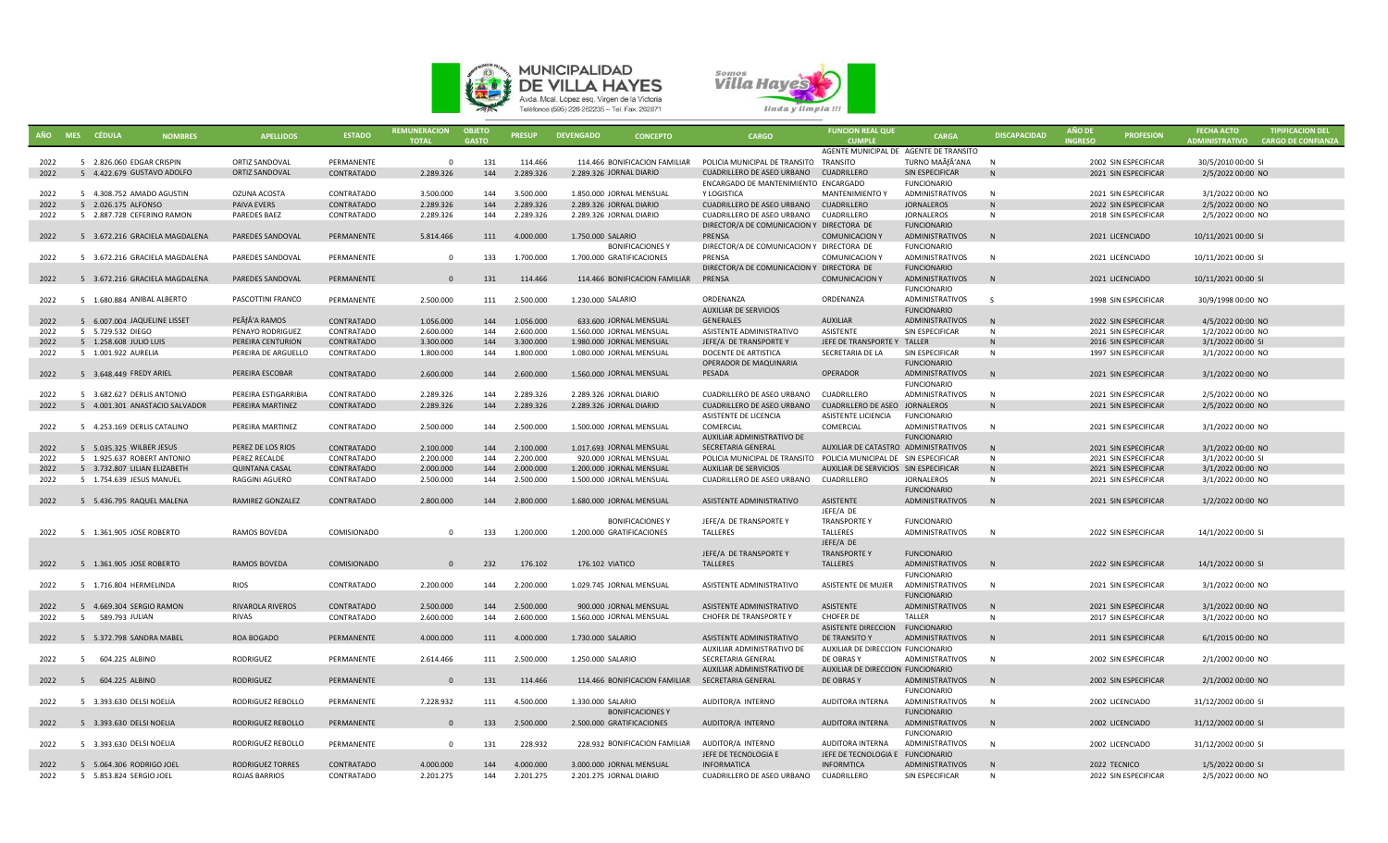



|              |   | AÑO MES CÉDULA<br><b>NOMBRES</b>            | <b>APELLIDOS</b>        | <b>ESTADO</b> | <b>REMUNERACION</b><br><b>TOTAL</b> | <b>OBJETO</b><br><b>GASTO</b> | <b>PRESUP</b>          | <b>DEVENGADO</b><br><b>CONCEPTO</b>                  | <b>CARGO</b>                                                       | <b>FUNCION REAL QUE</b><br><b>CUMPLE</b> | <b>CARGA</b>                                 | <b>DISCAPACIDAD</b> | <b>AÑO DE</b><br><b>INGRESO</b> | <b>PROFESION</b>     | <b>FECHA ACTO</b><br>ADMINISTRATIVO | <b>TIPIFICACION DEL</b><br><b>CARGO DE CONFIANZA</b> |
|--------------|---|---------------------------------------------|-------------------------|---------------|-------------------------------------|-------------------------------|------------------------|------------------------------------------------------|--------------------------------------------------------------------|------------------------------------------|----------------------------------------------|---------------------|---------------------------------|----------------------|-------------------------------------|------------------------------------------------------|
|              |   |                                             |                         |               |                                     |                               |                        |                                                      |                                                                    | AGENTE MUNICIPAL DE AGENTE DE TRANSITO   |                                              |                     |                                 |                      |                                     |                                                      |
| 2022         |   | 5 2.826.060 EDGAR CRISPIN                   | ORTIZ SANDOVAL          | PERMANENTE    | $\overline{\mathbf{0}}$             | 131                           | 114.466                | 114.466 BONIFICACION FAMILIAR                        | POLICIA MUNICIPAL DE TRANSITO TRANSITO                             |                                          | TURNO MAÃfÂ'ANA                              | N                   |                                 | 2002 SIN ESPECIFICAR | 30/5/2010 00:00 SI                  |                                                      |
| 2022         |   | 5 4.422.679 GUSTAVO ADOLFO                  | <b>ORTIZ SANDOVAL</b>   | CONTRATADO    | 2.289.326                           | 144                           | 2.289.326              | 2.289.326 JORNAL DIARIO                              | CUADRILLERO DE ASEO URBANO CUADRILLERO                             |                                          | SIN ESPECIFICAR                              | N                   |                                 | 2021 SIN ESPECIFICAR | 2/5/2022 00:00 NO                   |                                                      |
|              |   |                                             |                         |               |                                     |                               |                        |                                                      | ENCARGADO DE MANTENIMIENTO ENCARGADO                               |                                          | <b>FUNCIONARIO</b>                           |                     |                                 |                      |                                     |                                                      |
| 2022         |   | 5 4.308.752 AMADO AGUSTIN                   | OZUNA ACOSTA            | CONTRATADO    | 3.500.000                           | 144                           | 3.500.000              | 1.850.000 JORNAL MENSUAL                             | Y LOGISTICA                                                        | <b>MANTENIMIENTO Y</b>                   | <b>ADMINISTRATIVOS</b>                       | N                   |                                 | 2021 SIN ESPECIFICAR | 3/1/2022 00:00 NO                   |                                                      |
| 2022         |   | 5 2.026.175 ALFONSO                         | PAIVA EVERS             | CONTRATADO    | 2.289.326                           | 144                           | 2.289.326              | 2.289.326 JORNAL DIARIO                              | CUADRILLERO DE ASEO URBANO CUADRILLERO                             |                                          | <b>JORNALEROS</b>                            | N                   |                                 | 2022 SIN ESPECIFICAR | 2/5/2022 00:00 NO                   |                                                      |
| 2022         |   | 5 2.887.728 CEFERINO RAMON                  | PAREDES BAEZ            | CONTRATADO    | 2.289.326                           | 144                           | 2.289.326              | 2.289.326 JORNAL DIARIO                              | CUADRILLERO DE ASEO URBANO                                         | CUADRILLERO                              | JORNALEROS                                   | N                   |                                 | 2018 SIN ESPECIFICAR | 2/5/2022 00:00 NO                   |                                                      |
|              |   |                                             |                         |               |                                     |                               |                        |                                                      | DIRECTOR/A DE COMUNICACION Y DIRECTORA DE                          |                                          | <b>FUNCIONARIO</b>                           |                     |                                 |                      |                                     |                                                      |
| 2022         |   | 5 3.672.216 GRACIELA MAGDALENA              | <b>PAREDES SANDOVAL</b> | PERMANENTE    | 5.814.466                           | 111                           | 4.000.000              | 1.750.000 SALARIO                                    | PRENSA                                                             | <b>COMUNICACION Y</b>                    | ADMINISTRATIVOS                              | N                   |                                 | 2021 LICENCIADO      | 10/11/2021 00:00 SI                 |                                                      |
|              |   |                                             |                         |               |                                     |                               |                        | <b>BONIFICACIONESY</b>                               | DIRECTOR/A DE COMUNICACION Y DIRECTORA DE                          |                                          | <b>FUNCIONARIO</b>                           |                     |                                 |                      |                                     |                                                      |
| 2022         |   | 5 3.672.216 GRACIELA MAGDALENA              | PAREDES SANDOVAL        | PERMANENTE    | $\Omega$                            | 133                           | 1.700.000              | 1.700.000 GRATIFICACIONES                            | PRENSA                                                             | <b>COMUNICACION Y</b>                    | <b>ADMINISTRATIVOS</b>                       | N                   |                                 | 2021 LICENCIADO      | 10/11/2021 00:00 SI                 |                                                      |
|              |   |                                             |                         |               |                                     |                               |                        |                                                      | DIRECTOR/A DE COMUNICACION Y DIRECTORA DE                          |                                          | <b>FUNCIONARIO</b>                           |                     |                                 |                      |                                     |                                                      |
| 2022         |   | 5 3.672.216 GRACIELA MAGDALENA              | PAREDES SANDOVAL        | PERMANENTE    | $\overline{0}$                      | 131                           | 114.466                | 114.466 BONIFICACION FAMILIAR                        | PRENSA                                                             | <b>COMUNICACION Y</b>                    | ADMINISTRATIVOS                              | N                   |                                 | 2021 LICENCIADO      | 10/11/2021 00:00 SI                 |                                                      |
|              |   |                                             |                         |               |                                     |                               |                        |                                                      |                                                                    |                                          | <b>FUNCIONARIO</b>                           |                     |                                 |                      |                                     |                                                      |
| 2022         |   | 5 1.680.884 ANIBAL ALBERTO                  | PASCOTTINI FRANCO       | PERMANENTE    | 2.500.000                           | 111                           | 2.500.000              | 1.230.000 SALARIO                                    | ORDENANZA<br><b>AUXILIAR DE SERVICIOS</b>                          | ORDENANZA                                | <b>ADMINISTRATIVOS</b><br><b>FUNCIONARIO</b> | S.                  |                                 | 1998 SIN ESPECIFICAR | 30/9/1998 00:00 NO                  |                                                      |
| 2022         |   |                                             | PEÃfÂ'A RAMOS           |               |                                     |                               | 1.056.000              |                                                      | <b>GENERALES</b>                                                   | <b>AUXILIAR</b>                          |                                              | N                   |                                 |                      |                                     |                                                      |
|              |   | 5 6.007.004 JAQUELINE LISSET                | PENAYO RODRIGUEZ        | CONTRATADO    | 1.056.000                           | 144                           |                        | 633.600 JORNAL MENSUAL                               | ASISTENTE ADMINISTRATIVO                                           | ASISTENTE                                | ADMINISTRATIVOS                              |                     |                                 | 2022 SIN ESPECIFICAR | 4/5/2022 00:00 NO                   |                                                      |
| 2022<br>2022 |   | 5 5.729.532 DIEGO<br>5 1.258.608 JULIO LUIS | PEREIRA CENTURION       | CONTRATADO    | 2.600.000<br>3.300.000              | 144<br>144                    | 2.600.000<br>3.300.000 | 1.560.000 JORNAL MENSUAL                             | JEFE/A DE TRANSPORTE Y                                             | JEFE DE TRANSPORTE Y                     | SIN ESPECIFICAR<br>TALLER                    | N<br>N              |                                 | 2021 SIN ESPECIFICAR | 1/2/2022 00:00 NO                   |                                                      |
| 2022         |   | 5 1.001.922 AURELIA                         | PEREIRA DE ARGUELLO     | CONTRATADO    |                                     | 144                           | 1.800.000              | 1.980.000 JORNAL MENSUAL<br>1.080.000 JORNAL MENSUAL | DOCENTE DE ARTISTICA                                               | SECRETARIA DE LA                         | SIN ESPECIFICAR                              | N                   |                                 | 2016 SIN ESPECIFICAR | 3/1/2022 00:00 SI                   |                                                      |
|              |   |                                             |                         | CONTRATADO    | 1.800.000                           |                               |                        |                                                      | OPERADOR DE MAQUINARIA                                             |                                          | <b>FUNCIONARIO</b>                           |                     |                                 | 1997 SIN ESPECIFICAR | 3/1/2022 00:00 NO                   |                                                      |
| 2022         |   | 5 3.648.449 FREDY ARIEL                     | PEREIRA ESCOBAR         | CONTRATADO    | 2.600.000                           | 144                           | 2.600.000              | 1.560.000 JORNAL MENSUAL                             | PESADA                                                             | OPERADOR                                 | ADMINISTRATIVOS                              | N                   |                                 | 2021 SIN ESPECIFICAR | 3/1/2022 00:00 NO                   |                                                      |
|              |   |                                             |                         |               |                                     |                               |                        |                                                      |                                                                    |                                          | <b>FUNCIONARIO</b>                           |                     |                                 |                      |                                     |                                                      |
| 2022         |   | 5 3.682.627 DERLIS ANTONIO                  | PEREIRA ESTIGARRIBIA    | CONTRATADO    | 2.289.326                           | 144                           | 2.289.326              | 2.289.326 JORNAL DIARIO                              | CUADRILLERO DE ASEO URBANO                                         | CUADRILLERO                              | ADMINISTRATIVOS                              | N                   |                                 | 2021 SIN ESPECIFICAR | 2/5/2022 00:00 NO                   |                                                      |
| 2022         |   | 5 4.001.301 ANASTACIO SALVADOR              | PEREIRA MARTINEZ        | CONTRATADO    | 2.289.326                           | 144                           | 2.289.326              | 2.289.326 JORNAL DIARIO                              | CUADRILLERO DE ASEO URBANO CUADRILLERO DE ASEO JORNALEROS          |                                          |                                              | N                   |                                 | 2021 SIN ESPECIFICAR | 2/5/2022 00:00 NO                   |                                                      |
|              |   |                                             |                         |               |                                     |                               |                        |                                                      | ASISTENTE DE LICENCIA                                              | ASISTENTE LICIENCIA                      | <b>FUNCIONARIO</b>                           |                     |                                 |                      |                                     |                                                      |
| 2022         |   | 5 4.253.169 DERLIS CATALINO                 | PEREIRA MARTINEZ        | CONTRATADO    | 2.500.000                           | 144                           | 2.500.000              | 1.500.000 JORNAL MENSUAL                             | COMERCIAL                                                          | COMERCIAL                                | <b>ADMINISTRATIVOS</b>                       | N                   |                                 | 2021 SIN ESPECIFICAR | 3/1/2022 00:00 NO                   |                                                      |
|              |   |                                             |                         |               |                                     |                               |                        |                                                      | AUXILIAR ADMINISTRATIVO DE                                         |                                          | <b>FUNCIONARIO</b>                           |                     |                                 |                      |                                     |                                                      |
| 2022         |   | 5 5.035.325 WILBER JESUS                    | PEREZ DE LOS RIOS       | CONTRATADO    | 2.100.000                           | 144                           | 2.100.000              | 1.017.693 JORNAL MENSUAL                             | SECRETARIA GENERAL                                                 | AUXILIAR DE CATASTRO ADMINISTRATIVOS     |                                              | N                   |                                 | 2021 SIN ESPECIFICAR | 3/1/2022 00:00 NO                   |                                                      |
| 2022         |   | 5 1.925.637 ROBERT ANTONIO                  | PEREZ RECALDE           | CONTRATADO    | 2.200.000                           | 144                           | 2.200.000              | 920.000 JORNAL MENSUAL                               | POLICIA MUNICIPAL DE TRANSITO POLICIA MUNICIPAL DE SIN ESPECIFICAR |                                          |                                              | N                   |                                 | 2021 SIN ESPECIFICAR | 3/1/2022 00:00 SI                   |                                                      |
| 2022         |   | 5 3.732.807 LILIAN ELIZABETH                | <b>QUINTANA CASAL</b>   | CONTRATADO    | 2.000.000                           | 144                           | 2.000.000              | 1.200.000 JORNAL MENSUAL                             | <b>AUXILIAR DE SERVICIOS</b>                                       | AUXILIAR DE SERVICIOS SIN ESPECIFICAR    |                                              | N                   |                                 | 2021 SIN ESPECIFICAR | 3/1/2022 00:00 NO                   |                                                      |
| 2022         |   | 5 1.754.639 JESUS MANUEL                    | <b>RAGGINI AGUERO</b>   | CONTRATADO    | 2.500.000                           | 144                           | 2.500.000              | 1.500.000 JORNAL MENSUAL                             | CUADRILLERO DE ASEO URBANO                                         | CUADRILLERO                              | <b>JORNALEROS</b>                            | N                   |                                 | 2021 SIN ESPECIFICAR | 3/1/2022 00:00 NO                   |                                                      |
|              |   |                                             |                         |               |                                     |                               |                        |                                                      |                                                                    |                                          | <b>FUNCIONARIO</b>                           |                     |                                 |                      |                                     |                                                      |
| 2022         |   | 5 5.436.795 RAQUEL MALENA                   | <b>RAMIREZ GONZALEZ</b> | CONTRATADO    | 2.800.000                           | 144                           | 2.800.000              | 1.680.000 JORNAL MENSUAL                             | ASISTENTE ADMINISTRATIVO                                           | ASISTENTE                                | ADMINISTRATIVOS                              | N                   |                                 | 2021 SIN ESPECIFICAR | 1/2/2022 00:00 NO                   |                                                      |
|              |   |                                             |                         |               |                                     |                               |                        |                                                      |                                                                    | JEFE/A DE                                |                                              |                     |                                 |                      |                                     |                                                      |
|              |   |                                             |                         |               |                                     |                               |                        | <b>BONIFICACIONES Y</b>                              | JEFE/A DE TRANSPORTE Y                                             | <b>TRANSPORTEY</b>                       | <b>FUNCIONARIO</b>                           |                     |                                 |                      |                                     |                                                      |
| 2022         |   | 5 1.361.905 JOSE ROBERTO                    | <b>RAMOS BOVEDA</b>     | COMISIONADO   | $\Omega$                            | 133                           | 1.200.000              | 1.200.000 GRATIFICACIONES                            | TALLERES                                                           | TALLERES                                 | <b>ADMINISTRATIVOS</b>                       | N                   |                                 | 2022 SIN ESPECIFICAR | 14/1/2022 00:00 SI                  |                                                      |
|              |   |                                             |                         |               |                                     |                               |                        |                                                      |                                                                    | JEFE/A DE                                |                                              |                     |                                 |                      |                                     |                                                      |
|              |   |                                             |                         |               |                                     |                               |                        |                                                      | JEFE/A DE TRANSPORTE Y                                             | <b>TRANSPORTEY</b>                       | <b>FUNCIONARIO</b>                           |                     |                                 |                      |                                     |                                                      |
| 2022         |   | 5 1.361.905 JOSE ROBERTO                    | RAMOS BOVEDA            | COMISIONADO   | $\Omega$                            | 232                           | 176.102                | 176.102 VIATICO                                      | <b>TALLERES</b>                                                    | <b>TALLERES</b>                          | <b>ADMINISTRATIVOS</b>                       | N                   |                                 | 2022 SIN ESPECIFICAR | 14/1/2022 00:00 SI                  |                                                      |
|              |   |                                             |                         |               |                                     |                               |                        |                                                      |                                                                    |                                          | <b>FUNCIONARIO</b>                           |                     |                                 |                      |                                     |                                                      |
| 2022         |   | 5 1.716.804 HERMELINDA                      | <b>RIOS</b>             | CONTRATADO    | 2.200.000                           | 144                           | 2.200.000              | 1.029.745 JORNAL MENSUAL                             | ASISTENTE ADMINISTRATIVO                                           | ASISTENTE DE MUJER                       | ADMINISTRATIVOS                              | N                   |                                 | 2021 SIN ESPECIFICAR | 3/1/2022 00:00 NO                   |                                                      |
|              |   |                                             |                         |               |                                     |                               |                        |                                                      |                                                                    |                                          | <b>FUNCIONARIO</b>                           |                     |                                 |                      |                                     |                                                      |
| 2022         |   | 5 4.669.304 SERGIO RAMON                    | <b>RIVAROLA RIVEROS</b> | CONTRATADO    | 2.500.000                           | 144                           | 2.500.000              | 900.000 JORNAL MENSUAL                               | ASISTENTE ADMINISTRATIVO                                           | ASISTENTE                                | ADMINISTRATIVOS                              | N                   |                                 | 2021 SIN ESPECIFICAR | 3/1/2022 00:00 NO                   |                                                      |
| 2022         |   | 5 589.793 JULIAN                            | RIVAS                   | CONTRATADO    | 2.600.000                           | 144                           | 2.600.000              | 1.560.000 JORNAL MENSUAL                             | CHOFER DE TRANSPORTE Y                                             | <b>CHOFER DE</b>                         | TALLER                                       | N                   |                                 | 2017 SIN ESPECIFICAR | 3/1/2022 00:00 NO                   |                                                      |
|              |   |                                             |                         |               |                                     |                               |                        |                                                      |                                                                    | <b>ASISTENTE DIRECCION</b>               | <b>FUNCIONARIO</b>                           |                     |                                 |                      |                                     |                                                      |
| 2022         |   | 5 5.372.798 SANDRA MABEL                    | ROA BOGADO              | PERMANENTE    | 4.000.000                           | 111                           | 4.000.000              | 1.730.000 SALARIO                                    | ASISTENTE ADMINISTRATIVO                                           | DE TRANSITO Y                            | ADMINISTRATIVOS                              | N                   |                                 | 2011 SIN ESPECIFICAR | 6/1/2015 00:00 NO                   |                                                      |
|              |   |                                             |                         |               |                                     |                               |                        |                                                      | AUXILIAR ADMINISTRATIVO DE                                         | AUXILIAR DE DIRECCION FUNCIONARIO        |                                              |                     |                                 |                      |                                     |                                                      |
| 2022         | 5 | 604.225 ALBINO                              | RODRIGUEZ               | PERMANENTE    | 2.614.466                           | 111                           | 2.500.000              | 1.250.000 SALARIO                                    | SECRETARIA GENERAL                                                 | DE OBRAS Y                               | <b>ADMINISTRATIVOS</b>                       | N                   |                                 | 2002 SIN ESPECIFICAR | 2/1/2002 00:00 NO                   |                                                      |
|              |   |                                             |                         |               |                                     |                               |                        |                                                      | AUXILIAR ADMINISTRATIVO DE                                         | AUXILIAR DE DIRECCION FUNCIONARIO        |                                              |                     |                                 |                      |                                     |                                                      |
| 2022         |   | 5 604.225 ALBINO                            | <b>RODRIGUEZ</b>        | PERMANENTE    | $\Omega$                            | 131                           | 114.466                | 114.466 BONIFICACION FAMILIAR SECRETARIA GENERAL     |                                                                    | DE OBRAS Y                               | ADMINISTRATIVOS                              | N                   |                                 | 2002 SIN ESPECIFICAR | 2/1/2002 00:00 NO                   |                                                      |
|              |   |                                             |                         |               |                                     |                               |                        |                                                      |                                                                    |                                          | <b>FUNCIONARIO</b>                           |                     |                                 |                      |                                     |                                                      |
| 2022         |   | 5 3.393.630 DELSI NOELIA                    | RODRIGUEZ REBOLLO       | PERMANENTE    | 7.228.932                           | 111                           | 4.500.000              | 1.330.000 SALARIO                                    | AUDITOR/A INTERNO                                                  | AUDITORA INTERNA                         | <b>ADMINISTRATIVOS</b>                       | N                   |                                 | 2002 LICENCIADO      | 31/12/2002 00:00 SI                 |                                                      |
|              |   |                                             |                         |               |                                     |                               |                        | <b>BONIFICACIONES Y</b>                              |                                                                    |                                          | <b>FUNCIONARIO</b>                           |                     |                                 |                      |                                     |                                                      |
| 2022         |   | 5 3.393.630 DELSI NOELIA                    | RODRIGUEZ REBOLLO       | PERMANENTE    | $\Omega$                            | 133                           | 2.500.000              | 2.500.000 GRATIFICACIONES                            | AUDITOR/A INTERNO                                                  | AUDITORA INTERNA                         | ADMINISTRATIVOS                              | N                   |                                 | 2002 LICENCIADO      | 31/12/2002 00:00 SI                 |                                                      |
|              |   |                                             |                         |               |                                     |                               |                        |                                                      |                                                                    |                                          | <b>FUNCIONARIO</b>                           |                     |                                 |                      |                                     |                                                      |
| 2022         |   | 5 3.393.630 DELSI NOELIA                    | RODRIGUEZ REBOLLO       | PERMANENTE    | $\Omega$                            | 131                           | 228.932                | 228.932 BONIFICACION FAMILIAR AUDITOR/A INTERNO      |                                                                    | AUDITORA INTERNA                         | ADMINISTRATIVOS                              | N                   |                                 | 2002 LICENCIADO      | 31/12/2002 00:00 SI                 |                                                      |
|              |   |                                             |                         |               |                                     |                               |                        |                                                      | JEFE DE TECNOLOGIA E                                               | JEFE DE TECNOLOGIA E FUNCIONARIO         |                                              |                     |                                 |                      |                                     |                                                      |
| 2022         |   | 5 5.064.306 RODRIGO JOEL                    | <b>RODRIGUEZ TORRES</b> | CONTRATADO    | 4.000.000                           | 144                           | 4.000.000              | 3.000.000 JORNAL MENSUAL                             | <b>INFORMATICA</b>                                                 | <b>INFORMTICA</b>                        | <b>ADMINISTRATIVOS</b>                       | N                   |                                 | 2022 TECNICO         | 1/5/2022 00:00 SI                   |                                                      |
| 2022         |   | 5 5.853.824 SERGIO JOEL                     | <b>ROJAS BARRIOS</b>    | CONTRATADO    | 2.201.275                           | 144                           | 2.201.275              | 2.201.275 JORNAL DIARIO                              | CUADRILLERO DE ASEO URBANO CUADRILLERO                             |                                          | SIN ESPECIFICAR                              | N                   |                                 | 2022 SIN ESPECIFICAR | 2/5/2022 00:00 NO                   |                                                      |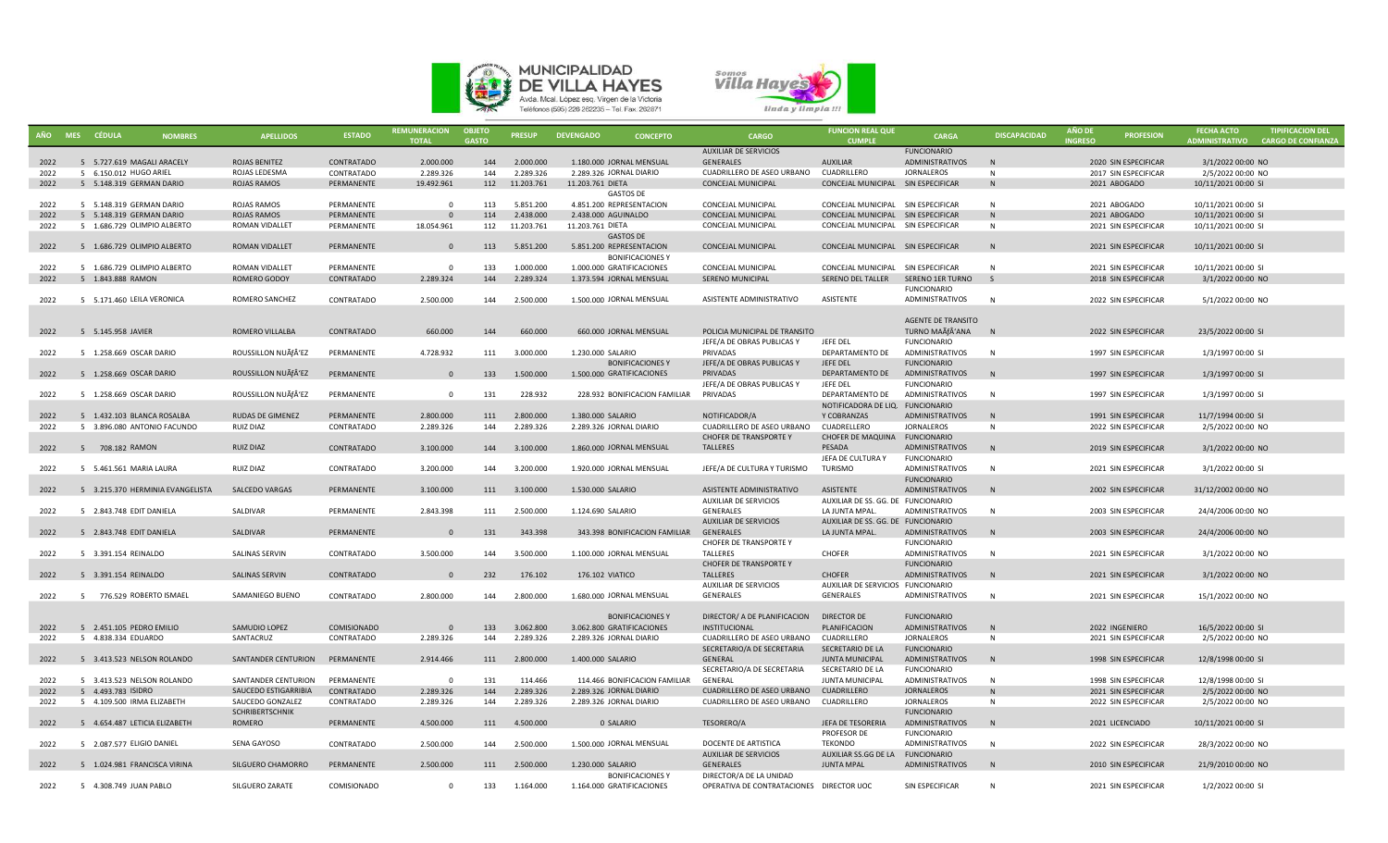



|      | AÑO MES CÉDULA<br><b>NOMBRES</b> | <b>APELLIDOS</b>        | <b>ESTADO</b> | <b>REMUNERACION</b><br><b>TOTAL</b> | <b>OBJETO</b><br><b>GASTO</b> | <b>PRESUP</b>  | <b>DEVENGADO</b><br><b>CONCEPTO</b> | <b>CARGO</b>                             | <b>FUNCION REAL QUE</b><br><b>CUMPLE</b> | <b>CARGA</b>              | <b>DISCAPACIDAD</b> | AÑO DE<br><b>INGRESO</b> | <b>PROFESION</b>     | <b>FECHA ACTO</b><br>ADMINISTRATIVO CARGO DE CONFIANZA | <b>TIPIFICACION DEL</b> |
|------|----------------------------------|-------------------------|---------------|-------------------------------------|-------------------------------|----------------|-------------------------------------|------------------------------------------|------------------------------------------|---------------------------|---------------------|--------------------------|----------------------|--------------------------------------------------------|-------------------------|
|      |                                  |                         |               |                                     |                               |                |                                     | <b>AUXILIAR DE SERVICIOS</b>             |                                          | <b>FUNCIONARIO</b>        |                     |                          |                      |                                                        |                         |
| 2022 | 5 5.727.619 MAGALI ARACELY       | <b>ROJAS BENITEZ</b>    | CONTRATADO    | 2.000.000                           | 144                           | 2.000.000      | 1.180.000 JORNAL MENSUAL            | GENERALES                                | <b>AUXILIAR</b>                          | <b>ADMINISTRATIVOS</b>    | N                   |                          | 2020 SIN ESPECIFICAR | 3/1/2022 00:00 NO                                      |                         |
| 2022 | 5 6.150.012 HUGO ARIEL           | ROJAS LEDESMA           | CONTRATADO    | 2.289.326                           | 144                           | 2.289.326      | 2.289.326 JORNAL DIARIO             | CUADRILLERO DE ASEO URBANO               | CUADRILLERO                              | <b>JORNALEROS</b>         | N                   |                          | 2017 SIN ESPECIFICAR | 2/5/2022 00:00 NO                                      |                         |
| 2022 | 5 5.148.319 GERMAN DARIO         | ROJAS RAMOS             | PERMANENTE    | 19.492.961                          |                               | 112 11.203.761 | 11.203.761 DIETA                    | CONCEJAL MUNICIPAL                       | CONCEJAL MUNICIPAL SIN ESPECIFICAR       |                           | N                   |                          | 2021 ABOGADO         | 10/11/2021 00:00 SI                                    |                         |
|      |                                  |                         |               |                                     |                               |                | <b>GASTOS DE</b>                    |                                          |                                          |                           |                     |                          |                      |                                                        |                         |
| 2022 | 5 5.148.319 GERMAN DARIO         | ROJAS RAMOS             | PERMANENTE    | $\Omega$                            | 113                           | 5.851.200      | 4.851.200 REPRESENTACION            | CONCEJAL MUNICIPAL                       | CONCEJAL MUNICIPAL SIN ESPECIFICAR       |                           | N                   |                          | 2021 ABOGADO         | 10/11/2021 00:00 SI                                    |                         |
| 2022 | 5 5.148.319 GERMAN DARIO         | ROJAS RAMOS             | PERMANENTE    | $\Omega$                            | 114                           | 2.438.000      | 2.438.000 AGUINALDO                 | <b>CONCEJAL MUNICIPAL</b>                | CONCEJAL MUNICIPAL SIN ESPECIFICAR       |                           |                     |                          | 2021 ABOGADO         | 10/11/2021 00:00 SI                                    |                         |
| 2022 | 5 1.686.729 OLIMPIO ALBERTO      | ROMAN VIDALLET          | PERMANENTE    | 18.054.961                          | 112                           | 11.203.761     | 11.203.761 DIETA                    | CONCEJAL MUNICIPAL                       | CONCEJAL MUNICIPAL SIN ESPECIFICAR       |                           | N                   |                          | 2021 SIN ESPECIFICAR | 10/11/2021 00:00 SI                                    |                         |
|      |                                  |                         |               |                                     |                               |                | <b>GASTOS DE</b>                    |                                          |                                          |                           |                     |                          |                      |                                                        |                         |
| 2022 | 5 1.686.729 OLIMPIO ALBERTO      | <b>ROMAN VIDALLET</b>   | PERMANENTE    | $\Omega$                            | 113                           | 5.851.200      | 5.851.200 REPRESENTACION            | <b>CONCEJAL MUNICIPAL</b>                | CONCEJAL MUNICIPAL SIN ESPECIFICAR       |                           | N                   |                          | 2021 SIN ESPECIFICAR | 10/11/2021 00:00 SI                                    |                         |
|      |                                  |                         |               |                                     |                               |                | <b>BONIFICACIONESY</b>              |                                          |                                          |                           |                     |                          |                      |                                                        |                         |
| 2022 | 5 1.686.729 OLIMPIO ALBERTO      | ROMAN VIDALLET          | PERMANENTE    | $\Omega$                            | 133                           | 1.000.000      | 1.000.000 GRATIFICACIONES           | CONCEJAL MUNICIPAL                       | CONCEJAL MUNICIPAL SIN ESPECIFICAR       |                           | N                   |                          | 2021 SIN ESPECIFICAR | 10/11/2021 00:00 SI                                    |                         |
| 2022 | 5 1.843.888 RAMON                | ROMERO GODOY            | CONTRATADO    | 2.289.324                           | 144                           | 2.289.324      | 1.373.594 JORNAL MENSUAL            | <b>SERENO MUNICIPAL</b>                  | SERENO DEL TALLER                        | SERENO 1ER TURNO          | S                   |                          | 2018 SIN ESPECIFICAR | 3/1/2022 00:00 NO                                      |                         |
|      |                                  |                         |               |                                     |                               |                |                                     |                                          |                                          | <b>FUNCIONARIO</b>        |                     |                          |                      |                                                        |                         |
| 2022 | 5 5.171.460 LEILA VERONICA       | ROMERO SANCHEZ          | CONTRATADO    | 2.500.000                           | 144                           | 2.500.000      | 1.500.000 JORNAL MENSUAL            | ASISTENTE ADMINISTRATIVO                 | ASISTENTE                                | ADMINISTRATIVOS           | N                   |                          | 2022 SIN ESPECIFICAR | 5/1/2022 00:00 NO                                      |                         |
|      |                                  |                         |               |                                     |                               |                |                                     |                                          |                                          |                           |                     |                          |                      |                                                        |                         |
|      |                                  |                         |               |                                     |                               |                |                                     |                                          |                                          | <b>AGENTE DE TRANSITO</b> |                     |                          |                      |                                                        |                         |
|      | 5 5.145.958 JAVIER               | ROMERO VILLALBA         | CONTRATADO    | 660.000                             |                               | 660.000        | 660.000 JORNAL MENSUAL              | POLICIA MUNICIPAL DE TRANSITO            |                                          | TURNO MAÑANA              | $\overline{N}$      |                          |                      |                                                        |                         |
| 2022 |                                  |                         |               |                                     | 144                           |                |                                     |                                          | JEFE DEL                                 | <b>FUNCIONARIO</b>        |                     |                          | 2022 SIN ESPECIFICAR | 23/5/2022 00:00 SI                                     |                         |
|      |                                  | ROUSSILLON NUÃfÂ'EZ     |               |                                     |                               |                |                                     | JEFE/A DE OBRAS PUBLICAS Y<br>PRIVADAS   | DEPARTAMENTO DE                          | ADMINISTRATIVOS           |                     |                          |                      |                                                        |                         |
| 2022 | 5 1.258.669 OSCAR DARIO          |                         | PERMANENTE    | 4.728.932                           | 111                           | 3.000.000      | 1.230.000 SALARIO                   |                                          |                                          |                           | N                   |                          | 1997 SIN ESPECIFICAR | 1/3/1997 00:00 SI                                      |                         |
|      |                                  |                         |               |                                     |                               |                | <b>BONIFICACIONES Y</b>             | JEFE/A DE OBRAS PUBLICAS Y               | JEFE DEL                                 | <b>FUNCIONARIO</b>        |                     |                          |                      |                                                        |                         |
| 2022 | 5 1.258.669 OSCAR DARIO          | ROUSSILLON NUAfÂ'EZ     | PERMANENTE    | $\Omega$                            | 133                           | 1.500.000      | 1.500.000 GRATIFICACIONES           | PRIVADAS                                 | DEPARTAMENTO DE                          | ADMINISTRATIVOS           |                     |                          | 1997 SIN ESPECIFICAR | 1/3/1997 00:00 SI                                      |                         |
|      |                                  |                         |               |                                     |                               |                |                                     | JEFE/A DE OBRAS PUBLICAS Y               | JEFE DEL                                 | <b>FUNCIONARIO</b>        |                     |                          |                      |                                                        |                         |
| 2022 | 5 1.258.669 OSCAR DARIO          | ROUSSILLON NUÃfÂ'EZ     | PERMANENTE    | $\Omega$                            | 131                           | 228.932        | 228.932 BONIFICACION FAMILIAR       | PRIVADAS                                 | DEPARTAMENTO DE                          | ADMINISTRATIVOS           | N                   |                          | 1997 SIN ESPECIFICAR | 1/3/1997 00:00 SI                                      |                         |
|      |                                  |                         |               |                                     |                               |                |                                     |                                          | NOTIFICADORA DE LIQ. FUNCIONARIO         |                           |                     |                          |                      |                                                        |                         |
| 2022 | 5 1.432.103 BLANCA ROSALBA       | <b>RUDAS DE GIMENEZ</b> | PERMANENTE    | 2.800.000                           | 111                           | 2.800.000      | 1.380.000 SALARIO                   | NOTIFICADOR/A                            | Y COBRANZAS                              | <b>ADMINISTRATIVOS</b>    | N <sub>1</sub>      |                          | 1991 SIN ESPECIFICAR | 11/7/1994 00:00 SI                                     |                         |
| 2022 | 5 3.896.080 ANTONIO FACUNDO      | <b>RUIZ DIAZ</b>        | CONTRATADO    | 2.289.326                           | 144                           | 2.289.326      | 2.289.326 JORNAL DIARIO             | CUADRILLERO DE ASEO URBANO               | CUADRELLERO                              | JORNALEROS                | N                   |                          | 2022 SIN ESPECIFICAR | 2/5/2022 00:00 NO                                      |                         |
|      |                                  |                         |               |                                     |                               |                |                                     | CHOFER DE TRANSPORTE Y                   | CHOFER DE MAQUINA                        | <b>FUNCIONARIO</b>        |                     |                          |                      |                                                        |                         |
| 2022 | 5 708.182 RAMON                  | <b>RUIZ DIAZ</b>        | CONTRATADO    | 3.100.000                           | 144                           | 3.100.000      | 1.860.000 JORNAL MENSUAL            | <b>TALLERES</b>                          | PESADA                                   | <b>ADMINISTRATIVOS</b>    | N                   |                          | 2019 SIN ESPECIFICAR | 3/1/2022 00:00 NO                                      |                         |
|      |                                  |                         |               |                                     |                               |                |                                     |                                          | JEFA DE CULTURA Y                        | <b>FUNCIONARIO</b>        |                     |                          |                      |                                                        |                         |
| 2022 | 5 5.461.561 MARIA LAURA          | <b>RUIZ DIAZ</b>        | CONTRATADO    | 3.200.000                           | 144                           | 3.200.000      | 1.920.000 JORNAL MENSUAL            | JEFE/A DE CULTURA Y TURISMO              | <b>TURISMO</b>                           | ADMINISTRATIVOS           | N                   |                          | 2021 SIN ESPECIFICAR | 3/1/2022 00:00 SI                                      |                         |
|      |                                  |                         |               |                                     |                               |                |                                     |                                          |                                          | <b>FUNCIONARIO</b>        |                     |                          |                      |                                                        |                         |
| 2022 | 5 3.215.370 HERMINIA EVANGELISTA | SALCEDO VARGAS          | PERMANENTE    | 3.100.000                           | 111                           | 3.100.000      | 1.530.000 SALARIO                   | ASISTENTE ADMINISTRATIVO                 | ASISTENTE                                | <b>ADMINISTRATIVOS</b>    | N                   |                          | 2002 SIN ESPECIFICAR | 31/12/2002 00:00 NO                                    |                         |
|      |                                  |                         |               |                                     |                               |                |                                     | AUXILIAR DE SERVICIOS                    | AUXILIAR DE SS. GG. DE FUNCIONARIO       |                           |                     |                          |                      |                                                        |                         |
| 2022 | 5 2.843.748 EDIT DANIELA         | SALDIVAR                | PERMANENTE    | 2.843.398                           | 111                           | 2.500.000      | 1.124.690 SALARIO                   | GENERALES                                | LA JUNTA MPAL.                           | ADMINISTRATIVOS           | N                   |                          | 2003 SIN ESPECIFICAR | 24/4/2006 00:00 NO                                     |                         |
|      |                                  |                         |               |                                     |                               |                |                                     | AUXILIAR DE SERVICIOS                    | AUXILIAR DE SS. GG. DE FUNCIONARIO       |                           |                     |                          |                      |                                                        |                         |
| 2022 | 5 2.843.748 EDIT DANIELA         | SALDIVAR                | PERMANENTE    | $\Omega$                            | 131                           | 343.398        | 343.398 BONIFICACION FAMILIAR       | GENERALES                                | LA JUNTA MPAL.                           | ADMINISTRATIVOS           | N                   |                          | 2003 SIN ESPECIFICAR | 24/4/2006 00:00 NO                                     |                         |
|      |                                  |                         |               |                                     |                               |                |                                     | CHOFER DE TRANSPORTE Y                   |                                          | <b>FUNCIONARIO</b>        |                     |                          |                      |                                                        |                         |
| 2022 | 5 3.391.154 REINALDO             | SALINAS SERVIN          | CONTRATADO    | 3.500.000                           | 144                           | 3.500.000      | 1.100.000 JORNAL MENSUAL            | TALLERES                                 | <b>CHOFER</b>                            | <b>ADMINISTRATIVOS</b>    | N                   |                          | 2021 SIN ESPECIFICAR | 3/1/2022 00:00 NO                                      |                         |
|      |                                  |                         |               |                                     |                               |                |                                     | <b>CHOFER DE TRANSPORTE Y</b>            |                                          | <b>FUNCIONARIO</b>        |                     |                          |                      |                                                        |                         |
| 2022 | 5 3.391.154 REINALDO             | SALINAS SERVIN          | CONTRATADO    | $\Omega$                            | 232                           | 176.102        | 176.102 VIATICO                     | TALLERES                                 | <b>CHOFER</b>                            | ADMINISTRATIVOS           | N                   |                          | 2021 SIN ESPECIFICAR | 3/1/2022 00:00 NO                                      |                         |
|      |                                  |                         |               |                                     |                               |                |                                     | AUXILIAR DE SERVICIOS                    | AUXILIAR DE SERVICIOS FUNCIONARIO        |                           |                     |                          |                      |                                                        |                         |
| 2022 | 5 776.529 ROBERTO ISMAEL         | SAMANIEGO BUENO         | CONTRATADO    | 2.800.000                           | 144                           | 2.800.000      | 1.680.000 JORNAL MENSUAL            | GENERALES                                | GENERALES                                | ADMINISTRATIVOS           | N                   |                          | 2021 SIN ESPECIFICAR | 15/1/2022 00:00 NO                                     |                         |
|      |                                  |                         |               |                                     |                               |                |                                     |                                          |                                          |                           |                     |                          |                      |                                                        |                         |
|      |                                  |                         |               |                                     |                               |                | <b>BONIFICACIONES Y</b>             | DIRECTOR/ A DE PLANIFICACION             | <b>DIRECTOR DE</b>                       | <b>FUNCIONARIO</b>        |                     |                          |                      |                                                        |                         |
| 2022 | 5 2.451.105 PEDRO EMILIO         | SAMUDIO LOPEZ           | COMISIONADO   | $\Omega$                            | 133                           | 3.062.800      | 3.062.800 GRATIFICACIONES           | <b>INSTITUCIONAL</b>                     | PLANIFICACION                            | <b>ADMINISTRATIVOS</b>    | N                   |                          | 2022 INGENIERO       | 16/5/2022 00:00 SI                                     |                         |
| 2022 | 5 4.838.334 EDUARDO              | SANTACRUZ               | CONTRATADO    | 2.289.326                           | 144                           | 2.289.326      | 2.289.326 JORNAL DIARIO             | CUADRILLERO DE ASEO URBANO               | CUADRILLERO                              | JORNALEROS                | N                   |                          | 2021 SIN ESPECIFICAR | 2/5/2022 00:00 NO                                      |                         |
|      |                                  |                         |               |                                     |                               |                |                                     | SECRETARIO/A DE SECRETARIA               | SECRETARIO DE LA                         | <b>FUNCIONARIO</b>        |                     |                          |                      |                                                        |                         |
| 2022 | 5 3.413.523 NELSON ROLANDO       | SANTANDER CENTURION     | PERMANENTE    | 2.914.466                           | 111                           | 2.800.000      | 1.400.000 SALARIO                   | GENERAL                                  | JUNTA MUNICIPAL                          | ADMINISTRATIVOS           | N                   |                          | 1998 SIN ESPECIFICAR | 12/8/1998 00:00 SI                                     |                         |
|      |                                  |                         |               |                                     |                               |                |                                     | SECRETARIO/A DE SECRETARIA               | SECRETARIO DE LA                         | <b>FUNCIONARIO</b>        |                     |                          |                      |                                                        |                         |
| 2022 | 5 3.413.523 NELSON ROLANDO       | SANTANDER CENTURION     | PERMANENTE    | $\overline{0}$                      | 131                           | 114.466        | 114.466 BONIFICACION FAMILIAR       | GENERAL                                  | <b>JUNTA MUNICIPAL</b>                   | <b>ADMINISTRATIVOS</b>    | N                   |                          | 1998 SIN ESPECIFICAR | 12/8/1998 00:00 SI                                     |                         |
| 2022 | 5 4.493.783 ISIDRO               | SAUCEDO ESTIGARRIBIA    | CONTRATADO    | 2.289.326                           | 144                           | 2.289.326      | 2.289.326 JORNAL DIARIO             | CUADRILLERO DE ASEO URBANO               | CUADRILLERO                              | <b>JORNALEROS</b>         |                     |                          | 2021 SIN ESPECIFICAR | 2/5/2022 00:00 NO                                      |                         |
| 2022 | 5 4.109.500 IRMA ELIZABETH       | SAUCEDO GONZALEZ        | CONTRATADO    | 2.289.326                           | 144                           | 2.289.326      | 2.289.326 JORNAL DIARIO             | CUADRILLERO DE ASEO URBANO               | CUADRILLERO                              | JORNALEROS                | N                   |                          | 2022 SIN ESPECIFICAR | 2/5/2022 00:00 NO                                      |                         |
|      |                                  | SCHRIBERTSCHNIK         |               |                                     |                               |                |                                     |                                          |                                          | <b>FUNCIONARIO</b>        |                     |                          |                      |                                                        |                         |
| 2022 | 5 4.654.487 LETICIA ELIZABETH    | ROMERO                  | PERMANENTE    | 4.500.000                           | 111                           | 4.500.000      | 0 SALARIO                           | TESORERO/A                               | JEFA DE TESORERIA                        | <b>ADMINISTRATIVOS</b>    | N                   |                          | 2021 LICENCIADO      | 10/11/2021 00:00 SI                                    |                         |
|      |                                  |                         |               |                                     |                               |                |                                     |                                          | PROFESOR DE                              | <b>FUNCIONARIO</b>        |                     |                          |                      |                                                        |                         |
| 2022 | 5 2.087.577 ELIGIO DANIEL        | SENA GAYOSO             | CONTRATADO    | 2.500.000                           | 144                           | 2.500.000      | 1.500.000 JORNAL MENSUAL            | DOCENTE DE ARTISTICA                     | TEKONDO                                  | ADMINISTRATIVOS           | N                   |                          | 2022 SIN ESPECIFICAR | 28/3/2022 00:00 NO                                     |                         |
|      |                                  |                         |               |                                     |                               |                |                                     | AUXILIAR DE SERVICIOS                    | AUXILIAR SS.GG DE LA                     | <b>FUNCIONARIO</b>        |                     |                          |                      |                                                        |                         |
| 2022 | 5 1.024.981 FRANCISCA VIRINA     | SILGUERO CHAMORRO       | PERMANENTE    | 2.500.000                           | 111                           | 2.500.000      | 1.230.000 SALARIO                   | GENERALES                                | <b>JUNTA MPAL</b>                        | <b>ADMINISTRATIVOS</b>    | $\mathsf{N}$        |                          | 2010 SIN ESPECIFICAR | 21/9/2010 00:00 NO                                     |                         |
|      |                                  |                         |               |                                     |                               |                | <b>BONIFICACIONES Y</b>             | DIRECTOR/A DE LA UNIDAD                  |                                          |                           |                     |                          |                      |                                                        |                         |
| 2022 | 5 4.308.749 JUAN PABLO           | SILGUERO ZARATE         | COMISIONADO   | $\Omega$                            | 133                           | 1.164.000      | 1.164.000 GRATIFICACIONES           | OPERATIVA DE CONTRATACIONES DIRECTOR UOC |                                          | SIN ESPECIFICAR           | N                   |                          | 2021 SIN ESPECIFICAR | 1/2/2022 00:00 SI                                      |                         |
|      |                                  |                         |               |                                     |                               |                |                                     |                                          |                                          |                           |                     |                          |                      |                                                        |                         |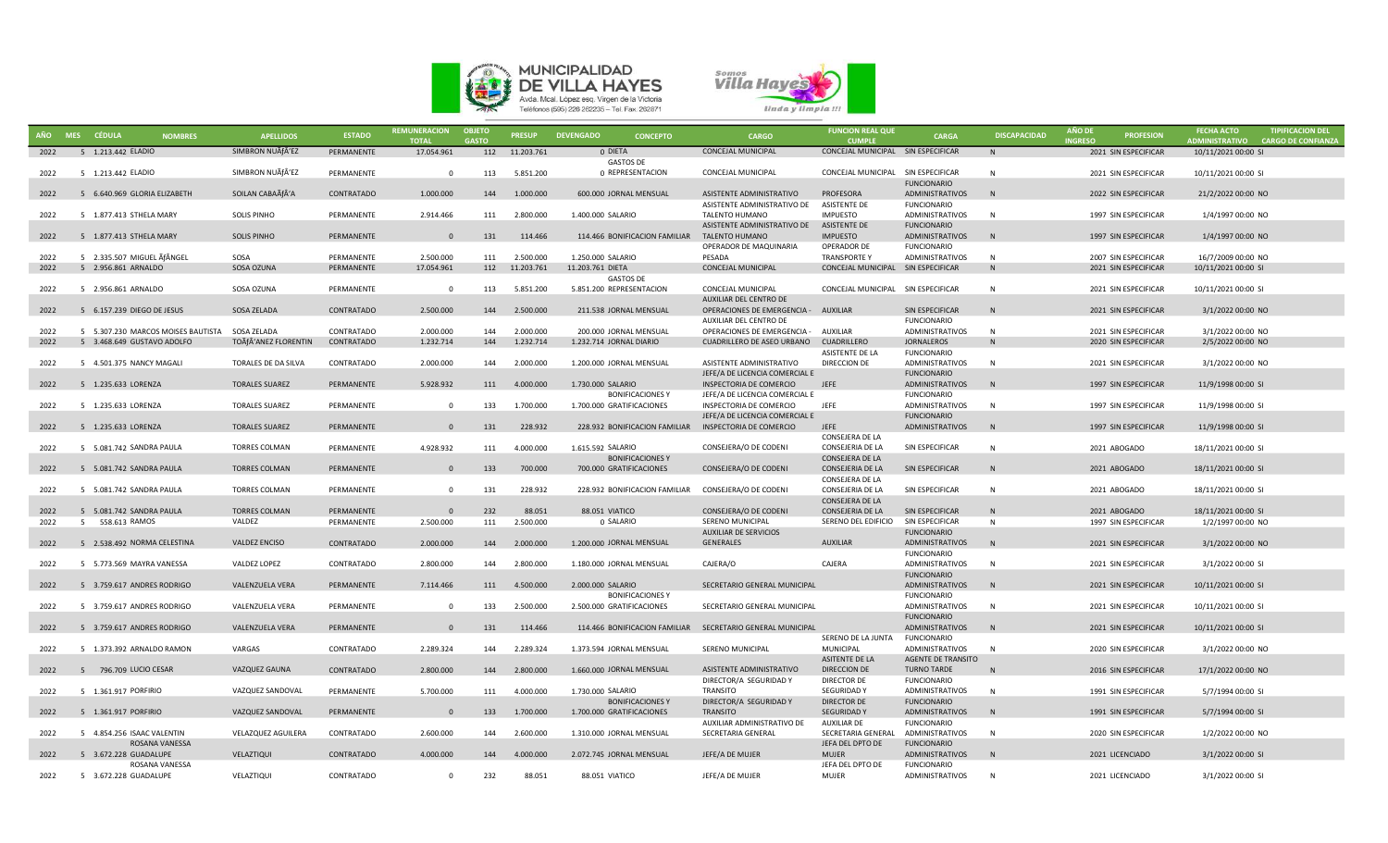



|      | AÑO MES CÉDULA<br><b>NOMBRES</b>                  | <b>APELLIDOS</b>      | <b>ESTADO</b> | <b>REMUNERACION</b><br><b>TOTAL</b> | <b>OBJETO</b><br><b>GASTO</b> | <b>PRESUP</b>  | <b>DEVENGADO</b><br><b>CONCEPTO</b>                 | <b>CARGO</b>                                               | <b>FUNCION REAL QUE</b><br><b>CUMPLE</b>   | <b>CARGA</b>                                    | <b>DISCAPACIDAD</b> | <b>AÑO DE</b><br><b>INGRESO</b> | <b>PROFESION</b>     | <b>FECHA ACTO</b><br>ADMINISTRATIVO CARGO DE CONFIANZA | <b>TIPIFICACION DEL</b> |
|------|---------------------------------------------------|-----------------------|---------------|-------------------------------------|-------------------------------|----------------|-----------------------------------------------------|------------------------------------------------------------|--------------------------------------------|-------------------------------------------------|---------------------|---------------------------------|----------------------|--------------------------------------------------------|-------------------------|
| 2022 | 5 1.213.442 ELADIO                                | SIMBRON NUÃfÂ'EZ      | PERMANENTE    | 17.054.961                          |                               | 112 11.203.761 | 0 DIETA                                             | <b>CONCEJAL MUNICIPAL</b>                                  | CONCEJAL MUNICIPAL SIN ESPECIFICAR         |                                                 | N <sub>N</sub>      |                                 | 2021 SIN ESPECIFICAR | 10/11/2021 00:00 SI                                    |                         |
| 2022 | 5 1.213.442 ELADIO                                | SIMBRON NUÃfÂ'EZ      | PERMANENTE    | $\Omega$                            | 113                           | 5.851.200      | <b>GASTOS DE</b><br>0 REPRESENTACION                | <b>CONCEJAL MUNICIPAL</b>                                  | CONCEJAL MUNICIPAL SIN ESPECIFICAR         | <b>FUNCIONARIO</b>                              | N                   |                                 | 2021 SIN ESPECIFICAR | 10/11/2021 00:00 SI                                    |                         |
| 2022 | 5 6.640.969 GLORIA ELIZABETH                      | SOILAN CABAÃfÂ'A      | CONTRATADO    | 1.000.000                           | 144                           | 1.000.000      | 600.000 JORNAL MENSUAL                              | ASISTENTE ADMINISTRATIVO                                   | PROFESORA                                  | ADMINISTRATIVOS                                 | N                   |                                 | 2022 SIN ESPECIFICAR | 21/2/2022 00:00 NO                                     |                         |
|      |                                                   |                       |               |                                     |                               |                |                                                     | ASISTENTE ADMINISTRATIVO DE                                | <b>ASISTENTE DE</b>                        | <b>FUNCIONARIO</b>                              |                     |                                 |                      |                                                        |                         |
| 2022 | 5 1.877.413 STHELA MARY                           | <b>SOLIS PINHO</b>    | PERMANENTE    | 2.914.466                           | 111                           | 2.800.000      | 1.400.000 SALARIO                                   | TALENTO HUMANO                                             | <b>IMPUESTO</b>                            | <b>ADMINISTRATIVOS</b>                          | N                   |                                 | 1997 SIN ESPECIFICAR | 1/4/1997 00:00 NO                                      |                         |
|      |                                                   |                       |               |                                     |                               |                |                                                     | ASISTENTE ADMINISTRATIVO DE                                | <b>ASISTENTE DE</b>                        | <b>FUNCIONARIO</b>                              |                     |                                 |                      |                                                        |                         |
| 2022 | 5 1.877.413 STHELA MARY                           | <b>SOLIS PINHO</b>    | PERMANENTE    | $\Omega$                            | 131                           | 114.466        | 114.466 BONIFICACION FAMILIAR                       | <b>TALENTO HUMANO</b>                                      | <b>IMPUESTO</b>                            | <b>ADMINISTRATIVOS</b>                          | N                   |                                 | 1997 SIN ESPECIFICAR | 1/4/1997 00:00 NO                                      |                         |
|      |                                                   |                       |               |                                     |                               |                |                                                     | OPERADOR DE MAQUINARIA                                     | OPERADOR DE                                | <b>FUNCIONARIO</b>                              |                     |                                 |                      |                                                        |                         |
| 2022 | 5 2.335.507 MIGUEL ĀfÂNGEL<br>5 2.956.861 ARNALDO | SOSA<br>SOSA OZUNA    | PERMANENTE    | 2.500.000                           | 111                           | 2.500.000      | 1.250.000 SALARIO                                   | PESADA<br><b>CONCEJAL MUNICIPAL</b>                        | <b>TRANSPORTEY</b><br>CONCEJAL MUNICIPAL   | ADMINISTRATIVOS<br>SIN ESPECIFICAR              | - N<br>N            |                                 | 2007 SIN ESPECIFICAR | 16/7/2009 00:00 NO                                     |                         |
| 2022 |                                                   |                       | PERMANENTE    | 17.054.961                          | 112                           | 11.203.761     | 11.203.761 DIETA<br><b>GASTOS DE</b>                |                                                            |                                            |                                                 |                     |                                 | 2021 SIN ESPECIFICAR | 10/11/2021 00:00 SI                                    |                         |
| 2022 | 5 2.956.861 ARNALDO                               | SOSA OZUNA            | PERMANENTE    | $\Omega$                            | 113                           | 5.851.200      | 5.851.200 REPRESENTACION                            | CONCEJAL MUNICIPAL                                         | CONCEJAL MUNICIPAL SIN ESPECIFICAR         |                                                 | N                   |                                 | 2021 SIN ESPECIFICAR | 10/11/2021 00:00 SI                                    |                         |
|      |                                                   |                       |               |                                     |                               |                |                                                     | AUXILIAR DEL CENTRO DE                                     |                                            |                                                 |                     |                                 |                      |                                                        |                         |
| 2022 | 5 6.157.239 DIEGO DE JESUS                        | SOSA ZELADA           | CONTRATADO    | 2.500.000                           | 144                           | 2.500.000      | 211.538 JORNAL MENSUAL                              | OPERACIONES DE EMERGENCIA - AUXILIAR                       |                                            | SIN ESPECIFICAR                                 | N                   |                                 | 2021 SIN ESPECIFICAR | 3/1/2022 00:00 NO                                      |                         |
|      |                                                   |                       |               |                                     |                               |                |                                                     | AUXILIAR DEL CENTRO DE                                     |                                            | <b>FUNCIONARIO</b>                              |                     |                                 |                      |                                                        |                         |
| 2022 | 5 5.307.230 MARCOS MOISES BAUTISTA SOSA ZELADA    |                       | CONTRATADO    | 2.000.000                           | 144                           | 2.000.000      | 200.000 JORNAL MENSUAL                              | OPERACIONES DE EMERGENCIA - AUXILIAR                       |                                            | ADMINISTRATIVOS                                 | N                   |                                 | 2021 SIN ESPECIFICAR | 3/1/2022 00:00 NO                                      |                         |
| 2022 | 5 3.468.649 GUSTAVO ADOLFO                        | TOÃfÂ'ANEZ FLORENTIN  | CONTRATADO    | 1.232.714                           | 144                           | 1.232.714      | 1.232.714 JORNAL DIARIO                             | CUADRILLERO DE ASEO URBANO                                 | CUADRILLERO                                | JORNALEROS                                      | $\mathsf{N}$        |                                 | 2020 SIN ESPECIFICAR | 2/5/2022 00:00 NO                                      |                         |
|      |                                                   |                       |               |                                     |                               |                |                                                     |                                                            | ASISTENTE DE LA                            | <b>FUNCIONARIO</b>                              |                     |                                 |                      |                                                        |                         |
| 2022 | 5 4.501.375 NANCY MAGALI                          | TORALES DE DA SILVA   | CONTRATADO    | 2.000.000                           | 144                           | 2.000.000      | 1.200.000 JORNAL MENSUAL                            | ASISTENTE ADMINISTRATIVO<br>JEFE/A DE LICENCIA COMERCIAL E | DIRECCION DE                               | ADMINISTRATIVOS<br><b>FUNCIONARIO</b>           | N                   |                                 | 2021 SIN ESPECIFICAR | 3/1/2022 00:00 NO                                      |                         |
| 2022 | 5 1.235.633 LORENZA                               | <b>TORALES SUAREZ</b> | PERMANENTE    | 5.928.932                           | 111                           | 4.000.000      | 1.730.000 SALARIO                                   | INSPECTORIA DE COMERCIO                                    | <b>JEFE</b>                                | ADMINISTRATIVOS                                 | N                   |                                 | 1997 SIN ESPECIFICAR | 11/9/1998 00:00 SI                                     |                         |
|      |                                                   |                       |               |                                     |                               |                | <b>BONIFICACIONES Y</b>                             | JEFE/A DE LICENCIA COMERCIAL E                             |                                            | <b>FUNCIONARIO</b>                              |                     |                                 |                      |                                                        |                         |
| 2022 | 5 1.235.633 LORENZA                               | <b>TORALES SUAREZ</b> | PERMANENTE    | $\Omega$                            | 133                           | 1.700.000      | 1.700.000 GRATIFICACIONES                           | INSPECTORIA DE COMERCIO                                    | <b>JEFE</b>                                | <b>ADMINISTRATIVOS</b>                          | N                   |                                 | 1997 SIN ESPECIFICAR | 11/9/1998 00:00 SI                                     |                         |
|      |                                                   |                       |               |                                     |                               |                |                                                     | JEFE/A DE LICENCIA COMERCIAL E                             |                                            | <b>FUNCIONARIO</b>                              |                     |                                 |                      |                                                        |                         |
| 2022 | 5 1.235.633 LORENZA                               | <b>TORALES SUAREZ</b> | PERMANENTE    | $\Omega$                            | 131                           | 228.932        | 228.932 BONIFICACION FAMILIAR                       | INSPECTORIA DE COMERCIO                                    | <b>JEFE</b>                                | ADMINISTRATIVOS                                 | N                   |                                 | 1997 SIN ESPECIFICAR | 11/9/1998 00:00 SI                                     |                         |
|      |                                                   |                       |               |                                     |                               |                |                                                     |                                                            | CONSEJERA DE LA                            |                                                 |                     |                                 |                      |                                                        |                         |
| 2022 | 5 5.081.742 SANDRA PAULA                          | <b>TORRES COLMAN</b>  | PERMANENTE    | 4.928.932                           | 111                           | 4.000.000      | 1.615.592 SALARIO                                   | CONSEJERA/O DE CODENI                                      | CONSEJERIA DE LA                           | SIN ESPECIFICAR                                 | $\mathbf N$         |                                 | 2021 ABOGADO         | 18/11/2021 00:00 SI                                    |                         |
| 2022 | 5 5.081.742 SANDRA PAULA                          | <b>TORRES COLMAN</b>  | PERMANENTE    | $\Omega$                            | 133                           | 700.000        | <b>BONIFICACIONES Y</b><br>700.000 GRATIFICACIONES  | CONSEJERA/O DE CODENI                                      | CONSEJERA DE LA<br><b>CONSEJERIA DE LA</b> | SIN ESPECIFICAR                                 | N                   |                                 | 2021 ABOGADO         | 18/11/2021 00:00 SI                                    |                         |
|      |                                                   |                       |               |                                     |                               |                |                                                     |                                                            | CONSEJERA DE LA                            |                                                 |                     |                                 |                      |                                                        |                         |
| 2022 | 5 5.081.742 SANDRA PAULA                          | <b>TORRES COLMAN</b>  | PERMANENTE    | $\Omega$                            | 131                           | 228.932        | 228.932 BONIFICACION FAMILIAR CONSEJERA/O DE CODENI |                                                            | <b>CONSEJERIA DE LA</b>                    | SIN ESPECIFICAR                                 | $\mathbf N$         |                                 | 2021 ABOGADO         | 18/11/2021 00:00 SI                                    |                         |
|      |                                                   |                       |               |                                     |                               |                |                                                     |                                                            | CONSEJERA DE LA                            |                                                 |                     |                                 |                      |                                                        |                         |
| 2022 | 5 5.081.742 SANDRA PAULA                          | <b>TORRES COLMAN</b>  | PERMANENTE    | $\Omega$                            | 232                           | 88.051         | 88.051 VIATICO                                      | CONSEJERA/O DE CODENI                                      | CONSEJERIA DE LA                           | SIN ESPECIFICAR                                 | N <sub>N</sub>      |                                 | 2021 ABOGADO         | 18/11/2021 00:00 SI                                    |                         |
| 2022 | 5 558.613 RAMOS                                   | VALDEZ                | PERMANENTE    | 2.500.000                           | 111                           | 2.500.000      | 0 SALARIO                                           | SERENO MUNICIPAL                                           | SERENO DEL EDIFICIO                        | SIN ESPECIFICAR                                 | N                   |                                 | 1997 SIN ESPECIFICAR | 1/2/1997 00:00 NO                                      |                         |
|      |                                                   |                       |               |                                     |                               |                |                                                     | <b>AUXILIAR DE SERVICIOS</b>                               |                                            | <b>FUNCIONARIO</b>                              |                     |                                 |                      |                                                        |                         |
| 2022 | 5 2.538.492 NORMA CELESTINA                       | <b>VALDEZ ENCISO</b>  | CONTRATADO    | 2.000.000                           | 144                           | 2.000.000      | 1.200.000 JORNAL MENSUAL                            | <b>GENERALES</b>                                           | <b>AUXILIAR</b>                            | ADMINISTRATIVOS                                 | N                   |                                 | 2021 SIN ESPECIFICAR | 3/1/2022 00:00 NO                                      |                         |
|      | 5 5.773.569 MAYRA VANESSA                         | VALDEZ LOPEZ          | CONTRATADO    | 2.800.000                           | 144                           | 2.800.000      | 1.180.000 JORNAL MENSUAL                            | CAJERA/O                                                   | CAJERA                                     | <b>FUNCIONARIO</b><br>ADMINISTRATIVOS           | N                   |                                 | 2021 SIN ESPECIFICAR | 3/1/2022 00:00 SI                                      |                         |
| 2022 |                                                   |                       |               |                                     |                               |                |                                                     |                                                            |                                            | <b>FUNCIONARIO</b>                              |                     |                                 |                      |                                                        |                         |
| 2022 | 5 3.759.617 ANDRES RODRIGO                        | VALENZUELA VERA       | PERMANENTE    | 7.114.466                           | 111                           | 4.500.000      | 2.000.000 SALARIO                                   | SECRETARIO GENERAL MUNICIPAL                               |                                            | ADMINISTRATIVOS                                 | N                   |                                 | 2021 SIN ESPECIFICAR | 10/11/2021 00:00 SI                                    |                         |
|      |                                                   |                       |               |                                     |                               |                | <b>BONIFICACIONES Y</b>                             |                                                            |                                            | <b>FUNCIONARIO</b>                              |                     |                                 |                      |                                                        |                         |
| 2022 | 5 3.759.617 ANDRES RODRIGO                        | VALENZUELA VERA       | PERMANENTE    | $\Omega$                            | 133                           | 2.500.000      | 2.500.000 GRATIFICACIONES                           | SECRETARIO GENERAL MUNICIPAL                               |                                            | ADMINISTRATIVOS                                 | N                   |                                 | 2021 SIN ESPECIFICAR | 10/11/2021 00:00 SI                                    |                         |
|      |                                                   |                       |               |                                     |                               |                |                                                     |                                                            |                                            | <b>FUNCIONARIO</b>                              |                     |                                 |                      |                                                        |                         |
| 2022 | 5 3.759.617 ANDRES RODRIGO                        | VALENZUELA VERA       | PERMANENTE    | $\Omega$                            | 131                           | 114,466        |                                                     | 114.466 BONIFICACION FAMILIAR SECRETARIO GENERAL MUNICIPAL |                                            | ADMINISTRATIVOS                                 | N                   |                                 | 2021 SIN ESPECIFICAR | 10/11/2021 00:00 SI                                    |                         |
|      |                                                   |                       |               |                                     |                               |                |                                                     |                                                            | SERENO DE LA JUNTA                         | <b>FUNCIONARIO</b>                              |                     |                                 |                      |                                                        |                         |
| 2022 | 5 1.373.392 ARNALDO RAMON                         | VARGAS                | CONTRATADO    | 2.289.324                           | 144                           | 2.289.324      | 1.373.594 JORNAL MENSUAL                            | SERENO MUNICIPAL                                           | MUNICIPAL                                  | ADMINISTRATIVOS                                 | N                   |                                 | 2020 SIN ESPECIFICAR | 3/1/2022 00:00 NO                                      |                         |
| 2022 | 5 796.709 LUCIO CESAR                             | VAZQUEZ GAUNA         | CONTRATADO    | 2.800.000                           | 144                           | 2.800.000      | 1.660.000 JORNAL MENSUAL                            | ASISTENTE ADMINISTRATIVO                                   | ASITENTE DE LA<br><b>DIRECCION DE</b>      | <b>AGENTE DE TRANSITO</b><br><b>TURNO TARDE</b> | N                   |                                 | 2016 SIN ESPECIFICAR | 17/1/2022 00:00 NO                                     |                         |
|      |                                                   |                       |               |                                     |                               |                |                                                     | DIRECTOR/A SEGURIDAD Y                                     | <b>DIRECTOR DE</b>                         | <b>FUNCIONARIO</b>                              |                     |                                 |                      |                                                        |                         |
| 2022 | 5 1.361.917 PORFIRIO                              | VAZQUEZ SANDOVAL      | PERMANENTE    | 5.700.000                           | 111                           | 4.000.000      | 1.730.000 SALARIO                                   | <b>TRANSITO</b>                                            | SEGURIDAD Y                                | ADMINISTRATIVOS                                 | N                   |                                 | 1991 SIN ESPECIFICAR | 5/7/1994 00:00 SI                                      |                         |
|      |                                                   |                       |               |                                     |                               |                | <b>BONIFICACIONES Y</b>                             | DIRECTOR/A SEGURIDAD Y                                     | DIRECTOR DE                                | <b>FUNCIONARIO</b>                              |                     |                                 |                      |                                                        |                         |
| 2022 | 5 1.361.917 PORFIRIO                              | VAZQUEZ SANDOVAL      | PERMANENTE    | $\mathbf{0}$                        | 133                           | 1.700.000      | 1.700.000 GRATIFICACIONES                           | <b>TRANSITO</b>                                            | <b>SEGURIDAD Y</b>                         | ADMINISTRATIVOS                                 | N                   |                                 | 1991 SIN ESPECIFICAR | 5/7/1994 00:00 SI                                      |                         |
|      |                                                   |                       |               |                                     |                               |                |                                                     | AUXILIAR ADMINISTRATIVO DE                                 | <b>AUXILIAR DE</b>                         | <b>FUNCIONARIO</b>                              |                     |                                 |                      |                                                        |                         |
| 2022 | 5 4.854.256 ISAAC VALENTIN                        | VELAZQUEZ AGUILERA    | CONTRATADO    | 2.600.000                           | 144                           | 2.600.000      | 1.310.000 JORNAL MENSUAL                            | SECRETARIA GENERAL                                         | SECRETARIA GENERAL                         | ADMINISTRATIVOS                                 | N                   |                                 | 2020 SIN ESPECIFICAR | 1/2/2022 00:00 NO                                      |                         |
|      | <b>ROSANA VANESSA</b>                             |                       |               |                                     |                               |                |                                                     |                                                            | JEFA DEL DPTO DE                           | <b>FUNCIONARIO</b>                              |                     |                                 |                      |                                                        |                         |
| 2022 | 5 3.672.228 GUADALUPE<br>ROSANA VANESSA           | VELAZTIQUI            | CONTRATADO    | 4.000.000                           | 144                           | 4.000.000      | 2.072.745 JORNAL MENSUAL                            | JEFE/A DE MUJER                                            | <b>MUJER</b><br>JEFA DEL DPTO DE           | <b>ADMINISTRATIVOS</b><br><b>FUNCIONARIO</b>    | N                   |                                 | 2021 LICENCIADO      | 3/1/2022 00:00 SI                                      |                         |
| 2022 | 5 3.672.228 GUADALUPE                             | VELAZTIQUI            | CONTRATADO    | $\Omega$                            | 232                           | 88.051         | 88.051 VIATICO                                      | JEFE/A DE MUJER                                            | <b>MUJER</b>                               | <b>ADMINISTRATIVOS</b>                          | N                   |                                 | 2021 LICENCIADO      | 3/1/2022 00:00 SI                                      |                         |
|      |                                                   |                       |               |                                     |                               |                |                                                     |                                                            |                                            |                                                 |                     |                                 |                      |                                                        |                         |